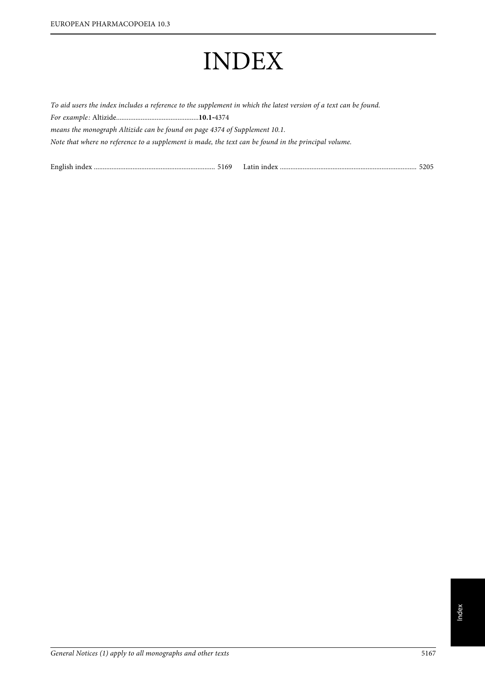# INDEX

To aid users the index includes a reference to the supplement in which the latest version of a text can be found. For example: Altizide...............................................**10.1**‑<sup>4374</sup> means the monograph Altizide can be found on page 4374 of Supplement 10.1. Note that where no reference to a supplement is made, the text can be found in the principal volume.

| English<br>5169 | анн шиех |  |
|-----------------|----------|--|
|                 |          |  |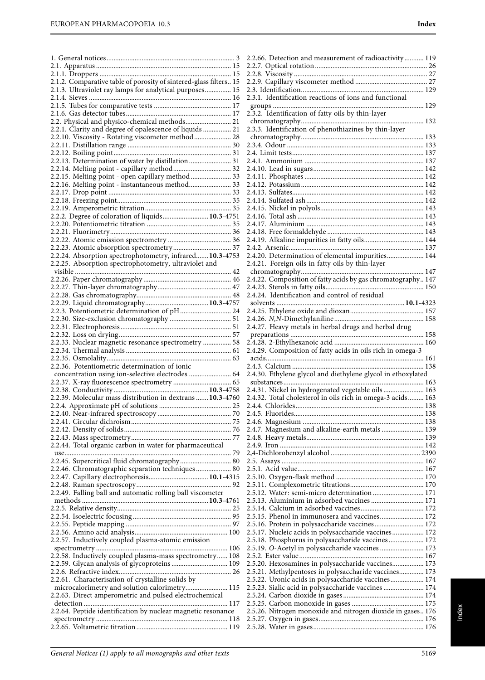1. General notices......................................................................... 3 2.1. Apparatus ............................................................................. 15

| 2.1.2. Comparative table of porosity of sintered-glass filters 15 |  |
|-------------------------------------------------------------------|--|
| 2.1.3. Ultraviolet ray lamps for analytical purposes 15           |  |
|                                                                   |  |
|                                                                   |  |
|                                                                   |  |
| 2.2. Physical and physico-chemical methods 21                     |  |
| 2.2.1. Clarity and degree of opalescence of liquids  21           |  |
| 2.2.10. Viscosity - Rotating viscometer method  28                |  |
|                                                                   |  |
|                                                                   |  |
| 2.2.13. Determination of water by distillation  31                |  |
|                                                                   |  |
| 2.2.14. Melting point - capillary method 32                       |  |
| 2.2.15. Melting point - open capillary method  33                 |  |
| 2.2.16. Melting point - instantaneous method 33                   |  |
|                                                                   |  |
|                                                                   |  |
|                                                                   |  |
| 2.2.2. Degree of coloration of liquids 10.3-4751                  |  |
|                                                                   |  |
|                                                                   |  |
|                                                                   |  |
|                                                                   |  |
| 2.2.24. Absorption spectrophotometry, infrared 10.3-4753          |  |
| 2.2.25. Absorption spectrophotometry, ultraviolet and             |  |
|                                                                   |  |
|                                                                   |  |
|                                                                   |  |
|                                                                   |  |
|                                                                   |  |
|                                                                   |  |
| 2.2.3. Potentiometric determination of pH 24                      |  |
|                                                                   |  |
|                                                                   |  |
|                                                                   |  |
| 2.2.33. Nuclear magnetic resonance spectrometry  58               |  |
|                                                                   |  |
|                                                                   |  |
| 2.2.36. Potentiometric determination of ionic                     |  |
| concentration using ion-selective electrodes  64                  |  |
|                                                                   |  |
|                                                                   |  |
|                                                                   |  |
| 2.2.39. Molecular mass distribution in dextrans  10.3-4760        |  |
|                                                                   |  |
|                                                                   |  |
|                                                                   |  |
|                                                                   |  |
|                                                                   |  |
| 2.2.44. Total organic carbon in water for pharmaceutical          |  |
|                                                                   |  |
| 2.2.45. Supercritical fluid chromatography 80                     |  |
| 2.2.46. Chromatographic separation techniques 80                  |  |
| 2.2.47. Capillary electrophoresis 10.1-4315                       |  |
|                                                                   |  |
|                                                                   |  |
| 2.2.49. Falling ball and automatic rolling ball viscometer        |  |
|                                                                   |  |
|                                                                   |  |
|                                                                   |  |
|                                                                   |  |
|                                                                   |  |
| 2.2.57. Inductively coupled plasma-atomic emission                |  |
|                                                                   |  |
| 2.2.58. Inductively coupled plasma-mass spectrometry 108          |  |
| 2.2.59. Glycan analysis of glycoproteins 109                      |  |
|                                                                   |  |
| 2.2.61. Characterisation of crystalline solids by                 |  |
| microcalorimetry and solution calorimetry 115                     |  |
| 2.2.63. Direct amperometric and pulsed electrochemical            |  |
|                                                                   |  |
|                                                                   |  |
| 2.2.64. Peptide identification by nuclear magnetic resonance      |  |
|                                                                   |  |
|                                                                   |  |
|                                                                   |  |

| 2.2.66. Detection and measurement of radioactivity 119       |
|--------------------------------------------------------------|
|                                                              |
|                                                              |
|                                                              |
|                                                              |
|                                                              |
| 2.3.1. Identification reactions of ions and functional       |
|                                                              |
| 2.3.2. Identification of fatty oils by thin-layer            |
|                                                              |
|                                                              |
| 2.3.3. Identification of phenothiazines by thin-layer        |
|                                                              |
|                                                              |
|                                                              |
|                                                              |
|                                                              |
|                                                              |
|                                                              |
|                                                              |
|                                                              |
|                                                              |
|                                                              |
|                                                              |
|                                                              |
|                                                              |
|                                                              |
| 2.4.19. Alkaline impurities in fatty oils 144                |
|                                                              |
| 2.4.20. Determination of elemental impurities 144            |
|                                                              |
| 2.4.21. Foreign oils in fatty oils by thin-layer             |
|                                                              |
| 2.4.22. Composition of fatty acids by gas chromatography 147 |
|                                                              |
|                                                              |
|                                                              |
|                                                              |
|                                                              |
|                                                              |
| 2.4.27. Heavy metals in herbal drugs and herbal drug         |
|                                                              |
|                                                              |
|                                                              |
|                                                              |
| 2.4.29. Composition of fatty acids in oils rich in omega-3   |
|                                                              |
|                                                              |
|                                                              |
| 2.4.30. Ethylene glycol and diethylene glycol in ethoxylated |
|                                                              |
| 2.4.31. Nickel in hydrogenated vegetable oils  163           |
| 2.4.32. Total cholesterol in oils rich in omega-3 acids 163  |
| 244 Chlorides -<br>. 138                                     |
|                                                              |
|                                                              |
|                                                              |
| 2.4.7. Magnesium and alkaline-earth metals  139              |
|                                                              |
|                                                              |
|                                                              |
|                                                              |
|                                                              |
|                                                              |
|                                                              |
|                                                              |
| 2.5.12. Water: semi-micro determination  171                 |
| 2.5.13. Aluminium in adsorbed vaccines  171                  |
|                                                              |
| 2.5.15. Phenol in immunosera and vaccines 172                |
|                                                              |
| 2.5.16. Protein in polysaccharide vaccines 172               |
| 2.5.17. Nucleic acids in polysaccharide vaccines 172         |
| 2.5.18. Phosphorus in polysaccharide vaccines 172            |
| 2.5.19. O-Acetyl in polysaccharide vaccines  173             |
|                                                              |
| 2.5.20. Hexosamines in polysaccharide vaccines 173           |
| 2.5.21. Methylpentoses in polysaccharide vaccines 173        |
|                                                              |
| 2.5.22. Uronic acids in polysaccharide vaccines 174          |
| 2.5.23. Sialic acid in polysaccharide vaccines  174          |
|                                                              |
|                                                              |
| 2.5.26. Nitrogen monoxide and nitrogen dioxide in gases 176  |
|                                                              |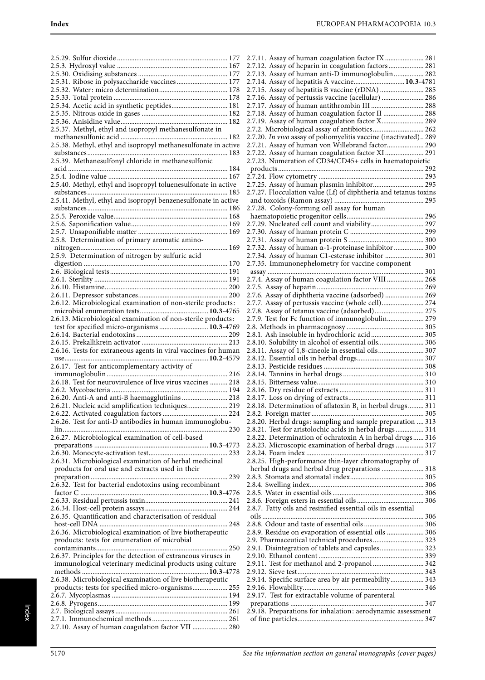| 2.5.31. Ribose in polysaccharide vaccines  177                  |
|-----------------------------------------------------------------|
|                                                                 |
|                                                                 |
| 2.5.34. Acetic acid in synthetic peptides 181                   |
|                                                                 |
|                                                                 |
| 2.5.37. Methyl, ethyl and isopropyl methanesulfonate in         |
|                                                                 |
| 2.5.38. Methyl, ethyl and isopropyl methanesulfonate in active  |
|                                                                 |
| 2.5.39. Methanesulfonyl chloride in methanesulfonic             |
|                                                                 |
|                                                                 |
| 2.5.40. Methyl, ethyl and isopropyl toluenesulfonate in active  |
|                                                                 |
|                                                                 |
|                                                                 |
|                                                                 |
|                                                                 |
|                                                                 |
| 2.5.8. Determination of primary aromatic amino-                 |
|                                                                 |
| 2.5.9. Determination of nitrogen by sulfuric acid               |
|                                                                 |
|                                                                 |
|                                                                 |
|                                                                 |
|                                                                 |
| 2.6.12. Microbiological examination of non-sterile products:    |
|                                                                 |
| 2.6.13. Microbiological examination of non-sterile products:    |
| test for specified micro-organisms  10.3-4769                   |
|                                                                 |
|                                                                 |
|                                                                 |
| 2.6.16. Tests for extraneous agents in viral vaccines for human |
|                                                                 |
| 2.6.17. Test for anticomplementary activity of                  |
|                                                                 |
|                                                                 |
|                                                                 |
| 2.6.20. Anti-A and anti-B haemagglutinins  218                  |
| 2.6.21. Nucleic acid amplification techniques 219               |
|                                                                 |
| 2.6.26. Test for anti-D antibodies in human immunoglobu-        |
|                                                                 |
| 2.6.27. Microbiological examination of cell-based               |
|                                                                 |
|                                                                 |
| 2.6.31. Microbiological examination of herbal medicinal         |
| products for oral use and extracts used in their                |
|                                                                 |
| 2.6.32. Test for bacterial endotoxins using recombinant         |
|                                                                 |
|                                                                 |
|                                                                 |
| 2.6.35. Quantification and characterisation of residual         |
|                                                                 |
| 2.6.36. Microbiological examination of live biotherapeutic      |
|                                                                 |
| products: tests for enumeration of microbial                    |
| 2.6.37. Principles for the detection of extraneous viruses in   |
| immunological veterinary medicinal products using culture       |
|                                                                 |
| 2.6.38. Microbiological examination of live biotherapeutic      |
| products: tests for specified micro-organisms 255               |
|                                                                 |
|                                                                 |
|                                                                 |
| 2.7.10. Assay of human coagulation factor VII  280              |

| 2.7.11. Assay of human coagulation factor IX  281<br>2.7.12. Assay of heparin in coagulation factors 281 |
|----------------------------------------------------------------------------------------------------------|
|                                                                                                          |
| 2.7.13. Assay of human anti-D immunoglobulin  282                                                        |
| 2.7.14. Assay of hepatitis A vaccine 10.3-4781                                                           |
| 2.7.15. Assay of hepatitis B vaccine (rDNA)  285                                                         |
| 2.7.16. Assay of pertussis vaccine (acellular)  286                                                      |
| 2.7.17. Assay of human antithrombin III  288                                                             |
| 2.7.18. Assay of human coagulation factor II  288                                                        |
| 2.7.19. Assay of human coagulation factor X 289                                                          |
| 2.7.2. Microbiological assay of antibiotics 262                                                          |
| 2.7.20. In vivo assay of poliomyelitis vaccine (inactivated) 289                                         |
| 2.7.21. Assay of human von Willebrand factor 290                                                         |
|                                                                                                          |
| 2.7.22. Assay of human coagulation factor XI  291                                                        |
| 2.7.23. Numeration of CD34/CD45+ cells in haematopoietic                                                 |
|                                                                                                          |
|                                                                                                          |
| 2.7.25. Assay of human plasmin inhibitor 295                                                             |
| 2.7.27. Flocculation value (Lf) of diphtheria and tetanus toxins                                         |
|                                                                                                          |
| 2.7.28. Colony-forming cell assay for human                                                              |
|                                                                                                          |
|                                                                                                          |
|                                                                                                          |
|                                                                                                          |
| 2.7.32. Assay of human a-1-proteinase inhibitor  300                                                     |
| 2.7.34. Assay of human C1-esterase inhibitor  301                                                        |
| 2.7.35. Immunonephelometry for vaccine component                                                         |
|                                                                                                          |
|                                                                                                          |
| 2.7.4. Assay of human coagulation factor VIII  268                                                       |
|                                                                                                          |
| 2.7.6. Assay of diphtheria vaccine (adsorbed)  269                                                       |
| 2.7.7. Assay of pertussis vaccine (whole cell) 274                                                       |
| 2.7.8. Assay of tetanus vaccine (adsorbed) 275                                                           |
| 2.7.9. Test for Fc function of immunoglobulin 279                                                        |
|                                                                                                          |
|                                                                                                          |
|                                                                                                          |
| 2.8.1. Ash insoluble in hydrochloric acid 305                                                            |
| 2.8.10. Solubility in alcohol of essential oils 306                                                      |
| 2.8.11. Assay of 1,8-cineole in essential oils 307                                                       |
|                                                                                                          |
|                                                                                                          |
|                                                                                                          |
|                                                                                                          |
|                                                                                                          |
|                                                                                                          |
| 2.8.18. Determination of aflatoxin $B_1$ in herbal drugs 311                                             |
|                                                                                                          |
| 2.8.20. Herbal drugs: sampling and sample preparation  313                                               |
| 2.8.21. Test for aristolochic acids in herbal drugs 314                                                  |
| 2.8.22. Determination of ochratoxin A in herbal drugs 316                                                |
| 2.8.23. Microscopic examination of herbal drugs  317                                                     |
|                                                                                                          |
| 2.8.25. High-performance thin-layer chromatography of                                                    |
| herbal drugs and herbal drug preparations  318                                                           |
|                                                                                                          |
|                                                                                                          |
|                                                                                                          |
|                                                                                                          |
|                                                                                                          |
| 2.8.7. Fatty oils and resinified essential oils in essential                                             |
|                                                                                                          |
|                                                                                                          |
| 2.8.9. Residue on evaporation of essential oils  306                                                     |
| 2.9. Pharmaceutical technical procedures 323                                                             |
| 2.9.1. Disintegration of tablets and capsules 323                                                        |
|                                                                                                          |
| 2.9.11. Test for methanol and 2-propanol  342                                                            |
|                                                                                                          |
| 2.9.14. Specific surface area by air permeability 343                                                    |
|                                                                                                          |
| 2.9.17. Test for extractable volume of parenteral                                                        |
|                                                                                                          |
| 2.9.18. Preparations for inhalation: aerodynamic assessment                                              |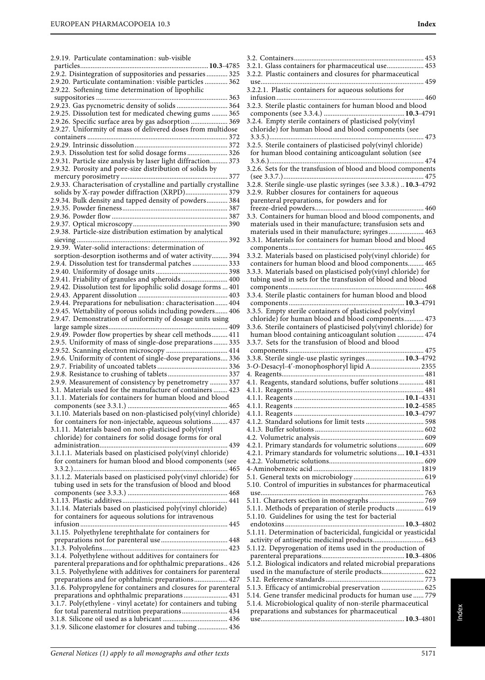| 2.9.19. Particulate contamination: sub-visible                                                                            |
|---------------------------------------------------------------------------------------------------------------------------|
|                                                                                                                           |
| 2.9.2. Disintegration of suppositories and pessaries  325                                                                 |
| 2.9.20. Particulate contamination: visible particles  362                                                                 |
| 2.9.22. Softening time determination of lipophilic                                                                        |
| 2.9.23. Gas pycnometric density of solids  364                                                                            |
| 2.9.25. Dissolution test for medicated chewing gums  365                                                                  |
| 2.9.26. Specific surface area by gas adsorption 369                                                                       |
| 2.9.27. Uniformity of mass of delivered doses from multidose                                                              |
|                                                                                                                           |
|                                                                                                                           |
| 2.9.3. Dissolution test for solid dosage forms 326                                                                        |
| 2.9.31. Particle size analysis by laser light diffraction 373<br>2.9.32. Porosity and pore-size distribution of solids by |
|                                                                                                                           |
| 2.9.33. Characterisation of crystalline and partially crystalline                                                         |
| solids by X-ray powder diffraction (XRPD) 379                                                                             |
| 2.9.34. Bulk density and tapped density of powders 384                                                                    |
|                                                                                                                           |
|                                                                                                                           |
| 2.9.38. Particle-size distribution estimation by analytical                                                               |
|                                                                                                                           |
| 2.9.39. Water-solid interactions: determination of                                                                        |
| sorption-desorption isotherms and of water activity 394                                                                   |
| 2.9.4. Dissolution test for transdermal patches  333                                                                      |
|                                                                                                                           |
| 2.9.41. Friability of granules and spheroids  400                                                                         |
| 2.9.42. Dissolution test for lipophilic solid dosage forms  401                                                           |
| 2.9.44. Preparations for nebulisation: characterisation 404                                                               |
| 2.9.45. Wettability of porous solids including powders 406                                                                |
| 2.9.47. Demonstration of uniformity of dosage units using                                                                 |
|                                                                                                                           |
| 2.9.49. Powder flow properties by shear cell methods 411                                                                  |
| 2.9.5. Uniformity of mass of single-dose preparations 335<br>2.9.52. Scanning electron microscopy  414                    |
| 2.9.6. Uniformity of content of single-dose preparations 336                                                              |
|                                                                                                                           |
|                                                                                                                           |
| 2.9.9. Measurement of consistency by penetrometry  337                                                                    |
| 3.1. Materials used for the manufacture of containers  423                                                                |
| 3.1.1. Materials for containers for human blood and blood                                                                 |
| 3.1.10. Materials based on non-plasticised poly(vinyl chloride)                                                           |
| for containers for non-injectable, aqueous solutions 437                                                                  |
| 3.1.11. Materials based on non-plasticised poly(vinyl                                                                     |
| chloride) for containers for solid dosage forms for oral                                                                  |
|                                                                                                                           |
| 3.1.1.1. Materials based on plasticised poly(vinyl chloride)<br>for containers for human blood and blood components (see  |
|                                                                                                                           |
| 3.1.1.2. Materials based on plasticised poly(vinyl chloride) for                                                          |
| tubing used in sets for the transfusion of blood and blood                                                                |
|                                                                                                                           |
|                                                                                                                           |
| 3.1.14. Materials based on plasticised poly(vinyl chloride)                                                               |
| for containers for aqueous solutions for intravenous                                                                      |
| 3.1.15. Polyethylene terephthalate for containers for                                                                     |
|                                                                                                                           |
|                                                                                                                           |
| 3.1.4. Polyethylene without additives for containers for                                                                  |
| parenteral preparations and for ophthalmic preparations 426                                                               |
| 3.1.5. Polyethylene with additives for containers for parenteral                                                          |
| preparations and for ophthalmic preparations 427<br>3.1.6. Polypropylene for containers and closures for parenteral       |
| preparations and ophthalmic preparations 431                                                                              |
| 3.1.7. Poly(ethylene - vinyl acetate) for containers and tubing                                                           |
| for total parenteral nutrition preparations 434                                                                           |
|                                                                                                                           |
| 3.1.9. Silicone elastomer for closures and tubing  436                                                                    |

| 3.2.1. Glass containers for pharmaceutical use 453                 |
|--------------------------------------------------------------------|
|                                                                    |
| 3.2.2. Plastic containers and closures for pharmaceutical          |
|                                                                    |
|                                                                    |
| 3.2.2.1. Plastic containers for aqueous solutions for              |
|                                                                    |
|                                                                    |
| 3.2.3. Sterile plastic containers for human blood and blood        |
|                                                                    |
|                                                                    |
| 3.2.4. Empty sterile containers of plasticised poly(vinyl          |
| chloride) for human blood and blood components (see                |
|                                                                    |
|                                                                    |
| 3.2.5. Sterile containers of plasticised poly(vinyl chloride)      |
| for human blood containing anticoagulant solution (see             |
|                                                                    |
|                                                                    |
| 3.2.6. Sets for the transfusion of blood and blood components      |
|                                                                    |
|                                                                    |
| 3.2.8. Sterile single-use plastic syringes (see 3.3.8.)  10.3-4792 |
| 3.2.9. Rubber closures for containers for aqueous                  |
|                                                                    |
| parenteral preparations, for powders and for                       |
|                                                                    |
|                                                                    |
| 3.3. Containers for human blood and blood components, and          |
| materials used in their manufacture; transfusion sets and          |
| materials used in their manufacture; syringes 463                  |
|                                                                    |
| 3.3.1. Materials for containers for human blood and blood          |
|                                                                    |
|                                                                    |
| 3.3.2. Materials based on plasticised poly(vinyl chloride) for     |
| containers for human blood and blood components 465                |
|                                                                    |
| 3.3.3. Materials based on plasticised poly(vinyl chloride) for     |
| tubing used in sets for the transfusion of blood and blood         |
|                                                                    |
|                                                                    |
|                                                                    |
|                                                                    |
| 3.3.5. Empty sterile containers of plasticised poly(vinyl          |
|                                                                    |
| chloride) for human blood and blood components 473                 |
| 3.3.6. Sterile containers of plasticised poly(vinyl chloride) for  |
| human blood containing anticoagulant solution  474                 |
|                                                                    |
|                                                                    |
|                                                                    |
| 3.3.7. Sets for the transfusion of blood and blood                 |
|                                                                    |
| 3.3.8. Sterile single-use plastic syringes 10.3-4792               |
|                                                                    |
| 3-O-Desacyl-4'-monophosphoryl lipid A 2355                         |
|                                                                    |
| 4.1. Reagents, standard solutions, buffer solutions 481            |
|                                                                    |
|                                                                    |
|                                                                    |
|                                                                    |
|                                                                    |
|                                                                    |
|                                                                    |
|                                                                    |
|                                                                    |
|                                                                    |
|                                                                    |
| 4.2.1. Primary standards for volumetric solutions 609              |
| 4.2.1. Primary standards for volumetric solutions 10.1-4331        |
|                                                                    |
|                                                                    |
|                                                                    |
|                                                                    |
| 5.10. Control of impurities in substances for pharmaceutical       |
|                                                                    |
|                                                                    |
|                                                                    |
| 5.1.1. Methods of preparation of sterile products  619             |
|                                                                    |
| 5.1.10. Guidelines for using the test for bacterial                |
|                                                                    |
|                                                                    |
| 5.1.11. Determination of bactericidal, fungicidal or yeasticidal   |
| activity of antiseptic medicinal products 643                      |
| 5.1.12. Depyrogenation of items used in the production of          |
|                                                                    |
|                                                                    |
| 5.1.2. Biological indicators and related microbial preparations    |
| used in the manufacture of sterile products 622                    |
|                                                                    |
|                                                                    |
| 5.1.3. Efficacy of antimicrobial preservation  625                 |
|                                                                    |
| 5.14. Gene transfer medicinal products for human use  779          |
| 5.1.4. Microbiological quality of non-sterile pharmaceutical       |
| preparations and substances for pharmaceutical                     |

Index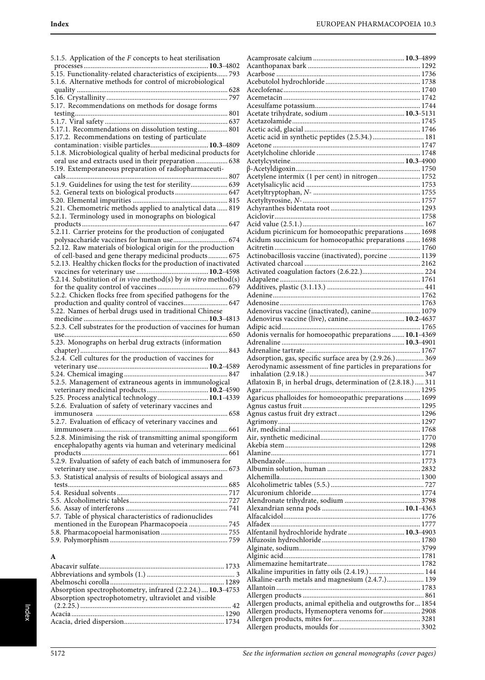5.1.5. Application of the F concepts to heat sterilisation processes .......................................................................**10.3**-4802 5.15. Functionality-related characteristics of excipients...... 793 5.1.6. Alternative methods for control of microbiological quality ...................................................................................... 628 5.16. Crystallinity ..................................................................... 797 5.17. Recommendations on methods for dosage forms testing....................................................................................... 801 5.1.7. Viral safety ...................................................................... 637 5.17.1. Recommendations on dissolution testing................. 801 5.17.2. Recommendations on testing of particulate contamination: visible particles.................................**10.3**-4809 5.1.8. Microbiological quality of herbal medicinal products for oral use and extracts used in their preparation .................. 638 5.19. Extemporaneous preparation of radiopharmaceuticals............................................................................................ 807 5.1.9. Guidelines for using the test for sterility..................... 639 5.2. General texts on biological products .............................. 647 5.20. Elemental impurities ...................................................... 815 5.21. Chemometric methods applied to analytical data ...... 819 5.2.1. Terminology used in monographs on biological products ................................................................................... 647 5.2.11. Carrier proteins for the production of conjugated polysaccharide vaccines for human use............................... 674 5.2.12. Raw materials of biological origin for the production of cell-based and gene therapy medicinal products ........... 675 5.2.13. Healthy chicken flocks for the production of inactivated vaccines for veterinary use .........................................**10.2**-4598 5.2.14. Substitution of in vivo method(s) by in vitro method(s) for the quality control of vaccines ........................................ 679 5.2.2. Chicken flocks free from specified pathogens for the production and quality control of vaccines......................... 647 5.22. Names of herbal drugs used in traditional Chinese medicine .......................................................................**10.3**-4813 5.2.3. Cell substrates for the production of vaccines for human use............................................................................................. 650 5.23. Monographs on herbal drug extracts (information chapter).................................................................................... 843 5.2.4. Cell cultures for the production of vaccines for veterinary use...............................................................**10.2**-4589 5.24. Chemical imaging ........................................................... 847 5.2.5. Management of extraneous agents in immunological veterinary medicinal products...................................**10.2**-4590 5.25. Process analytical technology.............................**10.1**-4339 5.2.6. Evaluation of safety of veterinary vaccines and immunosera ........................................................................... 658 5.2.7. Evaluation of efficacy of veterinary vaccines and immunosera ............................................................................ 661 5.2.8. Minimising the risk of transmitting animal spongiform encephalopathy agents via human and veterinary medicinal products ................................................................................... 661 5.2.9. Evaluation of safety of each batch of immunosera for veterinary use.......................................................................... 673 5.3. Statistical analysis of results of biological assays and tests........................................................................................... 685 5.4. Residual solvents ............................................................... 717 5.5. Alcoholimetric tables........................................................ 727 5.6. Assay of interferons .......................................................... 741 5.7. Table of physical characteristics of radionuclides mentioned in the European Pharmacopoeia ...................... 745 5.8. Pharmacopoeial harmonisation ...................................... 755 5.9. Polymorphism ................................................................... 759

# **A**

| Absorption spectrophotometry, infrared (2.2.24.) 10.3-4753 |  |
|------------------------------------------------------------|--|
| Absorption spectrophotometry, ultraviolet and visible      |  |
|                                                            |  |
|                                                            |  |
|                                                            |  |
|                                                            |  |

| .<br>Acetylene intermix (1 per cent) in nitrogen 1752            |  |
|------------------------------------------------------------------|--|
|                                                                  |  |
|                                                                  |  |
|                                                                  |  |
|                                                                  |  |
|                                                                  |  |
|                                                                  |  |
| Acidum picrinicum for homoeopathic preparations 1698             |  |
| Acidum succinicum for homoeopathic preparations  1698            |  |
|                                                                  |  |
| Actinobacillosis vaccine (inactivated), porcine  1139            |  |
|                                                                  |  |
|                                                                  |  |
|                                                                  |  |
|                                                                  |  |
|                                                                  |  |
| Adenovirus vaccine (inactivated), canine 1079                    |  |
| Adenovirus vaccine (live), canine 10.2-4637                      |  |
|                                                                  |  |
| Adonis vernalis for homoeopathic preparations  10.1-4369         |  |
|                                                                  |  |
| Adsorption, gas, specific surface area by (2.9.26.) 369          |  |
|                                                                  |  |
|                                                                  |  |
| Aerodynamic assessment of fine particles in preparations for     |  |
|                                                                  |  |
| Aflatoxin $B_1$ in herbal drugs, determination of (2.8.18.)  311 |  |
| Agaricus phalloides for homoeopathic preparations  1699          |  |
|                                                                  |  |
|                                                                  |  |
|                                                                  |  |
|                                                                  |  |
|                                                                  |  |
|                                                                  |  |
|                                                                  |  |
|                                                                  |  |
|                                                                  |  |
|                                                                  |  |
|                                                                  |  |
|                                                                  |  |
|                                                                  |  |
|                                                                  |  |
|                                                                  |  |
| Alfentanil hydrochloride hydrate  10.3-4903                      |  |
|                                                                  |  |
|                                                                  |  |
|                                                                  |  |
| Alkaline impurities in fatty oils (2.4.19.)  144                 |  |
| Alkaline-earth metals and magnesium (2.4.7.) 139                 |  |
|                                                                  |  |
|                                                                  |  |
| Allergen products, animal epithelia and outgrowths for 1854      |  |
| Allergen products, Hymenoptera venoms for 2908                   |  |
|                                                                  |  |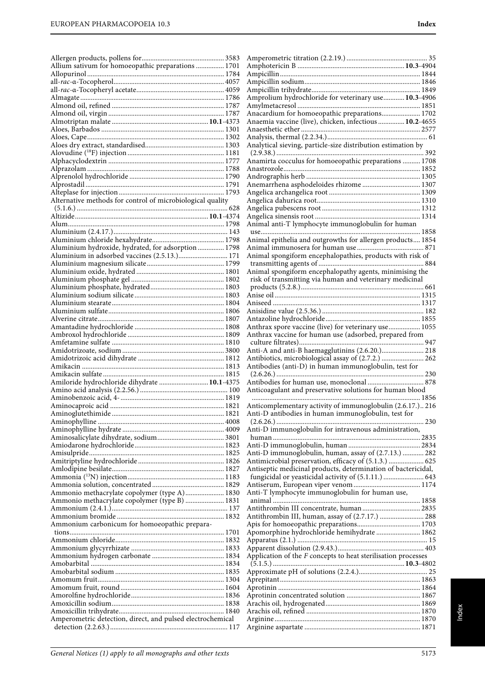|                                                            | Aı             |
|------------------------------------------------------------|----------------|
| Allium sativum for homoeopathic preparations  1701         | A <sub>1</sub> |
|                                                            | Aı             |
|                                                            | Aı             |
|                                                            |                |
|                                                            | Aı             |
|                                                            | Aı             |
|                                                            | Aı             |
|                                                            | Aı             |
|                                                            | Aı             |
|                                                            | Aı             |
|                                                            |                |
|                                                            | Aı             |
|                                                            | Aı             |
|                                                            | $\left($       |
|                                                            | Aı             |
|                                                            | Aı             |
|                                                            | Aı             |
|                                                            |                |
|                                                            | Aı             |
|                                                            | Aı             |
| Alternative methods for control of microbiological quality | A <sub>1</sub> |
|                                                            | Aı             |
|                                                            | Aı             |
|                                                            | A <sub>1</sub> |
|                                                            |                |
|                                                            | u              |
|                                                            | Aı             |
| Aluminium hydroxide, hydrated, for adsorption  1798        | Aι             |
| Aluminium in adsorbed vaccines (2.5.13.) 171               | Aı             |
|                                                            | t:             |
|                                                            |                |
|                                                            | Aı             |
|                                                            | $\mathbf{r}$   |
|                                                            | p              |
|                                                            | Aı             |
|                                                            | Aı             |
|                                                            | Aı             |
|                                                            | Aı             |
|                                                            |                |
|                                                            | Aı             |
|                                                            | Aı             |
|                                                            |                |
|                                                            | $\mathbf c$    |
|                                                            |                |
|                                                            | Aı             |
|                                                            | Aı             |
|                                                            | Aı             |
|                                                            | $\left($       |
| Amiloride hydrochloride dihydrate  10.1-4375               | Aı             |
|                                                            | Aı             |
|                                                            |                |
|                                                            |                |
|                                                            | Aı             |
|                                                            | Aı             |
|                                                            | €              |
|                                                            | Aı             |
|                                                            | h              |
|                                                            | Aı             |
|                                                            | Aı             |
|                                                            |                |
|                                                            | Aı             |
|                                                            | Aı             |
|                                                            | f              |
|                                                            | Aı             |
|                                                            | Aı             |
| Ammonio methacrylate copolymer (type A) 1830               | a              |
| Ammonio methacrylate copolymer (type B)  1831              |                |
|                                                            | Aı             |
|                                                            | Aı             |
| Ammonium carbonicum for homoeopathic prepara-              | Aţ             |
|                                                            | Ap             |
|                                                            | Ap             |
|                                                            | Aţ             |
|                                                            |                |
|                                                            | Ap             |
|                                                            | €              |
|                                                            | Ap             |
|                                                            | Ap             |
|                                                            | Ap             |
|                                                            | Ap             |
|                                                            | Aı             |
|                                                            |                |
|                                                            | Aı             |
| Amperometric detection, direct, and pulsed electrochemical | Aı<br>Aı       |

| Application of the $F$ concepts to heat sterilisation processes |
|-----------------------------------------------------------------|
|                                                                 |
| Apomorphine hydrochloride hemihydrate  1862                     |
|                                                                 |
| Antithrombin III, human, assay of (2.7.17.)  288                |
|                                                                 |
| Anti-T lymphocyte immunoglobulin for human use,                 |
|                                                                 |
| fungicidal or yeasticidal activity of (5.1.11.)  643            |
| Antiseptic medicinal products, determination of bactericidal,   |
| Antimicrobial preservation, efficacy of (5.1.3.)  625           |
| Anti-D immunoglobulin, human, assay of (2.7.13.)  282           |
|                                                                 |
|                                                                 |
| Anti-D immunoglobulin for intravenous administration,           |
| Anti-D antibodies in human immunoglobulin, test for             |
| Anticomplementary activity of immunoglobulin (2.6.17.) 216      |
|                                                                 |
| Anticoagulant and preservative solutions for human blood        |
|                                                                 |
|                                                                 |
| Antibodies (anti-D) in human immunoglobulin, test for           |
| Antibiotics, microbiological assay of (2.7.2.)  262             |
| Anti-A and anti-B haemagglutinins (2.6.20.) 218                 |
|                                                                 |
| Anthrax vaccine for human use (adsorbed, prepared from          |
| Anthrax spore vaccine (live) for veterinary use 1055            |
|                                                                 |
|                                                                 |
|                                                                 |
|                                                                 |
| risk of transmitting via human and veterinary medicinal         |
| Animal spongiform encephalopathy agents, minimising the         |
|                                                                 |
| Animal spongiform encephalopathies, products with risk of       |
| Animal epithelia and outgrowths for allergen products 1854      |
|                                                                 |
| Animal anti-T lymphocyte immunoglobulin for human               |
|                                                                 |
|                                                                 |
|                                                                 |
|                                                                 |
| Anemarrhena asphodeloides rhizome  1307                         |
|                                                                 |
|                                                                 |
| Anamirta cocculus for homoeopathic preparations  1708           |
| Analytical sieving, particle-size distribution estimation by    |
|                                                                 |
|                                                                 |
| Anaemia vaccine (live), chicken, infectious  10.2-4655          |
| Anacardium for homoeopathic preparations 1702                   |
|                                                                 |

Amperometric titration (2.2.19.) .............................................. 35 Amphotericin B .............................................................**10.3**-4904 Ampicillin................................................................................ 1844 Ampicillin sodium.................................................................. 1846 Ampicillin trihydrate.............................................................. 1849 Amprolium hydrochloride for veterinary use............**10.3**-4906

Index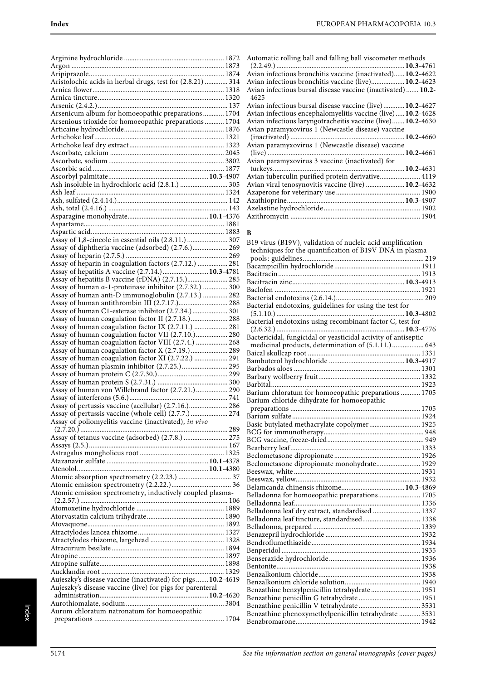| Aristolochic acids in herbal drugs, test for (2.8.21)  314                                                     |  |
|----------------------------------------------------------------------------------------------------------------|--|
|                                                                                                                |  |
|                                                                                                                |  |
|                                                                                                                |  |
| Arsenicum album for homoeopathic preparations 1704                                                             |  |
| Arsenious trioxide for homoeopathic preparations 1704                                                          |  |
|                                                                                                                |  |
|                                                                                                                |  |
|                                                                                                                |  |
|                                                                                                                |  |
|                                                                                                                |  |
|                                                                                                                |  |
| Ash insoluble in hydrochloric acid (2.8.1.)  305                                                               |  |
|                                                                                                                |  |
|                                                                                                                |  |
|                                                                                                                |  |
|                                                                                                                |  |
|                                                                                                                |  |
| Assay of 1,8-cineole in essential oils (2.8.11.)  307                                                          |  |
| Assay of diphtheria vaccine (adsorbed) (2.7.6.) 269                                                            |  |
| Assay of heparin in coagulation factors (2.7.12.)  281                                                         |  |
| Assay of hepatitis A vaccine (2.7.14.) 10.3-4781                                                               |  |
| Assay of hepatitis B vaccine (rDNA) (2.7.15.) 285                                                              |  |
| Assay of human a-1-proteinase inhibitor (2.7.32.)  300                                                         |  |
| Assay of human anti-D immunoglobulin (2.7.13.)  282                                                            |  |
| Assay of human antithrombin III (2.7.17.) 288<br>Assay of human C1-esterase inhibitor (2.7.34.)  301           |  |
| Assay of human coagulation factor II (2.7.18.) 288                                                             |  |
| Assay of human coagulation factor IX (2.7.11.)  281                                                            |  |
| Assay of human coagulation factor VII (2.7.10.) 280                                                            |  |
| Assay of human coagulation factor VIII (2.7.4.)  268                                                           |  |
| Assay of human coagulation factor X (2.7.19.) 289                                                              |  |
| Assay of human coagulation factor XI (2.7.22.)  291<br>Assay of human plasmin inhibitor (2.7.25.)  295         |  |
|                                                                                                                |  |
|                                                                                                                |  |
| Assay of human von Willebrand factor (2.7.21.) 290                                                             |  |
|                                                                                                                |  |
| Assay of pertussis vaccine (acellular) (2.7.16.) 286                                                           |  |
| Assay of pertussis vaccine (whole cell) (2.7.7.)  274<br>Assay of poliomyelitis vaccine (inactivated), in vivo |  |
|                                                                                                                |  |
| Assay of tetanus vaccine (adsorbed) (2.7.8.)  275                                                              |  |
|                                                                                                                |  |
|                                                                                                                |  |
|                                                                                                                |  |
|                                                                                                                |  |
|                                                                                                                |  |
| Atomic emission spectrometry, inductively coupled plasma-                                                      |  |
|                                                                                                                |  |
|                                                                                                                |  |
|                                                                                                                |  |
|                                                                                                                |  |
|                                                                                                                |  |
|                                                                                                                |  |
|                                                                                                                |  |
|                                                                                                                |  |
|                                                                                                                |  |
|                                                                                                                |  |
| Aujeszky's disease vaccine (inactivated) for pigs  10.2-4619                                                   |  |
| Aujeszky's disease vaccine (live) for pigs for parenteral                                                      |  |
|                                                                                                                |  |
| Aurum chloratum natronatum for homoeopathic                                                                    |  |

| Automatic rolling ball and falling ball viscometer methods           |  |
|----------------------------------------------------------------------|--|
|                                                                      |  |
| Avian infectious bronchitis vaccine (inactivated) 10.2-4622          |  |
| Avian infectious bronchitis vaccine (live) 10.2-4623                 |  |
| Avian infectious bursal disease vaccine (inactivated)  10.2-<br>4625 |  |
| Avian infectious bursal disease vaccine (live) 10.2-4627             |  |
| Avian infectious encephalomyelitis vaccine (live) 10.2-4628          |  |
| Avian infectious laryngotracheitis vaccine (live) 10.2-4630          |  |
| Avian paramyxovirus 1 (Newcastle disease) vaccine                    |  |
|                                                                      |  |
| Avian paramyxovirus 1 (Newcastle disease) vaccine                    |  |
|                                                                      |  |
| Avian paramyxovirus 3 vaccine (inactivated) for                      |  |
|                                                                      |  |
| Avian tuberculin purified protein derivative 4119                    |  |
| Avian viral tenosynovitis vaccine (live)  10.2-4632                  |  |
|                                                                      |  |
|                                                                      |  |
|                                                                      |  |

Azithromycin .......................................................................... 1904

# **B**

| B19 virus (B19V), validation of nucleic acid amplification<br>techniques for the quantification of B19V DNA in plasma |  |
|-----------------------------------------------------------------------------------------------------------------------|--|
|                                                                                                                       |  |
|                                                                                                                       |  |
|                                                                                                                       |  |
|                                                                                                                       |  |
|                                                                                                                       |  |
|                                                                                                                       |  |
| Bacterial endotoxins, guidelines for using the test for                                                               |  |
| Bacterial endotoxins using recombinant factor C, test for                                                             |  |
|                                                                                                                       |  |
| Bactericidal, fungicidal or yeasticidal activity of antiseptic                                                        |  |
| medicinal products, determination of (5.1.11.)  643                                                                   |  |
|                                                                                                                       |  |
|                                                                                                                       |  |
|                                                                                                                       |  |
|                                                                                                                       |  |
|                                                                                                                       |  |
| Barium chloratum for homoeopathic preparations  1705                                                                  |  |
| Barium chloride dihydrate for homoeopathic                                                                            |  |
|                                                                                                                       |  |
|                                                                                                                       |  |
|                                                                                                                       |  |
|                                                                                                                       |  |
|                                                                                                                       |  |
|                                                                                                                       |  |
|                                                                                                                       |  |
| Beclometasone dipropionate monohydrate 1929                                                                           |  |
|                                                                                                                       |  |
|                                                                                                                       |  |
|                                                                                                                       |  |
| Belladonna for homoeopathic preparations 1705                                                                         |  |
|                                                                                                                       |  |
| Belladonna leaf dry extract, standardised  1337                                                                       |  |
| Belladonna leaf tincture, standardised 1338                                                                           |  |
|                                                                                                                       |  |
|                                                                                                                       |  |
|                                                                                                                       |  |
|                                                                                                                       |  |
|                                                                                                                       |  |
|                                                                                                                       |  |
|                                                                                                                       |  |
|                                                                                                                       |  |
|                                                                                                                       |  |
| Benzathine benzylpenicillin tetrahydrate 1951                                                                         |  |
|                                                                                                                       |  |
|                                                                                                                       |  |
| Benzathine phenoxymethylpenicillin tetrahydrate  3531                                                                 |  |
|                                                                                                                       |  |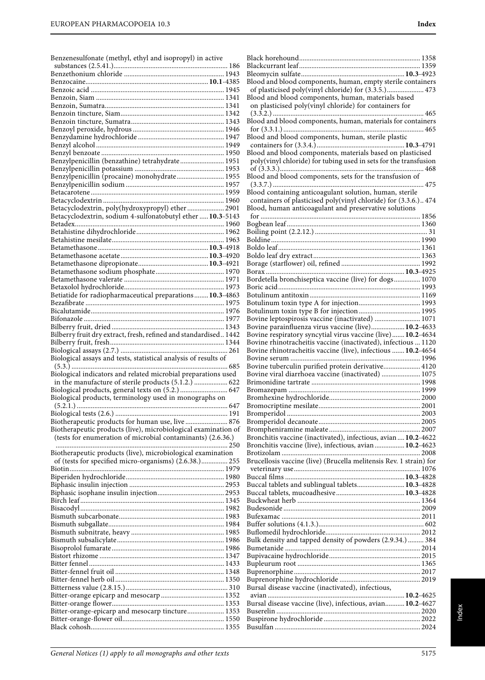Benzenesulfonate (methyl, ethyl and isopropyl) in active

| Benzylpenicillin (benzathine) tetrahydrate 1951                                                                               |
|-------------------------------------------------------------------------------------------------------------------------------|
|                                                                                                                               |
|                                                                                                                               |
|                                                                                                                               |
|                                                                                                                               |
|                                                                                                                               |
| Betacyclodextrin, poly(hydroxypropyl) ether  2901<br>Betacyclodextrin, sodium 4-sulfonatobutyl ether  10.3-5143               |
|                                                                                                                               |
|                                                                                                                               |
|                                                                                                                               |
|                                                                                                                               |
|                                                                                                                               |
|                                                                                                                               |
|                                                                                                                               |
|                                                                                                                               |
| Betiatide for radiopharmaceutical preparations  10.3-4863                                                                     |
|                                                                                                                               |
|                                                                                                                               |
|                                                                                                                               |
| Bilberry fruit dry extract, fresh, refined and standardised 1442                                                              |
|                                                                                                                               |
|                                                                                                                               |
| Biological assays and tests, statistical analysis of results of                                                               |
| Biological indicators and related microbial preparations used                                                                 |
|                                                                                                                               |
| in the manufacture of sterile products (5.1.2.)  622                                                                          |
| Biological products, general texts on (5.2.)  647                                                                             |
| Biological products, terminology used in monographs on                                                                        |
|                                                                                                                               |
|                                                                                                                               |
| Biotherapeutic products for human use, live  876                                                                              |
| Biotherapeutic products (live), microbiological examination of<br>(tests for enumeration of microbial contaminants) (2.6.36.) |
|                                                                                                                               |
| Biotherapeutic products (live), microbiological examination<br>of (tests for specified micro-organisms) (2.6.38.) 255         |
|                                                                                                                               |
|                                                                                                                               |
|                                                                                                                               |
|                                                                                                                               |
|                                                                                                                               |
|                                                                                                                               |
|                                                                                                                               |
|                                                                                                                               |
|                                                                                                                               |
|                                                                                                                               |
|                                                                                                                               |
|                                                                                                                               |
|                                                                                                                               |
|                                                                                                                               |
|                                                                                                                               |
|                                                                                                                               |
| Bitter-orange-epicarp and mesocarp tincture 1353                                                                              |
|                                                                                                                               |

| Blood and blood components, human, empty sterile containers        |  |
|--------------------------------------------------------------------|--|
| of plasticised poly(vinyl chloride) for (3.3.5.) 473               |  |
| Blood and blood components, human, materials based                 |  |
| on plasticised poly(vinyl chloride) for containers for             |  |
|                                                                    |  |
| Blood and blood components, human, materials for containers        |  |
| Blood and blood components, human, sterile plastic                 |  |
|                                                                    |  |
| Blood and blood components, materials based on plasticised         |  |
| poly(vinyl chloride) for tubing used in sets for the transfusion   |  |
|                                                                    |  |
| Blood and blood components, sets for the transfusion of            |  |
| Blood containing anticoagulant solution, human, sterile            |  |
| containers of plasticised poly(vinyl chloride) for (3.3.6.) 474    |  |
| Blood, human anticoagulant and preservative solutions              |  |
|                                                                    |  |
|                                                                    |  |
|                                                                    |  |
|                                                                    |  |
|                                                                    |  |
|                                                                    |  |
|                                                                    |  |
| Bordetella bronchiseptica vaccine (live) for dogs 1070             |  |
|                                                                    |  |
|                                                                    |  |
|                                                                    |  |
| Bovine leptospirosis vaccine (inactivated)  1071                   |  |
| Bovine parainfluenza virus vaccine (live) 10.2-4633                |  |
| Bovine respiratory syncytial virus vaccine (live) 10.2-4634        |  |
|                                                                    |  |
| Bovine rhinotracheitis vaccine (inactivated), infectious  1120     |  |
| Bovine rhinotracheitis vaccine (live), infectious  10.2-4654       |  |
| Bovine tuberculin purified protein derivative 4120                 |  |
| Bovine viral diarrhoea vaccine (inactivated)  1075                 |  |
|                                                                    |  |
|                                                                    |  |
|                                                                    |  |
|                                                                    |  |
|                                                                    |  |
|                                                                    |  |
| Bronchitis vaccine (inactivated), infectious, avian  10.2-4622     |  |
| Bronchitis vaccine (live), infectious, avian  10.2-4623            |  |
|                                                                    |  |
| Brucellosis vaccine (live) (Brucella melitensis Rev. 1 strain) for |  |
|                                                                    |  |
| Buccal tablets and sublingual tablets 10.3-4828                    |  |
|                                                                    |  |
|                                                                    |  |
|                                                                    |  |
|                                                                    |  |
|                                                                    |  |
| Bulk density and tapped density of powders (2.9.34.)  384          |  |
|                                                                    |  |
|                                                                    |  |
|                                                                    |  |
|                                                                    |  |
| Bursal disease vaccine (inactivated), infectious,                  |  |
|                                                                    |  |
| Bursal disease vaccine (live), infectious, avian 10.2-4627         |  |
|                                                                    |  |

Index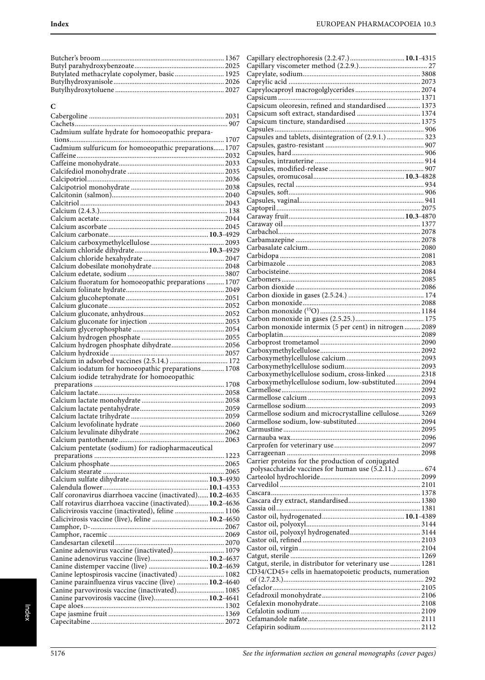| Butylated methacrylate copolymer, basic 1925 ( |  |
|------------------------------------------------|--|
|                                                |  |
|                                                |  |
|                                                |  |

| C                                                          |      |
|------------------------------------------------------------|------|
|                                                            |      |
|                                                            |      |
| Cadmium sulfate hydrate for homoeopathic prepara-          |      |
|                                                            |      |
| Cadmium sulfuricum for homoeopathic preparations 1707      |      |
|                                                            |      |
|                                                            |      |
|                                                            |      |
|                                                            |      |
|                                                            |      |
|                                                            |      |
|                                                            |      |
|                                                            |      |
|                                                            |      |
|                                                            |      |
|                                                            |      |
|                                                            |      |
|                                                            |      |
|                                                            |      |
| Calcium fluoratum for homoeopathic preparations  1707      |      |
|                                                            |      |
|                                                            |      |
|                                                            |      |
|                                                            |      |
|                                                            |      |
|                                                            |      |
|                                                            |      |
| Calcium hydrogen phosphate dihydrate 2056                  |      |
|                                                            |      |
|                                                            |      |
|                                                            |      |
| Calcium iodatum for homoeopathic preparations 1708         |      |
| Calcium iodide tetrahydrate for homoeopathic               |      |
|                                                            |      |
|                                                            |      |
|                                                            |      |
|                                                            |      |
|                                                            |      |
|                                                            |      |
|                                                            |      |
| Calcium pentetate (sodium) for radiopharmaceutical         |      |
|                                                            | 1223 |
|                                                            |      |
|                                                            |      |
|                                                            |      |
|                                                            |      |
| Calf coronavirus diarrhoea vaccine (inactivated) 10.2-4635 |      |
| Calf rotavirus diarrhoea vaccine (inactivated) 10.2-4636   |      |
| Calicivirosis vaccine (inactivated), feline  1106          |      |
| Calicivirosis vaccine (live), feline  10.2-4650            |      |
|                                                            |      |
|                                                            |      |
| Canine adenovirus vaccine (inactivated) 1079               |      |
| Canine adenovirus vaccine (live) 10.2-4637                 |      |
| Canine distemper vaccine (live)  10.2-4639                 |      |
| Canine leptospirosis vaccine (inactivated)  1082           |      |
| Canine parainfluenza virus vaccine (live)  10.2-4640       |      |
| Canine parvovirosis vaccine (inactivated) 1085             |      |
| Canine parvovirosis vaccine (live) 10.2-4641               |      |
|                                                            |      |

| Capillary electrophoresis (2.2.47.) 10.1-4315            |  |
|----------------------------------------------------------|--|
|                                                          |  |
|                                                          |  |
|                                                          |  |
|                                                          |  |
| Capsicum oleoresin, refined and standardised  1373       |  |
|                                                          |  |
|                                                          |  |
| Capsules and tablets, disintegration of (2.9.1.)  323    |  |
|                                                          |  |
|                                                          |  |
|                                                          |  |
|                                                          |  |
|                                                          |  |
|                                                          |  |
|                                                          |  |
|                                                          |  |
|                                                          |  |
|                                                          |  |
|                                                          |  |
|                                                          |  |
|                                                          |  |
|                                                          |  |
|                                                          |  |
|                                                          |  |
|                                                          |  |
|                                                          |  |
|                                                          |  |
|                                                          |  |
|                                                          |  |
| Carbon monoxide intermix (5 per cent) in nitrogen  2089  |  |
|                                                          |  |
|                                                          |  |
|                                                          |  |
|                                                          |  |
| Carboxymethylcellulose sodium, cross-linked  2318        |  |
|                                                          |  |
|                                                          |  |
|                                                          |  |
|                                                          |  |
| Carmellose sodium and microcrystalline cellulose 3269    |  |
|                                                          |  |
|                                                          |  |
|                                                          |  |
|                                                          |  |
| Carrier proteins for the production of conjugated        |  |
| polysaccharide vaccines for human use (5.2.11.)  674     |  |
|                                                          |  |
|                                                          |  |
|                                                          |  |
|                                                          |  |
|                                                          |  |
|                                                          |  |
|                                                          |  |
|                                                          |  |
|                                                          |  |
| Catgut, sterile, in distributor for veterinary use  1281 |  |
| CD34/CD45+ cells in haematopoietic products, numeration  |  |
|                                                          |  |
|                                                          |  |
|                                                          |  |
|                                                          |  |
|                                                          |  |
|                                                          |  |
|                                                          |  |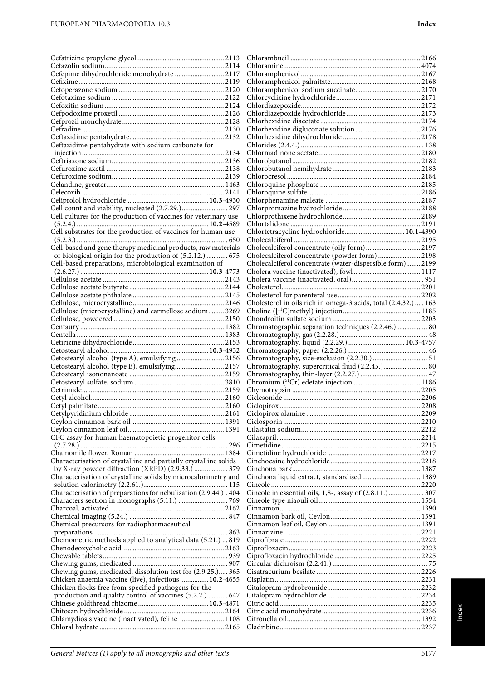| Cefepime dihydrochloride monohydrate  2117                                                                           |                                                                 |  |
|----------------------------------------------------------------------------------------------------------------------|-----------------------------------------------------------------|--|
|                                                                                                                      |                                                                 |  |
|                                                                                                                      |                                                                 |  |
|                                                                                                                      |                                                                 |  |
|                                                                                                                      |                                                                 |  |
|                                                                                                                      |                                                                 |  |
|                                                                                                                      |                                                                 |  |
|                                                                                                                      |                                                                 |  |
| Ceftazidime pentahydrate with sodium carbonate for                                                                   |                                                                 |  |
|                                                                                                                      |                                                                 |  |
|                                                                                                                      |                                                                 |  |
|                                                                                                                      |                                                                 |  |
|                                                                                                                      |                                                                 |  |
|                                                                                                                      |                                                                 |  |
|                                                                                                                      |                                                                 |  |
|                                                                                                                      |                                                                 |  |
| Cell count and viability, nucleated (2.7.29.) 297<br>Cell cultures for the production of vaccines for veterinary use |                                                                 |  |
|                                                                                                                      |                                                                 |  |
| Cell substrates for the production of vaccines for human use                                                         | Chlortetracycline hydrochloride 10.1-4390                       |  |
|                                                                                                                      |                                                                 |  |
| Cell-based and gene therapy medicinal products, raw materials                                                        | Cholecalciferol concentrate (oily form) 2197                    |  |
| of biological origin for the production of (5.2.12.)  675                                                            | Cholecalciferol concentrate (powder form)  2198                 |  |
| Cell-based preparations, microbiological examination of                                                              | Cholecalciferol concentrate (water-dispersible form) 2199       |  |
|                                                                                                                      |                                                                 |  |
|                                                                                                                      |                                                                 |  |
|                                                                                                                      |                                                                 |  |
|                                                                                                                      |                                                                 |  |
|                                                                                                                      | Cholesterol in oils rich in omega-3 acids, total (2.4.32.)  163 |  |
| Cellulose (microcrystalline) and carmellose sodium 3269                                                              |                                                                 |  |
|                                                                                                                      |                                                                 |  |
|                                                                                                                      | Chromatographic separation techniques (2.2.46.)  80             |  |
|                                                                                                                      |                                                                 |  |
|                                                                                                                      |                                                                 |  |
| Cetostearyl alcohol (type A), emulsifying  2156                                                                      |                                                                 |  |
| Cetostearyl alcohol (type B), emulsifying 2157                                                                       | Chromatography, supercritical fluid (2.2.45.) 80                |  |
|                                                                                                                      |                                                                 |  |
|                                                                                                                      |                                                                 |  |
|                                                                                                                      |                                                                 |  |
|                                                                                                                      |                                                                 |  |
|                                                                                                                      |                                                                 |  |
|                                                                                                                      |                                                                 |  |
|                                                                                                                      |                                                                 |  |
|                                                                                                                      |                                                                 |  |
| CFC assay for human haematopoietic progenitor cells                                                                  |                                                                 |  |
|                                                                                                                      |                                                                 |  |
| Characterisation of crystalline and partially crystalline solids                                                     |                                                                 |  |
| by X-ray powder diffraction (XRPD) (2.9.33.)  379                                                                    |                                                                 |  |
| Characterisation of crystalline solids by microcalorimetry and                                                       |                                                                 |  |
|                                                                                                                      |                                                                 |  |
| Characterisation of preparations for nebulisation (2.9.44.) 404                                                      | Cineole in essential oils, 1,8-, assay of (2.8.11.)  307        |  |
|                                                                                                                      |                                                                 |  |
|                                                                                                                      |                                                                 |  |
|                                                                                                                      |                                                                 |  |
| Chemical precursors for radiopharmaceutical                                                                          |                                                                 |  |
| Chemometric methods applied to analytical data (5.21.)  819                                                          |                                                                 |  |
|                                                                                                                      |                                                                 |  |
|                                                                                                                      |                                                                 |  |
|                                                                                                                      |                                                                 |  |
| Chewing gums, medicated, dissolution test for (2.9.25.) 365                                                          |                                                                 |  |
| Chicken anaemia vaccine (live), infectious 10.2-4655                                                                 |                                                                 |  |
| Chicken flocks free from specified pathogens for the                                                                 |                                                                 |  |
| production and quality control of vaccines (5.2.2.)  647                                                             |                                                                 |  |
|                                                                                                                      |                                                                 |  |
|                                                                                                                      |                                                                 |  |
| Chlamydiosis vaccine (inactivated), feline  1108                                                                     |                                                                 |  |
|                                                                                                                      |                                                                 |  |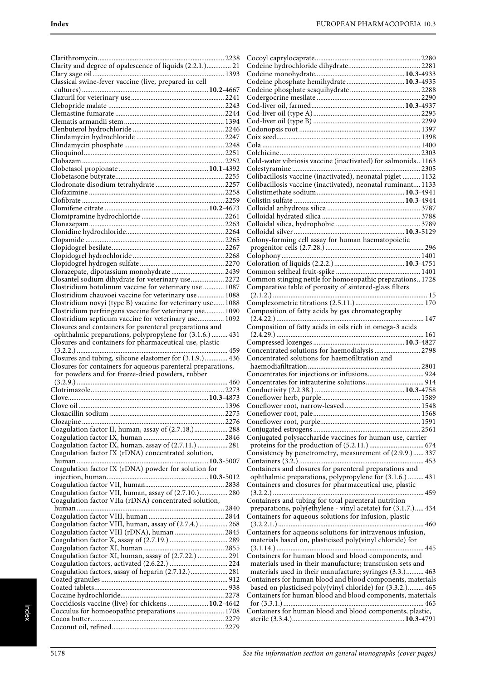| Clarity and degree of opalescence of liquids (2.2.1.) 21     |  |
|--------------------------------------------------------------|--|
|                                                              |  |
| Classical swine-fever vaccine (live, prepared in cell        |  |
|                                                              |  |
|                                                              |  |
|                                                              |  |
|                                                              |  |
|                                                              |  |
|                                                              |  |
|                                                              |  |
|                                                              |  |
|                                                              |  |
|                                                              |  |
|                                                              |  |
|                                                              |  |
|                                                              |  |
|                                                              |  |
|                                                              |  |
|                                                              |  |
|                                                              |  |
|                                                              |  |
|                                                              |  |
|                                                              |  |
|                                                              |  |
|                                                              |  |
|                                                              |  |
| Clorazepate, dipotassium monohydrate  2439                   |  |
| Closantel sodium dihydrate for veterinary use 2272           |  |
| Clostridium botulinum vaccine for veterinary use  1087       |  |
| Clostridium chauvoei vaccine for veterinary use  1088        |  |
| Clostridium novyi (type B) vaccine for veterinary use 1088   |  |
| Clostridium perfringens vaccine for veterinary use 1090      |  |
| Clostridium septicum vaccine for veterinary use 1092         |  |
| Closures and containers for parenteral preparations and      |  |
| ophthalmic preparations, polypropylene for (3.1.6.)  431     |  |
| Closures and containers for pharmaceutical use, plastic      |  |
|                                                              |  |
|                                                              |  |
| Closures and tubing, silicone elastomer for (3.1.9.) 436     |  |
| Closures for containers for aqueous parenteral preparations, |  |
| for powders and for freeze-dried powders, rubber             |  |
|                                                              |  |
|                                                              |  |
|                                                              |  |
|                                                              |  |
|                                                              |  |
|                                                              |  |
| Coagulation factor II, human, assay of (2.7.18.) 288         |  |
|                                                              |  |
| Coagulation factor IX, human, assay of (2.7.11.)  281        |  |
| Coagulation factor IX (rDNA) concentrated solution,          |  |
|                                                              |  |
| Coagulation factor IX (rDNA) powder for solution for         |  |
|                                                              |  |
| Coagulation factor VII, human, assay of (2.7.10.) 280        |  |
| Coagulation factor VIIa (rDNA) concentrated solution,        |  |
|                                                              |  |
|                                                              |  |
| Coagulation factor VIII, human, assay of (2.7.4.)  268       |  |
| Coagulation factor VIII (rDNA), human  2845                  |  |
|                                                              |  |
|                                                              |  |
| Coagulation factor XI, human, assay of (2.7.22.)  291        |  |
|                                                              |  |
| Coagulation factors, assay of heparin (2.7.12.) 281          |  |
|                                                              |  |
|                                                              |  |
|                                                              |  |
| Coccidiosis vaccine (live) for chickens  10.2-4642           |  |
| Cocculus for homoeopathic preparations  1708                 |  |
|                                                              |  |

| Codeine phosphate hemihydrate 10.3-4935                                                                                  |  |
|--------------------------------------------------------------------------------------------------------------------------|--|
|                                                                                                                          |  |
|                                                                                                                          |  |
|                                                                                                                          |  |
|                                                                                                                          |  |
|                                                                                                                          |  |
|                                                                                                                          |  |
|                                                                                                                          |  |
|                                                                                                                          |  |
| Cold-water vibriosis vaccine (inactivated) for salmonids 1163                                                            |  |
| Colibacillosis vaccine (inactivated), neonatal piglet  1132                                                              |  |
| Colibacillosis vaccine (inactivated), neonatal ruminant 1133                                                             |  |
|                                                                                                                          |  |
|                                                                                                                          |  |
|                                                                                                                          |  |
|                                                                                                                          |  |
|                                                                                                                          |  |
|                                                                                                                          |  |
| Colony-forming cell assay for human haematopoietic                                                                       |  |
|                                                                                                                          |  |
|                                                                                                                          |  |
|                                                                                                                          |  |
| Common stinging nettle for homoeopathic preparations 1728                                                                |  |
| Comparative table of porosity of sintered-glass filters                                                                  |  |
|                                                                                                                          |  |
|                                                                                                                          |  |
| Composition of fatty acids by gas chromatography                                                                         |  |
|                                                                                                                          |  |
|                                                                                                                          |  |
| Composition of fatty acids in oils rich in omega-3 acids                                                                 |  |
|                                                                                                                          |  |
|                                                                                                                          |  |
| Concentrated solutions for haemodialysis  2798                                                                           |  |
| Concentrated solutions for haemofiltration and                                                                           |  |
|                                                                                                                          |  |
|                                                                                                                          |  |
|                                                                                                                          |  |
|                                                                                                                          |  |
|                                                                                                                          |  |
|                                                                                                                          |  |
|                                                                                                                          |  |
|                                                                                                                          |  |
| Conjugated polysaccharide vaccines for human use, carrier                                                                |  |
| Consistency by penetrometry, measurement of (2.9.9.) 337                                                                 |  |
|                                                                                                                          |  |
| Containers and closures for parenteral preparations and                                                                  |  |
| ophthalmic preparations, polypropylene for (3.1.6.)  431                                                                 |  |
| Containers and closures for pharmaceutical use, plastic                                                                  |  |
|                                                                                                                          |  |
| Containers and tubing for total parenteral nutrition                                                                     |  |
| preparations, poly(ethylene - vinyl acetate) for (3.1.7.) 434<br>Containers for aqueous solutions for infusion, plastic  |  |
|                                                                                                                          |  |
| Containers for aqueous solutions for intravenous infusion,                                                               |  |
| materials based on, plasticised poly(vinyl chloride) for                                                                 |  |
|                                                                                                                          |  |
| Containers for human blood and blood components, and                                                                     |  |
| materials used in their manufacture; transfusion sets and                                                                |  |
| materials used in their manufacture; syringes (3.3.) 463                                                                 |  |
| Containers for human blood and blood components, materials<br>based on plasticised poly(vinyl chloride) for (3.3.2.) 465 |  |
| Containers for human blood and blood components, materials                                                               |  |
|                                                                                                                          |  |
| Containers for human blood and blood components, plastic,                                                                |  |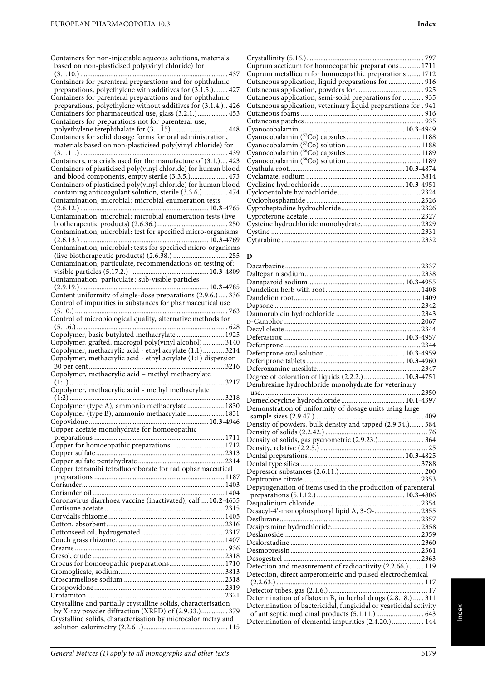| Containers for non-injectable aqueous solutions, materials<br>based on non-plasticised poly(vinyl chloride) for                                                                      |
|--------------------------------------------------------------------------------------------------------------------------------------------------------------------------------------|
| Containers for parenteral preparations and for ophthalmic<br>preparations, polyethylene with additives for (3.1.5.) 427<br>Containers for parenteral preparations and for ophthalmic |
| preparations, polyethylene without additives for (3.1.4.) 426<br>Containers for pharmaceutical use, glass (3.2.1.) 453<br>Containers for preparations not for parenteral use,        |
| Containers for solid dosage forms for oral administration,<br>materials based on non-plasticised poly(vinyl chloride) for                                                            |
| Containers, materials used for the manufacture of (3.1.) 423                                                                                                                         |
| Containers of plasticised poly(vinyl chloride) for human blood<br>and blood components, empty sterile (3.3.5.) 473<br>Containers of plasticised poly(vinyl chloride) for human blood |
| containing anticoagulant solution, sterile (3.3.6.)  474<br>Contamination, microbial: microbial enumeration tests                                                                    |
| Contamination, microbial: microbial enumeration tests (live                                                                                                                          |
| Contamination, microbial: test for specified micro-organisms<br>Contamination, microbial: tests for specified micro-organisms                                                        |
| Contamination, particulate, recommendations on testing of:                                                                                                                           |
| Contamination, particulate: sub-visible particles                                                                                                                                    |
| Content uniformity of single-dose preparations (2.9.6.)  336<br>Control of impurities in substances for pharmaceutical use                                                           |
| Control of microbiological quality, alternative methods for                                                                                                                          |
| Copolymer, basic butylated methacrylate  1925<br>Copolymer, grafted, macrogol poly(vinyl alcohol)  3140                                                                              |
| Copolymer, methacrylic acid - ethyl acrylate (1:1) 3214<br>Copolymer, methacrylic acid - ethyl acrylate (1:1) dispersion                                                             |
| 3217                                                                                                                                                                                 |
| Copolymer, methacrylic acid - methyl methacrylate<br>Copolymer (type A), ammonio methacrylate 1830                                                                                   |
| Copolymer (type B), ammonio methacrylate  1831<br>Copper acetate monohydrate for homoeopathic                                                                                        |
| Copper for homoeopathic preparations  1712                                                                                                                                           |
|                                                                                                                                                                                      |
| Copper tetramibi tetrafluoroborate for radiopharmaceutical                                                                                                                           |
|                                                                                                                                                                                      |
| Coronavirus diarrhoea vaccine (inactivated), calf  10.2-4635                                                                                                                         |
|                                                                                                                                                                                      |
|                                                                                                                                                                                      |
| Crocus for homoeopathic preparations 1710                                                                                                                                            |
|                                                                                                                                                                                      |
|                                                                                                                                                                                      |
| Crystalline and partially crystalline solids, characterisation<br>by X-ray powder diffraction (XRPD) of (2.9.33.) 379                                                                |
| Crystalline solids, characterisation by microcalorimetry and                                                                                                                         |

# **D**

| Degree of coloration of liquids (2.2.2.)  10.3-4751               |  |
|-------------------------------------------------------------------|--|
| Dembrexine hydrochloride monohydrate for veterinary               |  |
|                                                                   |  |
|                                                                   |  |
| Demonstration of uniformity of dosage units using large           |  |
|                                                                   |  |
| Density of powders, bulk density and tapped (2.9.34.) 384         |  |
|                                                                   |  |
|                                                                   |  |
|                                                                   |  |
|                                                                   |  |
|                                                                   |  |
|                                                                   |  |
|                                                                   |  |
| Depyrogenation of items used in the production of parenteral      |  |
|                                                                   |  |
|                                                                   |  |
| Desacyl-4'-monophosphoryl lipid A, 3-O- 2355                      |  |
|                                                                   |  |
|                                                                   |  |
|                                                                   |  |
|                                                                   |  |
|                                                                   |  |
|                                                                   |  |
| Detection and measurement of radioactivity (2.2.66.)  119         |  |
| Detection, direct amperometric and pulsed electrochemical         |  |
|                                                                   |  |
|                                                                   |  |
| Determination of aflatoxin $B_1$ in herbal drugs (2.8.18.)  311   |  |
| Determination of bactericidal, fungicidal or yeasticidal activity |  |
|                                                                   |  |
| Determination of elemental impurities (2.4.20.)  144              |  |
|                                                                   |  |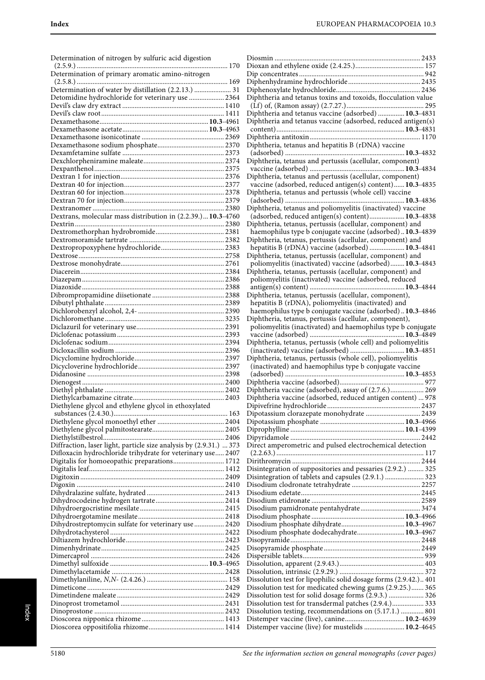| Determination of nitrogen by sulfuric acid digestion               | Γ<br>Γ              |
|--------------------------------------------------------------------|---------------------|
| Determination of primary aromatic amino-nitrogen                   | Г<br>Γ              |
|                                                                    |                     |
| Determination of water by distillation (2.2.13.)  31               | Γ                   |
| Detomidine hydrochloride for veterinary use  2364                  | Γ                   |
|                                                                    |                     |
|                                                                    | Γ                   |
|                                                                    | Γ                   |
|                                                                    |                     |
|                                                                    |                     |
|                                                                    | Γ                   |
|                                                                    | Γ                   |
|                                                                    |                     |
|                                                                    | Ε                   |
|                                                                    |                     |
|                                                                    | Γ                   |
|                                                                    |                     |
|                                                                    | Γ                   |
|                                                                    |                     |
|                                                                    |                     |
|                                                                    | Ε                   |
| Dextrans, molecular mass distribution in (2.2.39.)10.3-4760        |                     |
|                                                                    | Γ                   |
|                                                                    |                     |
|                                                                    | Γ                   |
|                                                                    |                     |
|                                                                    | Γ                   |
|                                                                    |                     |
|                                                                    |                     |
|                                                                    | Γ                   |
|                                                                    |                     |
|                                                                    |                     |
|                                                                    | Γ                   |
|                                                                    |                     |
|                                                                    |                     |
|                                                                    |                     |
|                                                                    | Γ                   |
|                                                                    |                     |
|                                                                    |                     |
|                                                                    | Γ                   |
|                                                                    |                     |
|                                                                    | Γ                   |
|                                                                    |                     |
|                                                                    |                     |
|                                                                    | Γ                   |
|                                                                    |                     |
|                                                                    | Γ                   |
|                                                                    | Ε                   |
| Diethylene glycol and ethylene glycol in ethoxylated               | $\overline{\Gamma}$ |
|                                                                    | Γ                   |
|                                                                    | Γ                   |
|                                                                    | $\overline{\Gamma}$ |
|                                                                    | Γ                   |
| Diffraction, laser light, particle size analysis by (2.9.31.)  373 | Γ                   |
| Difloxacin hydrochloride trihydrate for veterinary use 2407        |                     |
|                                                                    |                     |
| Digitalis for homoeopathic preparations 1712                       | Γ                   |
|                                                                    | Γ                   |
|                                                                    | $\overline{\Gamma}$ |
|                                                                    | Γ                   |
|                                                                    | Γ                   |
|                                                                    | Γ                   |
|                                                                    | Γ                   |
|                                                                    | Γ                   |
|                                                                    |                     |
| Dihydrostreptomycin sulfate for veterinary use  2420               | Γ                   |
|                                                                    | Γ                   |
|                                                                    | Γ                   |
|                                                                    | Γ                   |
|                                                                    | Γ                   |
|                                                                    | Γ                   |
|                                                                    | Γ                   |
|                                                                    | Γ                   |
|                                                                    |                     |
|                                                                    | Γ                   |
|                                                                    | Γ                   |
|                                                                    | Γ                   |
|                                                                    | Γ                   |
|                                                                    | Γ                   |
|                                                                    | Γ                   |

| Diphtheria and tetanus toxins and toxoids, flocculation value    |  |
|------------------------------------------------------------------|--|
|                                                                  |  |
| Diphtheria and tetanus vaccine (adsorbed)  10.3-4831             |  |
|                                                                  |  |
| Diphtheria and tetanus vaccine (adsorbed, reduced antigen(s)     |  |
|                                                                  |  |
|                                                                  |  |
| Diphtheria, tetanus and hepatitis B (rDNA) vaccine               |  |
|                                                                  |  |
|                                                                  |  |
| Diphtheria, tetanus and pertussis (acellular, component)         |  |
|                                                                  |  |
| Diphtheria, tetanus and pertussis (acellular, component)         |  |
| vaccine (adsorbed, reduced antigen(s) content) 10.3-4835         |  |
|                                                                  |  |
| Diphtheria, tetanus and pertussis (whole cell) vaccine           |  |
|                                                                  |  |
| Diphtheria, tetanus and poliomyelitis (inactivated) vaccine      |  |
| (adsorbed, reduced antigen(s) content) 10.3-4838                 |  |
|                                                                  |  |
| Diphtheria, tetanus, pertussis (acellular, component) and        |  |
| haemophilus type b conjugate vaccine (adsorbed) 10.3-4839        |  |
| Diphtheria, tetanus, pertussis (acellular, component) and        |  |
| hepatitis B (rDNA) vaccine (adsorbed)  10.3-4841                 |  |
|                                                                  |  |
| Diphtheria, tetanus, pertussis (acellular, component) and        |  |
| poliomyelitis (inactivated) vaccine (adsorbed) 10.3-4843         |  |
| Diphtheria, tetanus, pertussis (acellular, component) and        |  |
| poliomyelitis (inactivated) vaccine (adsorbed, reduced           |  |
|                                                                  |  |
|                                                                  |  |
| Diphtheria, tetanus, pertussis (acellular, component),           |  |
| hepatitis B (rDNA), poliomyelitis (inactivated) and              |  |
| haemophilus type b conjugate vaccine (adsorbed) 10.3-4846        |  |
| Diphtheria, tetanus, pertussis (acellular, component),           |  |
|                                                                  |  |
| poliomyelitis (inactivated) and haemophilus type b conjugate     |  |
|                                                                  |  |
|                                                                  |  |
|                                                                  |  |
| Diphtheria, tetanus, pertussis (whole cell) and poliomyelitis    |  |
| (inactivated) vaccine (adsorbed)  10.3-4851                      |  |
| Diphtheria, tetanus, pertussis (whole cell), poliomyelitis       |  |
| (inactivated) and haemophilus type b conjugate vaccine           |  |
|                                                                  |  |
|                                                                  |  |
|                                                                  |  |
| Diphtheria vaccine (adsorbed), assay of (2.7.6.) 269             |  |
| Diphtheria vaccine (adsorbed, reduced antigen content)  978      |  |
|                                                                  |  |
|                                                                  |  |
| Dipotassium clorazepate monohydrate  2439                        |  |
|                                                                  |  |
|                                                                  |  |
|                                                                  |  |
| Direct amperometric and pulsed electrochemical detection         |  |
|                                                                  |  |
|                                                                  |  |
|                                                                  |  |
| Disintegration of suppositories and pessaries (2.9.2.)  325      |  |
| Disintegration of tablets and capsules (2.9.1.)  323             |  |
|                                                                  |  |
|                                                                  |  |
|                                                                  |  |
|                                                                  |  |
|                                                                  |  |
|                                                                  |  |
|                                                                  |  |
|                                                                  |  |
| Disodium phosphate dodecahydrate 10.3-4967                       |  |
|                                                                  |  |
|                                                                  |  |
|                                                                  |  |
|                                                                  |  |
|                                                                  |  |
|                                                                  |  |
| Dissolution test for lipophilic solid dosage forms (2.9.42.) 401 |  |
| Dissolution test for medicated chewing gums (2.9.25.) 365        |  |
|                                                                  |  |
| Dissolution test for solid dosage forms (2.9.3.)  326            |  |
| Dissolution test for transdermal patches (2.9.4.) 333            |  |
| Dissolution testing, recommendations on (5.17.1.)  801           |  |
| Distemper vaccine (live) for mustelids  10.2-4645                |  |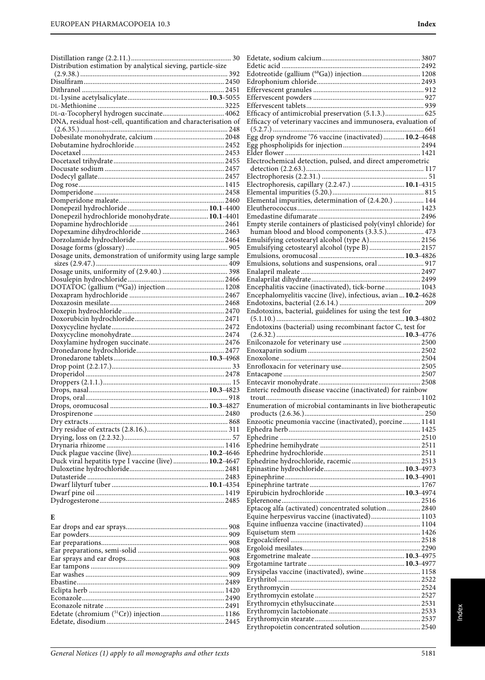| Distribution estimation by analytical sieving, particle-size    |
|-----------------------------------------------------------------|
|                                                                 |
|                                                                 |
|                                                                 |
|                                                                 |
|                                                                 |
| DNA, residual host-cell, quantification and characterisation of |
|                                                                 |
|                                                                 |
|                                                                 |
|                                                                 |
|                                                                 |
|                                                                 |
|                                                                 |
|                                                                 |
|                                                                 |
|                                                                 |
|                                                                 |
| Donepezil hydrochloride monohydrate 10.1-4401                   |
|                                                                 |
|                                                                 |
|                                                                 |
|                                                                 |
|                                                                 |
|                                                                 |
|                                                                 |
|                                                                 |
| DOTATOC (gallium (68Ga)) injection  1208                        |
|                                                                 |
|                                                                 |
|                                                                 |
|                                                                 |
|                                                                 |
|                                                                 |
|                                                                 |
|                                                                 |
|                                                                 |
|                                                                 |
|                                                                 |
|                                                                 |
|                                                                 |
|                                                                 |
|                                                                 |
|                                                                 |
|                                                                 |
|                                                                 |
|                                                                 |
|                                                                 |
|                                                                 |
| Duck viral hepatitis type I vaccine (live)  10.2-4647           |
|                                                                 |
|                                                                 |
|                                                                 |
|                                                                 |
|                                                                 |

| × | ×<br>ш |
|---|--------|
|   |        |
|   | ×      |

| Edotreotide (gallium (68Ga)) injection 1208                      |  |
|------------------------------------------------------------------|--|
|                                                                  |  |
|                                                                  |  |
|                                                                  |  |
| Efficacy of antimicrobial preservation (5.1.3.) 625              |  |
| Efficacy of veterinary vaccines and immunosera, evaluation of    |  |
|                                                                  |  |
|                                                                  |  |
|                                                                  |  |
|                                                                  |  |
| Electrochemical detection, pulsed, and direct amperometric       |  |
|                                                                  |  |
|                                                                  |  |
| Electrophoresis, capillary (2.2.47.)  10.1-4315                  |  |
| Elemental impurities, determination of (2.4.20.)  144            |  |
|                                                                  |  |
|                                                                  |  |
| Empty sterile containers of plasticised poly(vinyl chloride) for |  |
| human blood and blood components (3.3.5.) 473                    |  |
| Emulsifying cetostearyl alcohol (type A) 2156                    |  |
| Emulsifying cetostearyl alcohol (type B)  2157                   |  |
|                                                                  |  |
|                                                                  |  |
|                                                                  |  |
| Encephalitis vaccine (inactivated), tick-borne 1043              |  |
| Encephalomyelitis vaccine (live), infectious, avian  10.2-4628   |  |
|                                                                  |  |
| Endotoxins, bacterial, guidelines for using the test for         |  |
|                                                                  |  |
| Endotoxins (bacterial) using recombinant factor C, test for      |  |
|                                                                  |  |
|                                                                  |  |
|                                                                  |  |
|                                                                  |  |
|                                                                  |  |
|                                                                  |  |
|                                                                  |  |
| Enteric redmouth disease vaccine (inactivated) for rainbow       |  |
|                                                                  |  |
| Enumeration of microbial contaminants in live biotherapeutic     |  |
|                                                                  |  |
| Enzootic pneumonia vaccine (inactivated), porcine 1141           |  |
|                                                                  |  |
|                                                                  |  |
|                                                                  |  |
|                                                                  |  |
|                                                                  |  |
|                                                                  |  |
|                                                                  |  |
|                                                                  |  |
|                                                                  |  |
| Eptacog alfa (activated) concentrated solution 2840              |  |
| Equine herpesvirus vaccine (inactivated) 1103                    |  |
| Equine influenza vaccine (inactivated) 1104                      |  |
|                                                                  |  |
|                                                                  |  |
|                                                                  |  |
|                                                                  |  |
| Erysipelas vaccine (inactivated), swine 1158                     |  |
|                                                                  |  |
|                                                                  |  |
|                                                                  |  |
|                                                                  |  |
|                                                                  |  |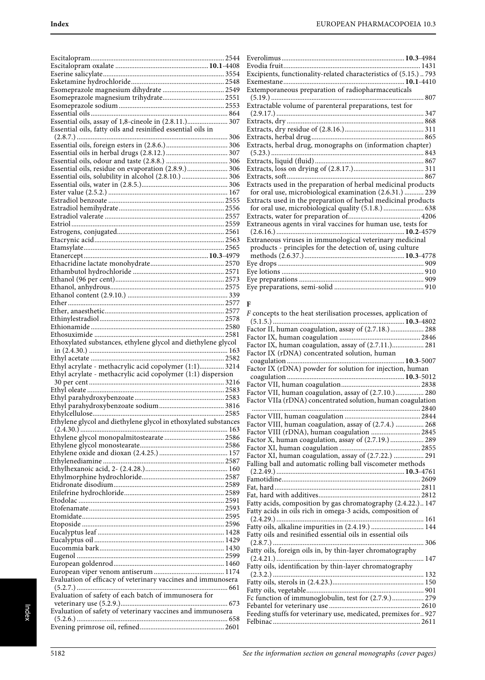| Essential oils, assay of 1,8-cineole in (2.8.11.) 307         |  |
|---------------------------------------------------------------|--|
| Essential oils, fatty oils and resinified essential oils in   |  |
|                                                               |  |
|                                                               |  |
|                                                               |  |
|                                                               |  |
| Essential oils, residue on evaporation (2.8.9.) 306           |  |
| Essential oils, solubility in alcohol (2.8.10.)  306          |  |
|                                                               |  |
|                                                               |  |
|                                                               |  |
|                                                               |  |
|                                                               |  |
|                                                               |  |
|                                                               |  |
|                                                               |  |
|                                                               |  |
|                                                               |  |
|                                                               |  |
|                                                               |  |
|                                                               |  |
|                                                               |  |
|                                                               |  |
|                                                               |  |
|                                                               |  |
|                                                               |  |
|                                                               |  |
| Ethoxylated substances, ethylene glycol and diethylene glycol |  |
|                                                               |  |
| Ethyl acrylate - methacrylic acid copolymer (1:1) 3214        |  |
| Ethyl acrylate - methacrylic acid copolymer (1:1) dispersion  |  |
|                                                               |  |
|                                                               |  |
|                                                               |  |
|                                                               |  |
|                                                               |  |
|                                                               |  |
|                                                               |  |
|                                                               |  |
| Ethylene glycol monopalmitostearate  2586                     |  |
|                                                               |  |
|                                                               |  |
|                                                               |  |
|                                                               |  |
|                                                               |  |
|                                                               |  |
|                                                               |  |
|                                                               |  |
|                                                               |  |
|                                                               |  |
|                                                               |  |
|                                                               |  |
|                                                               |  |
|                                                               |  |
|                                                               |  |
|                                                               |  |
| Evaluation of efficacy of veterinary vaccines and immunosera  |  |
|                                                               |  |
| Evaluation of safety of each batch of immunosera for          |  |
|                                                               |  |
| Evaluation of safety of veterinary vaccines and immunosera    |  |

| Excipients, functionality-related characteristics of (5.15.) 793 |
|------------------------------------------------------------------|
|                                                                  |
| Extemporaneous preparation of radiopharmaceuticals               |
|                                                                  |
| Extractable volume of parenteral preparations, test for          |
|                                                                  |
|                                                                  |
|                                                                  |
|                                                                  |
| Extracts, herbal drug, monographs on (information chapter)       |
|                                                                  |
|                                                                  |
|                                                                  |
|                                                                  |
| Extracts used in the preparation of herbal medicinal products    |
| for oral use, microbiological examination (2.6.31.)  239         |
| Extracts used in the preparation of herbal medicinal products    |
| for oral use, microbiological quality (5.1.8.)  638              |
|                                                                  |
| Extraneous agents in viral vaccines for human use, tests for     |
|                                                                  |
| Extraneous viruses in immunological veterinary medicinal         |
| products - principles for the detection of, using culture        |
|                                                                  |
|                                                                  |
|                                                                  |
|                                                                  |
|                                                                  |

## **F**

| Factor II, human coagulation, assay of (2.7.18.) 288           |
|----------------------------------------------------------------|
|                                                                |
| Factor IX, human coagulation, assay of (2.7.11.) 281           |
| Factor IX (rDNA) concentrated solution, human                  |
|                                                                |
| Factor IX (rDNA) powder for solution for injection, human      |
|                                                                |
|                                                                |
| Factor VII, human coagulation, assay of (2.7.10.) 280          |
| Factor VIIa (rDNA) concentrated solution, human coagulation    |
|                                                                |
|                                                                |
| Factor VIII, human coagulation, assay of (2.7.4.)  268         |
| Factor VIII (rDNA), human coagulation  2845                    |
| Factor X, human coagulation, assay of (2.7.19.)  289           |
|                                                                |
| Factor XI, human coagulation, assay of (2.7.22.)  291          |
| Falling ball and automatic rolling ball viscometer methods     |
|                                                                |
|                                                                |
|                                                                |
|                                                                |
|                                                                |
|                                                                |
| Fatty acids, composition by gas chromatography (2.4.22.) 147   |
| Fatty acids in oils rich in omega-3 acids, composition of      |
|                                                                |
| Fatty oils, alkaline impurities in (2.4.19.)  144              |
| Fatty oils and resinified essential oils in essential oils     |
| 306                                                            |
| Fatty oils, foreign oils in, by thin-layer chromatography      |
| 147                                                            |
| Fatty oils, identification by thin-layer chromatography        |
| $(2.3.2.)$                                                     |
|                                                                |
|                                                                |
| Fc function of immunoglobulin, test for (2.7.9.) 279           |
|                                                                |
| Feeding stuffs for veterinary use, medicated, premixes for 927 |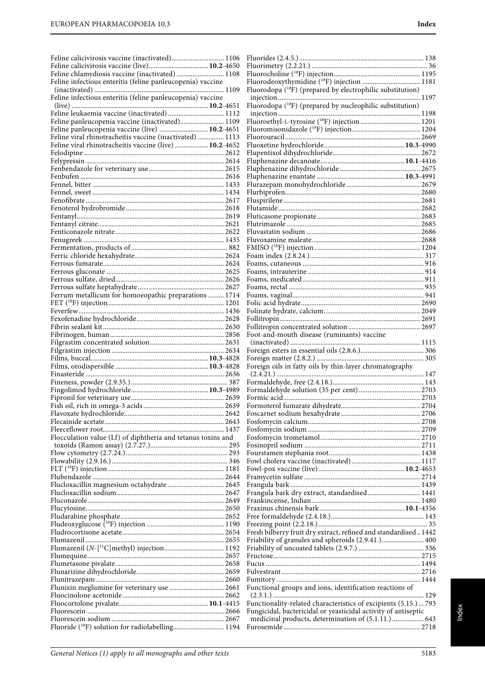| Feline chlamydiosis vaccine (inactivated)  1108              |                                                                        |
|--------------------------------------------------------------|------------------------------------------------------------------------|
| Feline infectious enteritis (feline panleucopenia) vaccine   | Fluorodeoxythymidine (18F) injection  1181                             |
|                                                              | Fluorodopa ( <sup>18</sup> F) (prepared by electrophilic substitution) |
| Feline infectious enteritis (feline panleucopenia) vaccine   |                                                                        |
|                                                              | Fluorodopa ( <sup>18</sup> F) (prepared by nucleophilic substitution)  |
| Feline leukaemia vaccine (inactivated) 1112                  |                                                                        |
| Feline panleucopenia vaccine (live)  10.2-4651               |                                                                        |
| Feline viral rhinotracheitis vaccine (inactivated)  1113     |                                                                        |
| Feline viral rhinotracheitis vaccine (live)  10.2-4652       |                                                                        |
|                                                              |                                                                        |
|                                                              |                                                                        |
|                                                              |                                                                        |
|                                                              |                                                                        |
|                                                              |                                                                        |
|                                                              |                                                                        |
|                                                              |                                                                        |
|                                                              |                                                                        |
|                                                              |                                                                        |
|                                                              |                                                                        |
|                                                              |                                                                        |
|                                                              |                                                                        |
|                                                              |                                                                        |
|                                                              |                                                                        |
|                                                              |                                                                        |
|                                                              |                                                                        |
|                                                              |                                                                        |
| Ferrum metallicum for homoeopathic preparations  1714        |                                                                        |
|                                                              |                                                                        |
|                                                              |                                                                        |
|                                                              |                                                                        |
|                                                              |                                                                        |
|                                                              | Foot-and-mouth disease (ruminants) vaccine                             |
|                                                              |                                                                        |
|                                                              |                                                                        |
|                                                              | Foreign oils in fatty oils by thin-layer chromatography                |
|                                                              |                                                                        |
|                                                              |                                                                        |
|                                                              |                                                                        |
|                                                              |                                                                        |
|                                                              |                                                                        |
|                                                              |                                                                        |
|                                                              |                                                                        |
|                                                              |                                                                        |
| Flocculation value (Lf) of diphtheria and tetanus toxins and |                                                                        |
|                                                              |                                                                        |
|                                                              |                                                                        |
|                                                              |                                                                        |
|                                                              |                                                                        |
|                                                              |                                                                        |
|                                                              | Frangula bark dry extract, standardised 1441                           |
|                                                              |                                                                        |
|                                                              |                                                                        |
|                                                              |                                                                        |
|                                                              |                                                                        |
|                                                              | Fresh bilberry fruit dry extract, refined and standardised 1442        |
|                                                              | Friability of granules and spheroids (2.9.41.) 400                     |
|                                                              |                                                                        |
|                                                              |                                                                        |
|                                                              |                                                                        |
|                                                              |                                                                        |
| Flunixin meglumine for veterinary use  2661                  | Functional groups and ions, identification reactions of                |
|                                                              |                                                                        |
|                                                              | Functionality-related characteristics of excipients (5.15.) 793        |
|                                                              | Fungicidal, bactericidal or yeasticidal activity of antiseptic         |
|                                                              | medicinal products, determination of (5.1.11.) 643                     |
|                                                              |                                                                        |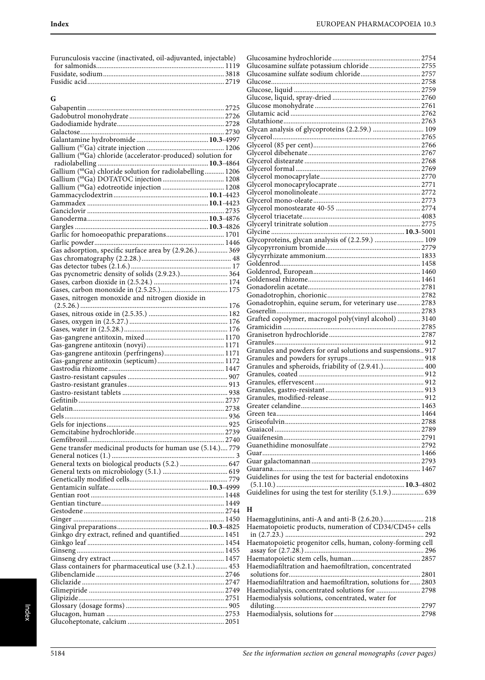| Furunculosis vaccine (inactivated, oil-adjuvanted, injectable) |  |
|----------------------------------------------------------------|--|
|                                                                |  |
|                                                                |  |
|                                                                |  |
| G                                                              |  |
|                                                                |  |
|                                                                |  |
|                                                                |  |
|                                                                |  |
|                                                                |  |
|                                                                |  |
| Gallium (68Ga) chloride (accelerator-produced) solution for    |  |
| Gallium (68Ga) chloride solution for radiolabelling 1206       |  |
|                                                                |  |
|                                                                |  |
|                                                                |  |
|                                                                |  |
|                                                                |  |
|                                                                |  |
|                                                                |  |
| Garlic for homoeopathic preparations 1701                      |  |
| Gas adsorption, specific surface area by (2.9.26.) 369         |  |
|                                                                |  |
|                                                                |  |
| Gas pycnometric density of solids (2.9.23.) 364                |  |
|                                                                |  |
|                                                                |  |
| Gases, nitrogen monoxide and nitrogen dioxide in               |  |
|                                                                |  |
|                                                                |  |
|                                                                |  |
|                                                                |  |
|                                                                |  |
| Gas-gangrene antitoxin (perfringens) 1171                      |  |
|                                                                |  |
|                                                                |  |
|                                                                |  |
|                                                                |  |
|                                                                |  |
|                                                                |  |
|                                                                |  |
|                                                                |  |
|                                                                |  |
| Gene transfer medicinal products for human use (5.14.) 779     |  |
|                                                                |  |
| General texts on biological products (5.2.)  647               |  |
|                                                                |  |
|                                                                |  |
|                                                                |  |
|                                                                |  |
|                                                                |  |
|                                                                |  |
|                                                                |  |
| Ginkgo dry extract, refined and quantified 1451                |  |
|                                                                |  |
|                                                                |  |
|                                                                |  |
| Glass containers for pharmaceutical use (3.2.1.)  453          |  |
|                                                                |  |
|                                                                |  |
|                                                                |  |
|                                                                |  |
|                                                                |  |
|                                                                |  |

| Glucosamine sulfate potassium chloride 2755                 |  |
|-------------------------------------------------------------|--|
|                                                             |  |
|                                                             |  |
|                                                             |  |
|                                                             |  |
|                                                             |  |
|                                                             |  |
|                                                             |  |
| Glycan analysis of glycoproteins (2.2.59.)  109             |  |
|                                                             |  |
|                                                             |  |
|                                                             |  |
|                                                             |  |
|                                                             |  |
|                                                             |  |
|                                                             |  |
|                                                             |  |
|                                                             |  |
|                                                             |  |
|                                                             |  |
|                                                             |  |
|                                                             |  |
| Glycoproteins, glycan analysis of (2.2.59.)  109            |  |
|                                                             |  |
|                                                             |  |
|                                                             |  |
|                                                             |  |
|                                                             |  |
|                                                             |  |
|                                                             |  |
| Gonadotrophin, equine serum, for veterinary use 2783        |  |
|                                                             |  |
| Grafted copolymer, macrogol poly(vinyl alcohol)  3140       |  |
|                                                             |  |
|                                                             |  |
|                                                             |  |
| Granules and powders for oral solutions and suspensions 917 |  |
|                                                             |  |
|                                                             |  |
|                                                             |  |
|                                                             |  |
|                                                             |  |
|                                                             |  |
|                                                             |  |
|                                                             |  |
|                                                             |  |
|                                                             |  |
|                                                             |  |
|                                                             |  |
|                                                             |  |
|                                                             |  |
|                                                             |  |
| Guidelines for using the test for bacterial endotoxins      |  |
| Guidelines for using the test for sterility (5.1.9.)  639   |  |
|                                                             |  |

## **H**

| Haematopoietic products, numeration of CD34/CD45+ cells     |  |
|-------------------------------------------------------------|--|
|                                                             |  |
| Haematopoietic progenitor cells, human, colony-forming cell |  |
|                                                             |  |
|                                                             |  |
| Haemodiafiltration and haemofiltration, concentrated        |  |
|                                                             |  |
| Haemodiafiltration and haemofiltration, solutions for 2803  |  |
|                                                             |  |
| Haemodialysis solutions, concentrated, water for            |  |
|                                                             |  |
|                                                             |  |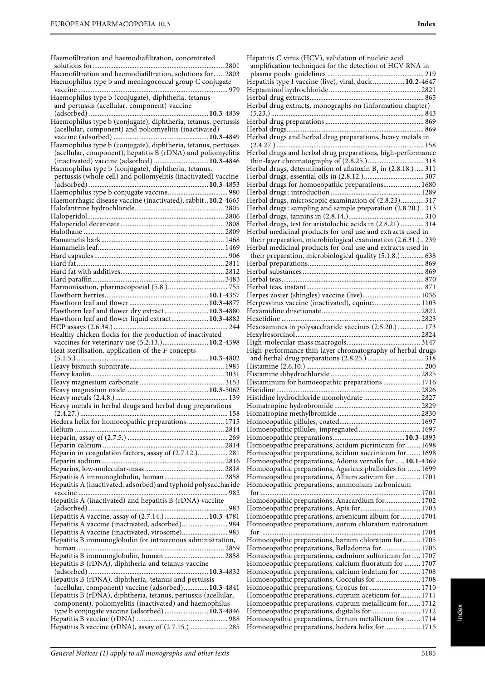Haemofiltration and haemodiafiltration, concentrated solutions for........................................................................... 2801 Haemofiltration and haemodiafiltration, solutions for...... 2803 Haemophilus type b and meningococcal group C conjugate vaccine ..................................................................................... 979 Haemophilus type b (conjugate), diphtheria, tetanus and pertussis (acellular, component) vaccine (adsorbed) ....................................................................**10.3**-4839 Haemophilus type b (conjugate), diphtheria, tetanus, pertussis (acellular, component) and poliomyelitis (inactivated) vaccine (adsorbed) ......................................................**10.3**-4849 Haemophilus type b (conjugate), diphtheria, tetanus, pertussis (acellular, component), hepatitis B (rDNA) and poliomyelitis (inactivated) vaccine (adsorbed) ...............................**10.3**-4846 Haemophilus type b (conjugate), diphtheria, tetanus, pertussis (whole cell) and poliomyelitis (inactivated) vaccine (adsorbed) ....................................................................**10.3**-4853 Haemophilus type b conjugate vaccine.................................. 980 Haemorrhagic disease vaccine (inactivated), rabbit ..**10.2**-4665 Halofantrine hydrochloride................................................... 2805 Haloperidol.............................................................................. 2806 Haloperidol decanoate ........................................................... 2808 Halothane ................................................................................ 2809 Hamamelis bark...................................................................... 1468 Hamamelis leaf........................................................................ 1469 Hard capsules ............................................................................ 906 Hard fat .................................................................................... 2811 Hard fat with additives........................................................... 2812 Hard paraffin........................................................................... 3483 Harmonisation, pharmacopoeial (5.8.).................................. 755 Hawthorn berries...........................................................**10.1**-4357 Hawthorn leaf and flower .............................................**10.3**-4877 Hawthorn leaf and flower dry extract.........................**10.3**-4880 Hawthorn leaf and flower liquid extract.....................**10.3**-4882 HCP assays (2.6.34.) ................................................................. 244 Healthy chicken flocks for the production of inactivated vaccines for veterinary use (5.2.13.)..........................**10.2**-4598 Heat sterilisation, application of the F concepts (5.1.5.) ...........................................................................**10.3**-4802 Heavy bismuth subnitrate...................................................... 1985 Heavy kaolin............................................................................ 3031 Heavy magnesium carbonate ................................................ 3153 Heavy magnesium oxide...............................................**10.3**-5062 Heavy metals (2.4.8.)................................................................ 139 Heavy metals in herbal drugs and herbal drug preparations (2.4.27.) .................................................................................... 158 Hedera helix for homoeopathic preparations ..................... 1715 Helium ..................................................................................... 2814 Heparin, assay of (2.7.5.) ......................................................... 269 Heparin calcium ..................................................................... 2814 Heparin in coagulation factors, assay of (2.7.12.)................. 281 Heparin sodium...................................................................... 2816 Heparins, low-molecular-mass ............................................. 2818 Hepatitis A immunoglobulin, human.................................. 2858 Hepatitis A (inactivated, adsorbed) and typhoid polysaccharide vaccine ..................................................................................... 982 Hepatitis A (inactivated) and hepatitis B (rDNA) vaccine (adsorbed) ............................................................................... 983 Hepatitis A vaccine, assay of (2.7.14.) .........................**10.3**-4781 Hepatitis A vaccine (inactivated, adsorbed).......................... 984 Hepatitis A vaccine (inactivated, virosome).......................... 985 Hepatitis B immunoglobulin for intravenous administration, human .................................................................................... 2859 Hepatitis B immunoglobulin, human .................................. 2858 Hepatitis B (rDNA), diphtheria and tetanus vaccine (adsorbed) ....................................................................**10.3**-4832 Hepatitis B (rDNA), diphtheria, tetanus and pertussis (acellular, component) vaccine (adsorbed)..............**10.3**-4841 Hepatitis B (rDNA), diphtheria, tetanus, pertussis (acellular, component), poliomyelitis (inactivated) and haemophilus type b conjugate vaccine (adsorbed) .........................**10.3**-4846 Hepatitis B vaccine (rDNA) .................................................... 988

Hepatitis C virus (HCV), validation of nucleic acid amplification techniques for the detection of HCV RNA in plasma pools: guidelines ....................................................... 219 Hepatitis type I vaccine (live), viral, duck ..................**10.2**-4647 Heptaminol hydrochloride .................................................... 2821 Herbal drug extracts................................................................. 865 Herbal drug extracts, monographs on (information chapter) (5.23.) ....................................................................................... 843 Herbal drug preparations ........................................................ 869 Herbal drugs.............................................................................. 869 Herbal drugs and herbal drug preparations, heavy metals in (2.4.27.) .................................................................................... 158 Herbal drugs and herbal drug preparations, high-performance thin-layer chromatography of (2.8.25.)................................ 318 Herbal drugs, determination of aflatoxin  $B_1$  in (2.8.18.) ..... 311 Herbal drugs, essential oils in (2.8.12.).................................. 307 Herbal drugs for homoeopathic preparations..................... 1680 Herbal drugs: introduction ................................................... 1289 Herbal drugs, microscopic examination of (2.8.23)............. 317 Herbal drugs: sampling and sample preparation (2.8.20.).. 313 Herbal drugs, tannins in (2.8.14.)........................................... 310 Herbal drugs, test for aristolochic acids in (2.8.21) ............. 314 Herbal medicinal products for oral use and extracts used in their preparation, microbiological examination (2.6.31.).. 239 Herbal medicinal products for oral use and extracts used in their preparation, microbiological quality (5.1.8.) ............. 638 Herbal preparations.................................................................. 869 Herbal substances ..................................................................... 869 Herbal teas................................................................................. 870 Herbal teas, instant................................................................... 871 Herpes zoster (shingles) vaccine (live)................................. 1036 Herpesvirus vaccine (inactivated), equine........................... 1103 Hexamidine diisetionate ........................................................ 2822 Hexetidine ............................................................................... 2823 Hexosamines in polysaccharide vaccines (2.5.20.)............... 173 Hexylresorcinol ....................................................................... 2824 High-molecular-mass macrogols.......................................... 3147 High-performance thin-layer chromatography of herbal drugs and herbal drug preparations (2.8.25.) ................................ 318 Histamine (2.6.10.) ................................................................... 200 Histamine dihydrochloride ................................................... 2825 Histaminum for homoeopathic preparations ..................... 1716 Histidine .................................................................................. 2826 Histidine hydrochloride monohydrate ................................ 2827 Homatropine hydrobromide ................................................. 2829 Homatropine methylbromide ............................................... 2830 Homoeopathic pillules, coated.............................................. 1697 Homoeopathic pillules, impregnated ................................... 1697 Homoeopathic preparations.........................................**10.3**-4893 Homoeopathic preparations, acidum picrinicum for ........ 1698 Homoeopathic preparations, acidum succinicum for........ 1698 Homoeopathic preparations, Adonis vernalis for .....**10.1**-4369 Homoeopathic preparations, Agaricus phalloides for ....... 1699 Homoeopathic preparations, Allium sativum for .............. 1701 Homoeopathic preparations, ammonium carbonicum for ........................................................................................... 1701 Homoeopathic preparations, Anacardium for.................... 1702 Homoeopathic preparations, Apis for.................................. 1703 Homoeopathic preparations, arsenicum album for ........... 1704 Homoeopathic preparations, aurum chloratum natronatum for .......................................................................................... 1704 Homoeopathic preparations, barium chloratum for.......... 1705 Homoeopathic preparations, Belladonna for...................... 1705 Homoeopathic preparations, cadmium sulfuricum for..... 1707 Homoeopathic preparations, calcium fluoratum for ......... 1707 Homoeopathic preparations, calcium iodatum for ............ 1708 Homoeopathic preparations, Cocculus for ......................... 1708 Homoeopathic preparations, Crocus for ............................. 1710 Homoeopathic preparations, cuprum aceticum for........... 1711 Homoeopathic preparations, cuprum metallicum for....... 1712 Homoeopathic preparations, digitalis for ........................... 1712 Homoeopathic preparations, ferrum metallicum for ........ 1714 Homoeopathic preparations, hedera helix for .................... 1715

Hepatitis B vaccine (rDNA), assay of (2.7.15.)...................... 285

ndex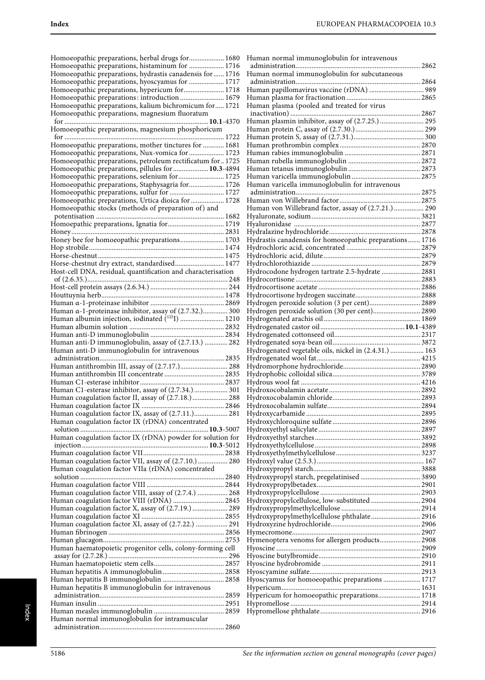| Homoeopathic preparations, herbal drugs for 1680                                                                       |
|------------------------------------------------------------------------------------------------------------------------|
|                                                                                                                        |
| Homoeopathic preparations, histaminum for  1716                                                                        |
| Homoeopathic preparations, hydrastis canadensis for  1716                                                              |
| Homoeopathic preparations, hyoscyamus for  1717                                                                        |
|                                                                                                                        |
| Homoeopathic preparations, hypericum for 1718                                                                          |
| Homoeopathic preparations: introduction  1679                                                                          |
| Homoeopathic preparations, kalium bichromicum for 1721                                                                 |
| Homoeopathic preparations, magnesium fluoratum                                                                         |
|                                                                                                                        |
|                                                                                                                        |
| Homoeopathic preparations, magnesium phosphoricum                                                                      |
|                                                                                                                        |
| Homoeopathic preparations, mother tinctures for  1681                                                                  |
| Homoeopathic preparations, Nux-vomica for  1723                                                                        |
| Homoeopathic preparations, petroleum rectificatum for 1725                                                             |
|                                                                                                                        |
| Homoeopathic preparations, pillules for  10.3-4894                                                                     |
| Homoeopathic preparations, selenium for 1725                                                                           |
| Homoeopathic preparations, Staphysagria for 1726                                                                       |
| Homoeopathic preparations, sulfur for  1727                                                                            |
| Homoeopathic preparations, Urtica dioica for  1728                                                                     |
|                                                                                                                        |
| Homoeopathic stocks (methods of preparation of) and                                                                    |
|                                                                                                                        |
| Homoepathic preparations, Ignatia for 1719                                                                             |
|                                                                                                                        |
| Honey bee for homoeopathic preparations 1703                                                                           |
|                                                                                                                        |
|                                                                                                                        |
|                                                                                                                        |
| Horse-chestnut dry extract, standardised 1477                                                                          |
| Host-cell DNA, residual, quantification and characterisation                                                           |
|                                                                                                                        |
|                                                                                                                        |
|                                                                                                                        |
|                                                                                                                        |
|                                                                                                                        |
|                                                                                                                        |
| Human α-1-proteinase inhibitor, assay of (2.7.32.) 300<br>Human albumin injection, iodinated ( <sup>125</sup> I)  1210 |
|                                                                                                                        |
|                                                                                                                        |
|                                                                                                                        |
|                                                                                                                        |
| Human anti-D immunoglobulin, assay of (2.7.13.)  282                                                                   |
|                                                                                                                        |
| Human anti-D immunoglobulin for intravenous                                                                            |
|                                                                                                                        |
| Human antithrombin III, assay of (2.7.17.) 288                                                                         |
|                                                                                                                        |
|                                                                                                                        |
| Human C1-esterase inhibitor, assay of (2.7.34.)  301                                                                   |
|                                                                                                                        |
| Human coagulation factor II, assay of (2.7.18.) 288                                                                    |
| Human coagulation factor IX.                                                                                           |
| Human coagulation factor IX, assay of (2.7.11.) 281                                                                    |
| Human coagulation factor IX (rDNA) concentrated                                                                        |
|                                                                                                                        |
|                                                                                                                        |
| Human coagulation factor IX (rDNA) powder for solution for                                                             |
|                                                                                                                        |
|                                                                                                                        |
| Human coagulation factor VII, assay of (2.7.10.) 280                                                                   |
| Human coagulation factor VIIa (rDNA) concentrated                                                                      |
|                                                                                                                        |
|                                                                                                                        |
|                                                                                                                        |
| Human coagulation factor VIII, assay of (2.7.4.)  268                                                                  |
| Human coagulation factor VIII (rDNA)  2845                                                                             |
| Human coagulation factor X, assay of (2.7.19.)  289                                                                    |
|                                                                                                                        |
| Human coagulation factor XI, assay of (2.7.22.)  291                                                                   |
|                                                                                                                        |
|                                                                                                                        |
|                                                                                                                        |
| Human haematopoietic progenitor cells, colony-forming cell                                                             |
|                                                                                                                        |
|                                                                                                                        |
|                                                                                                                        |
|                                                                                                                        |
|                                                                                                                        |
| Human hepatitis B immunoglobulin for intravenous                                                                       |
|                                                                                                                        |
|                                                                                                                        |
|                                                                                                                        |
| Human normal immunoglobulin for intramuscular                                                                          |

| Human normal immunoglobulin for intravenous             |  |
|---------------------------------------------------------|--|
| Human normal immunoglobulin for subcutaneous            |  |
|                                                         |  |
| Human papillomavirus vaccine (rDNA)  989                |  |
| Human plasma (pooled and treated for virus              |  |
|                                                         |  |
| Human plasmin inhibitor, assay of (2.7.25.)  295        |  |
|                                                         |  |
|                                                         |  |
|                                                         |  |
|                                                         |  |
|                                                         |  |
|                                                         |  |
| Human varicella immunoglobulin for intravenous          |  |
|                                                         |  |
| Human von Willebrand factor, assay of (2.7.21.) 290     |  |
|                                                         |  |
|                                                         |  |
|                                                         |  |
| Hydrastis canadensis for homoeopathic preparations 1716 |  |
|                                                         |  |
|                                                         |  |
| Hydrocodone hydrogen tartrate 2.5-hydrate  2881         |  |
|                                                         |  |
|                                                         |  |
| Hydrogen peroxide solution (3 per cent) 2889            |  |
| Hydrogen peroxide solution (30 per cent) 2890           |  |
|                                                         |  |
|                                                         |  |
|                                                         |  |
|                                                         |  |
|                                                         |  |
| Hydrogenated vegetable oils, nickel in (2.4.31.)  163   |  |
|                                                         |  |
|                                                         |  |
|                                                         |  |
|                                                         |  |
|                                                         |  |
|                                                         |  |
|                                                         |  |
|                                                         |  |
|                                                         |  |
|                                                         |  |
|                                                         |  |
|                                                         |  |
|                                                         |  |
|                                                         |  |
|                                                         |  |
| Hydroxypropylcellulose, low-substituted  2904           |  |
|                                                         |  |
| Hydroxypropylmethylcellulose phthalate 2916             |  |
|                                                         |  |
|                                                         |  |
| Hymenoptera venoms for allergen products 2908           |  |
|                                                         |  |
|                                                         |  |
|                                                         |  |
| Hyoscyamus for homoeopathic preparations  1717          |  |
|                                                         |  |
| Hypericum for homoeopathic preparations 1718            |  |
|                                                         |  |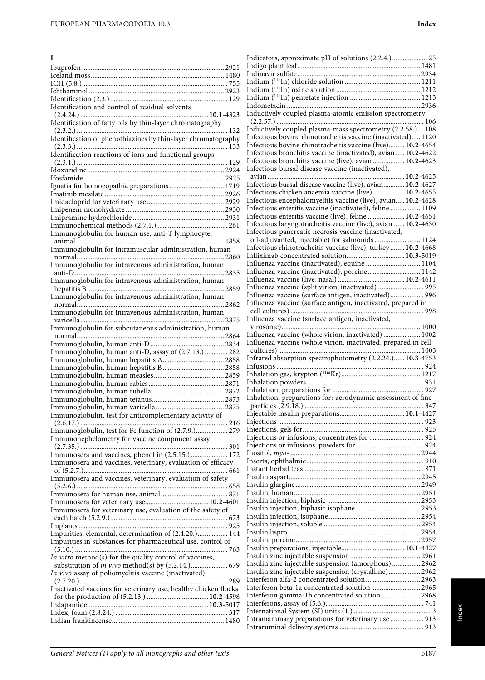| I                                                                                                                 |
|-------------------------------------------------------------------------------------------------------------------|
|                                                                                                                   |
|                                                                                                                   |
|                                                                                                                   |
|                                                                                                                   |
| Identification and control of residual solvents                                                                   |
| Identification of fatty oils by thin-layer chromatography                                                         |
| Identification of phenothiazines by thin-layer chromatography                                                     |
| Identification reactions of ions and functional groups                                                            |
|                                                                                                                   |
| Ignatia for homoeopathic preparations  1719                                                                       |
|                                                                                                                   |
|                                                                                                                   |
|                                                                                                                   |
|                                                                                                                   |
| Immunoglobulin for human use, anti-T lymphocyte,                                                                  |
| Immunoglobulin for intramuscular administration, human                                                            |
|                                                                                                                   |
| Immunoglobulin for intravenous administration, human                                                              |
| Immunoglobulin for intravenous administration, human                                                              |
|                                                                                                                   |
| Immunoglobulin for intravenous administration, human                                                              |
| Immunoglobulin for intravenous administration, human                                                              |
|                                                                                                                   |
| Immunoglobulin for subcutaneous administration, human                                                             |
|                                                                                                                   |
| Immunoglobulin, human anti-D, assay of (2.7.13.)  282                                                             |
|                                                                                                                   |
|                                                                                                                   |
|                                                                                                                   |
|                                                                                                                   |
|                                                                                                                   |
| Immunoglobulin, test for anticomplementary activity of                                                            |
| Immunoglobulin, test for Fc function of (2.7.9.) 279                                                              |
| Immunonephelometry for vaccine component assay                                                                    |
| Immunosera and vaccines, phenol in (2.5.15.) 172                                                                  |
| Immunosera and vaccines, veterinary, evaluation of efficacy                                                       |
| Immunosera and vaccines, veterinary, evaluation of safety                                                         |
|                                                                                                                   |
|                                                                                                                   |
| Immunosera for veterinary use, evaluation of the safety of                                                        |
|                                                                                                                   |
| Impurities, elemental, determination of (2.4.20.) 144                                                             |
| Impurities in substances for pharmaceutical use, control of                                                       |
| In vitro method(s) for the quality control of vaccines,                                                           |
| substitution of <i>in vivo</i> method(s) by (5.2.14.) 679<br>In vivo assay of poliomyelitis vaccine (inactivated) |
| Inactivated vaccines for veterinary use, healthy chicken flocks                                                   |
|                                                                                                                   |
|                                                                                                                   |
|                                                                                                                   |

| Indicators, approximate pH of solutions (2.2.4.) 25                                                            |  |
|----------------------------------------------------------------------------------------------------------------|--|
|                                                                                                                |  |
|                                                                                                                |  |
|                                                                                                                |  |
|                                                                                                                |  |
|                                                                                                                |  |
|                                                                                                                |  |
|                                                                                                                |  |
| Inductively coupled plasma-atomic emission spectrometry                                                        |  |
|                                                                                                                |  |
| Inductively coupled plasma-mass spectrometry (2.2.58.)  108                                                    |  |
| Infectious bovine rhinotracheitis vaccine (inactivated) 1120                                                   |  |
| Infectious bovine rhinotracheitis vaccine (live) 10.2-4654                                                     |  |
|                                                                                                                |  |
| Infectious bronchitis vaccine (inactivated), avian  10.2-4622                                                  |  |
| Infectious bronchitis vaccine (live), avian  10.2-4623                                                         |  |
| Infectious bursal disease vaccine (inactivated),                                                               |  |
|                                                                                                                |  |
| Infectious bursal disease vaccine (live), avian 10.2-4627                                                      |  |
| Infectious chicken anaemia vaccine (live) 10.2-4655                                                            |  |
| Infectious encephalomyelitis vaccine (live), avian 10.2-4628                                                   |  |
| Infectious enteritis vaccine (inactivated), feline  1109                                                       |  |
|                                                                                                                |  |
| Infectious enteritis vaccine (live), feline  10.2-4651                                                         |  |
| Infectious laryngotracheitis vaccine (live), avian  10.2-4630                                                  |  |
| Infectious pancreatic necrosis vaccine (inactivated,                                                           |  |
| oil-adjuvanted, injectable) for salmonids  1124                                                                |  |
| Infectious rhinotracheitis vaccine (live), turkey  10.2-4668                                                   |  |
| Infliximab concentrated solution 10.3-5019                                                                     |  |
| Influenza vaccine (inactivated), equine  1104                                                                  |  |
|                                                                                                                |  |
| Influenza vaccine (inactivated), porcine 1142                                                                  |  |
|                                                                                                                |  |
| Influenza vaccine (split virion, inactivated)  995                                                             |  |
| Influenza vaccine (surface antigen, inactivated) 996                                                           |  |
| Influenza vaccine (surface antigen, inactivated, prepared in                                                   |  |
|                                                                                                                |  |
| Influenza vaccine (surface antigen, inactivated,                                                               |  |
|                                                                                                                |  |
|                                                                                                                |  |
| Influenza vaccine (whole virion, inactivated)  1002                                                            |  |
|                                                                                                                |  |
| Influenza vaccine (whole virion, inactivated, prepared in cell                                                 |  |
|                                                                                                                |  |
|                                                                                                                |  |
| Infrared absorption spectrophotometry (2.2.24.) 10.3-4753                                                      |  |
|                                                                                                                |  |
|                                                                                                                |  |
| $\begin{minipage}{0.9\linewidth} Inhalation gas, krypton (81mKr) 1217\\ Inhalation powders 231 \end{minipage}$ |  |
|                                                                                                                |  |
| Inhalation, preparations for: aerodynamic assessment of fine                                                   |  |
|                                                                                                                |  |
|                                                                                                                |  |
|                                                                                                                |  |
|                                                                                                                |  |
|                                                                                                                |  |
|                                                                                                                |  |
|                                                                                                                |  |
|                                                                                                                |  |
|                                                                                                                |  |
|                                                                                                                |  |
|                                                                                                                |  |
|                                                                                                                |  |
|                                                                                                                |  |
|                                                                                                                |  |
|                                                                                                                |  |
|                                                                                                                |  |
|                                                                                                                |  |
|                                                                                                                |  |
|                                                                                                                |  |
|                                                                                                                |  |
|                                                                                                                |  |
|                                                                                                                |  |
|                                                                                                                |  |
| Insulin zinc injectable suspension (amorphous) 2962                                                            |  |
| Insulin zinc injectable suspension (crystalline) 2962                                                          |  |
| Interferon alfa-2 concentrated solution  2963                                                                  |  |
| Interferon beta-1a concentrated solution  2965                                                                 |  |
|                                                                                                                |  |
| Interferon gamma-1b concentrated solution  2968                                                                |  |
|                                                                                                                |  |
|                                                                                                                |  |
| Intramammary preparations for veterinary use  913                                                              |  |

Index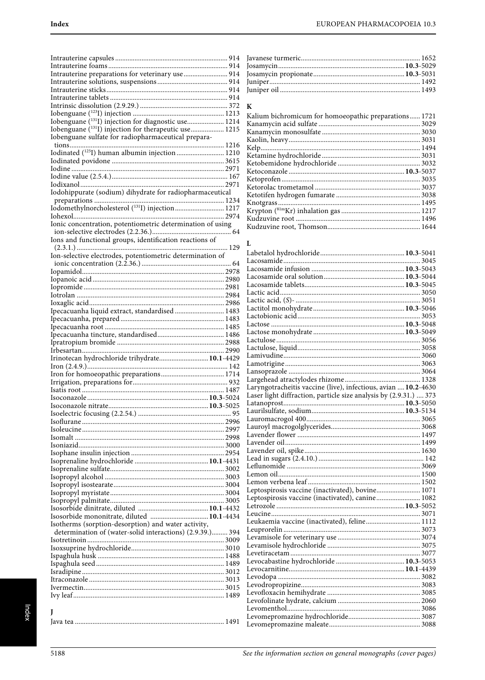| Intrauterine preparations for veterinary use  914                                                                                                                                         |  |
|-------------------------------------------------------------------------------------------------------------------------------------------------------------------------------------------|--|
|                                                                                                                                                                                           |  |
|                                                                                                                                                                                           |  |
|                                                                                                                                                                                           |  |
|                                                                                                                                                                                           |  |
|                                                                                                                                                                                           |  |
|                                                                                                                                                                                           |  |
| Iobenguane (131I) injection for diagnostic use 1214                                                                                                                                       |  |
| Iobenguane ( <sup>131</sup> I) injection for therapeutic use 1215                                                                                                                         |  |
| Iobenguane sulfate for radiopharmaceutical prepara-                                                                                                                                       |  |
|                                                                                                                                                                                           |  |
| Iodinated ( <sup>125</sup> I) human albumin injection  1210                                                                                                                               |  |
|                                                                                                                                                                                           |  |
|                                                                                                                                                                                           |  |
|                                                                                                                                                                                           |  |
|                                                                                                                                                                                           |  |
|                                                                                                                                                                                           |  |
| Iodohippurate (sodium) dihydrate for radiopharmaceutical                                                                                                                                  |  |
|                                                                                                                                                                                           |  |
| $\begin{minipage}{0.9\linewidth} \textbf{preparations} \textbf{} \textbf{} \textbf{1234} \\ \textbf{Iodomethylnorcholesterol (^{131}I) injection} \textbf{} \textbf{1217} \end{minipage}$ |  |
|                                                                                                                                                                                           |  |
|                                                                                                                                                                                           |  |
| Ionic concentration, potentiometric determination of using                                                                                                                                |  |
|                                                                                                                                                                                           |  |
| Ions and functional groups, identification reactions of                                                                                                                                   |  |
|                                                                                                                                                                                           |  |
| Ion-selective electrodes, potentiometric determination of                                                                                                                                 |  |
|                                                                                                                                                                                           |  |
|                                                                                                                                                                                           |  |
|                                                                                                                                                                                           |  |
|                                                                                                                                                                                           |  |
|                                                                                                                                                                                           |  |
|                                                                                                                                                                                           |  |
|                                                                                                                                                                                           |  |
| Ipecacuanha liquid extract, standardised  1483                                                                                                                                            |  |
|                                                                                                                                                                                           |  |
|                                                                                                                                                                                           |  |
|                                                                                                                                                                                           |  |
|                                                                                                                                                                                           |  |
|                                                                                                                                                                                           |  |
|                                                                                                                                                                                           |  |
|                                                                                                                                                                                           |  |
|                                                                                                                                                                                           |  |
| Irinotecan hydrochloride trihydrate 10.1-4429                                                                                                                                             |  |
|                                                                                                                                                                                           |  |
|                                                                                                                                                                                           |  |
|                                                                                                                                                                                           |  |
|                                                                                                                                                                                           |  |
|                                                                                                                                                                                           |  |
|                                                                                                                                                                                           |  |
|                                                                                                                                                                                           |  |
|                                                                                                                                                                                           |  |
|                                                                                                                                                                                           |  |
|                                                                                                                                                                                           |  |
|                                                                                                                                                                                           |  |
|                                                                                                                                                                                           |  |
|                                                                                                                                                                                           |  |
|                                                                                                                                                                                           |  |
|                                                                                                                                                                                           |  |
|                                                                                                                                                                                           |  |
|                                                                                                                                                                                           |  |
|                                                                                                                                                                                           |  |
|                                                                                                                                                                                           |  |
|                                                                                                                                                                                           |  |
|                                                                                                                                                                                           |  |
| Isosorbide mononitrate, diluted  10.1-4434                                                                                                                                                |  |
| Isotherms (sorption-desorption) and water activity,                                                                                                                                       |  |
|                                                                                                                                                                                           |  |
| determination of (water-solid interactions) (2.9.39.) 394                                                                                                                                 |  |
|                                                                                                                                                                                           |  |
|                                                                                                                                                                                           |  |
|                                                                                                                                                                                           |  |
|                                                                                                                                                                                           |  |
|                                                                                                                                                                                           |  |
|                                                                                                                                                                                           |  |
|                                                                                                                                                                                           |  |
|                                                                                                                                                                                           |  |
|                                                                                                                                                                                           |  |
|                                                                                                                                                                                           |  |
|                                                                                                                                                                                           |  |

# $\bf K$

| Kalium bichromicum for homoeopathic preparations 1721 |  |
|-------------------------------------------------------|--|
|                                                       |  |
|                                                       |  |
|                                                       |  |
|                                                       |  |
|                                                       |  |
|                                                       |  |
|                                                       |  |
|                                                       |  |
|                                                       |  |
|                                                       |  |
|                                                       |  |
|                                                       |  |
|                                                       |  |
|                                                       |  |
|                                                       |  |

## $\mathbf L$

| Laryngotracheitis vaccine (live), infectious, avian  10.2-4630 |  |
|----------------------------------------------------------------|--|
|                                                                |  |
|                                                                |  |
|                                                                |  |
|                                                                |  |
|                                                                |  |
|                                                                |  |
|                                                                |  |
|                                                                |  |
|                                                                |  |
|                                                                |  |
|                                                                |  |
|                                                                |  |
| Leptospirosis vaccine (inactivated), bovine 1071               |  |
| Leptospirosis vaccine (inactivated), canine 1082               |  |
|                                                                |  |
|                                                                |  |
| Leukaemia vaccine (inactivated), feline 1112                   |  |
|                                                                |  |
|                                                                |  |
|                                                                |  |
|                                                                |  |
|                                                                |  |
|                                                                |  |
|                                                                |  |
|                                                                |  |
|                                                                |  |
|                                                                |  |
|                                                                |  |
|                                                                |  |
|                                                                |  |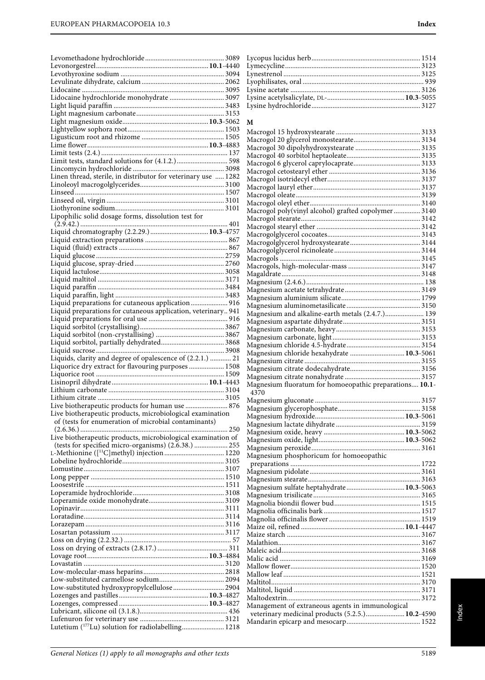| Lidocaine hydrochloride monohydrate  3097                      |  |
|----------------------------------------------------------------|--|
|                                                                |  |
|                                                                |  |
|                                                                |  |
|                                                                |  |
|                                                                |  |
|                                                                |  |
|                                                                |  |
|                                                                |  |
| Linen thread, sterile, in distributor for veterinary use  1282 |  |
|                                                                |  |
|                                                                |  |
|                                                                |  |
| Lipophilic solid dosage forms, dissolution test for            |  |
|                                                                |  |
|                                                                |  |
|                                                                |  |
|                                                                |  |
|                                                                |  |
|                                                                |  |
|                                                                |  |
|                                                                |  |
| Liquid preparations for cutaneous application 916              |  |
| Liquid preparations for cutaneous application, veterinary 941  |  |
|                                                                |  |
|                                                                |  |
|                                                                |  |
|                                                                |  |
| Liquids, clarity and degree of opalescence of (2.2.1.)  21     |  |
| Liquorice dry extract for flavouring purposes  1508            |  |
|                                                                |  |
|                                                                |  |
|                                                                |  |
| Live biotherapeutic products for human use  876                |  |
| Live biotherapeutic products, microbiological examination      |  |
| of (tests for enumeration of microbial contaminants)           |  |
| Live biotherapeutic products, microbiological examination of   |  |
| (tests for specified micro-organisms) (2.6.38.)  255           |  |
|                                                                |  |
|                                                                |  |
|                                                                |  |
|                                                                |  |
|                                                                |  |
|                                                                |  |
|                                                                |  |
|                                                                |  |
|                                                                |  |
|                                                                |  |
|                                                                |  |
|                                                                |  |
|                                                                |  |
|                                                                |  |
|                                                                |  |
|                                                                |  |
| Low-substituted hydroxypropylcellulose  2904                   |  |
|                                                                |  |
|                                                                |  |
| Lutetium ( <sup>177</sup> Lu) solution for radiolabelling 1218 |  |

#### **M**

| Macrogol poly(vinyl alcohol) grafted copolymer  3140    |  |
|---------------------------------------------------------|--|
|                                                         |  |
|                                                         |  |
|                                                         |  |
|                                                         |  |
|                                                         |  |
|                                                         |  |
|                                                         |  |
|                                                         |  |
|                                                         |  |
|                                                         |  |
|                                                         |  |
|                                                         |  |
| Magnesium and alkaline-earth metals (2.4.7.) 139        |  |
|                                                         |  |
|                                                         |  |
|                                                         |  |
|                                                         |  |
| Magnesium chloride hexahydrate  10.3-5061               |  |
|                                                         |  |
|                                                         |  |
|                                                         |  |
|                                                         |  |
| Magnesium fluoratum for homoeopathic preparations 10.1- |  |
| 4370                                                    |  |
|                                                         |  |
|                                                         |  |
|                                                         |  |
|                                                         |  |
|                                                         |  |
|                                                         |  |
|                                                         |  |
| Magnesium phosphoricum for homoeopathic                 |  |
|                                                         |  |
|                                                         |  |
|                                                         |  |
| Magnesium sulfate heptahydrate 10.3-5063                |  |
|                                                         |  |
|                                                         |  |
|                                                         |  |
|                                                         |  |
|                                                         |  |
|                                                         |  |
|                                                         |  |
|                                                         |  |
|                                                         |  |
|                                                         |  |
|                                                         |  |
|                                                         |  |
|                                                         |  |
| Management of extraneous agents in immunological        |  |
| veterinary medicinal products (5.2.5.) 10.2-4590        |  |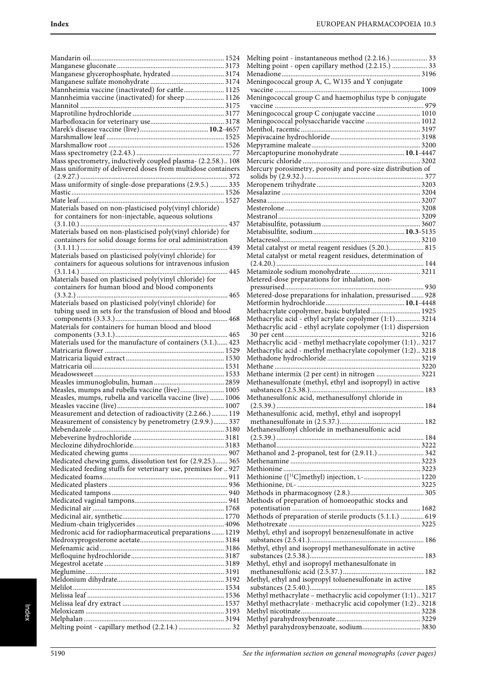| Manganese glycerophosphate, hydrated  3174                                                                                   |
|------------------------------------------------------------------------------------------------------------------------------|
| Mannheimia vaccine (inactivated) for cattle 1125                                                                             |
| Mannheimia vaccine (inactivated) for sheep 1126                                                                              |
|                                                                                                                              |
|                                                                                                                              |
|                                                                                                                              |
|                                                                                                                              |
|                                                                                                                              |
|                                                                                                                              |
| Mass spectrometry, inductively coupled plasma- (2.2.58.) 108                                                                 |
| Mass uniformity of delivered doses from multidose containers                                                                 |
| Mass uniformity of single-dose preparations (2.9.5.)  335                                                                    |
|                                                                                                                              |
|                                                                                                                              |
| Materials based on non-plasticised poly(vinyl chloride)                                                                      |
| for containers for non-injectable, aqueous solutions                                                                         |
| Materials based on non-plasticised poly(vinyl chloride) for                                                                  |
| containers for solid dosage forms for oral administration                                                                    |
|                                                                                                                              |
| Materials based on plasticised poly(vinyl chloride) for                                                                      |
| containers for aqueous solutions for intravenous infusion                                                                    |
|                                                                                                                              |
| Materials based on plasticised poly(vinyl chloride) for                                                                      |
| containers for human blood and blood components<br>465                                                                       |
| Materials based on plasticised poly(vinyl chloride) for                                                                      |
| tubing used in sets for the transfusion of blood and blood                                                                   |
|                                                                                                                              |
| Materials for containers for human blood and blood                                                                           |
|                                                                                                                              |
| Materials used for the manufacture of containers (3.1.) 423                                                                  |
|                                                                                                                              |
|                                                                                                                              |
|                                                                                                                              |
|                                                                                                                              |
| Measles, mumps and rubella vaccine (live) 1005                                                                               |
| Measles, mumps, rubella and varicella vaccine (live)  1006                                                                   |
| Measurement and detection of radioactivity (2.2.66.)  119                                                                    |
| Measurement of consistency by penetrometry (2.9.9.) 337                                                                      |
|                                                                                                                              |
|                                                                                                                              |
|                                                                                                                              |
|                                                                                                                              |
| Medicated chewing gums, dissolution test for (2.9.25.) 365<br>Medicated feeding stuffs for veterinary use, premixes for  927 |
|                                                                                                                              |
|                                                                                                                              |
|                                                                                                                              |
|                                                                                                                              |
|                                                                                                                              |
|                                                                                                                              |
| Medronic acid for radiopharmaceutical preparations  1219                                                                     |
|                                                                                                                              |
|                                                                                                                              |
|                                                                                                                              |
|                                                                                                                              |
|                                                                                                                              |
|                                                                                                                              |
|                                                                                                                              |
|                                                                                                                              |
|                                                                                                                              |
|                                                                                                                              |
| Melting point - capillary method (2.2.14.)  32                                                                               |

| Melting point - instantaneous method (2.2.16.) 33                                                                      |
|------------------------------------------------------------------------------------------------------------------------|
| Melting point - open capillary method (2.2.15.)  33                                                                    |
| Meningococcal group A, C, W135 and Y conjugate                                                                         |
| Meningococcal group C and haemophilus type b conjugate                                                                 |
|                                                                                                                        |
| Meningococcal group C conjugate vaccine  1010                                                                          |
| Meningococcal polysaccharide vaccine  1012                                                                             |
|                                                                                                                        |
|                                                                                                                        |
|                                                                                                                        |
|                                                                                                                        |
| Mercury porosimetry, porosity and pore-size distribution of                                                            |
|                                                                                                                        |
|                                                                                                                        |
|                                                                                                                        |
|                                                                                                                        |
|                                                                                                                        |
|                                                                                                                        |
| Metal catalyst or metal reagent residues (5.20.) 815                                                                   |
| Metal catalyst or metal reagent residues, determination of                                                             |
|                                                                                                                        |
|                                                                                                                        |
| Metered-dose preparations for inhalation, non-                                                                         |
| Metered-dose preparations for inhalation, pressurised 928                                                              |
|                                                                                                                        |
| Methacrylate copolymer, basic butylated  1925                                                                          |
| Methacrylic acid - ethyl acrylate copolymer (1:1) 3214<br>Methacrylic acid - ethyl acrylate copolymer (1:1) dispersion |
|                                                                                                                        |
| Methacrylic acid - methyl methacrylate copolymer (1:1) 3217                                                            |
| Methacrylic acid - methyl methacrylate copolymer (1:2) 3218                                                            |
|                                                                                                                        |
| Methane intermix (2 per cent) in nitrogen  3221                                                                        |
| Methanesulfonate (methyl, ethyl and isopropyl) in active                                                               |
| 183<br>Methanesulfonic acid, methanesulfonyl chloride in                                                               |
| 184                                                                                                                    |
| Methanesulfonic acid, methyl, ethyl and isopropyl                                                                      |
| Methanesulfonyl chloride in methanesulfonic acid                                                                       |
|                                                                                                                        |
|                                                                                                                        |
| Methanol and 2-propanol, test for (2.9.11.)  342                                                                       |
|                                                                                                                        |
| Methionine ([ <sup>11</sup> C]methyl) injection, L- 1220                                                               |
|                                                                                                                        |
|                                                                                                                        |
| Methods of preparation of homoeopathic stocks and                                                                      |
| Methods of preparation of sterile products (5.1.1.)  619                                                               |
|                                                                                                                        |
| Methyl, ethyl and isopropyl benzenesulfonate in active                                                                 |
| Methyl, ethyl and isopropyl methanesulfonate in active                                                                 |
|                                                                                                                        |
| Methyl, ethyl and isopropyl methanesulfonate in                                                                        |
| Methyl, ethyl and isopropyl toluenesulfonate in active                                                                 |
|                                                                                                                        |
| Methyl methacrylate - methacrylic acid copolymer (1:1)3217                                                             |
| Methyl methacrylate - methacrylic acid copolymer (1:2)3218                                                             |
|                                                                                                                        |
| Methyl parahydroxybenzoate, sodium 3830                                                                                |
|                                                                                                                        |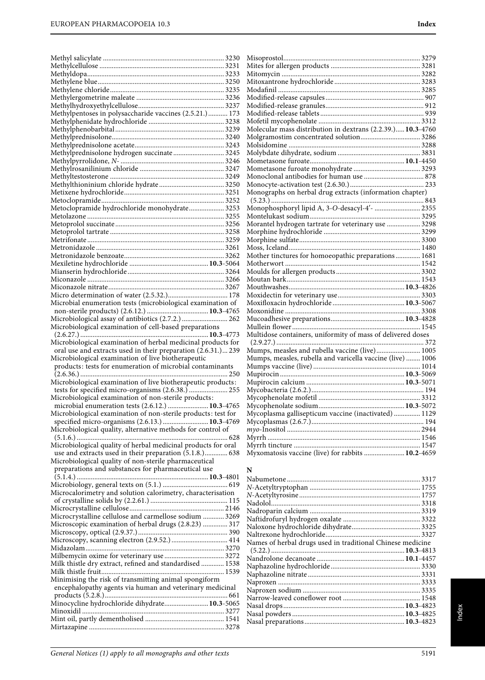| Methylpentoses in polysaccharide vaccines (2.5.21.) 173       |                                                             |  |
|---------------------------------------------------------------|-------------------------------------------------------------|--|
|                                                               |                                                             |  |
|                                                               | Molecular mass distribution in dextrans (2.2.39.) 10.3-4760 |  |
|                                                               |                                                             |  |
|                                                               |                                                             |  |
| Methylprednisolone hydrogen succinate 3245                    |                                                             |  |
|                                                               |                                                             |  |
|                                                               |                                                             |  |
|                                                               |                                                             |  |
|                                                               |                                                             |  |
|                                                               |                                                             |  |
|                                                               | Monographs on herbal drug extracts (information chapter)    |  |
|                                                               |                                                             |  |
| Metoclopramide hydrochloride monohydrate 3253                 | Monophosphoryl lipid A, 3-O-desacyl-4'-  2355               |  |
|                                                               |                                                             |  |
|                                                               | Morantel hydrogen tartrate for veterinary use  3298         |  |
|                                                               |                                                             |  |
|                                                               |                                                             |  |
|                                                               |                                                             |  |
|                                                               | Mother tinctures for homoeopathic preparations 1681         |  |
|                                                               |                                                             |  |
|                                                               |                                                             |  |
|                                                               |                                                             |  |
|                                                               |                                                             |  |
|                                                               |                                                             |  |
| Microbial enumeration tests (microbiological examination of   |                                                             |  |
|                                                               |                                                             |  |
| Microbiological assay of antibiotics (2.7.2.)  262            |                                                             |  |
| Microbiological examination of cell-based preparations        |                                                             |  |
|                                                               | Multidose containers, uniformity of mass of delivered doses |  |
| Microbiological examination of herbal medicinal products for  |                                                             |  |
| oral use and extracts used in their preparation (2.6.31.) 239 |                                                             |  |
| Microbiological examination of live biotherapeutic            | Mumps, measles, rubella and varicella vaccine (live)  1006  |  |
| products: tests for enumeration of microbial contaminants     |                                                             |  |
|                                                               |                                                             |  |
| Microbiological examination of live biotherapeutic products:  |                                                             |  |
|                                                               |                                                             |  |
| Microbiological examination of non-sterile products:          |                                                             |  |
| microbial enumeration tests (2.6.12.)  10.3-4765              |                                                             |  |
| Microbiological examination of non-sterile products: test for | Mycoplasma gallisepticum vaccine (inactivated)  1129        |  |
| specified micro-organisms (2.6.13.)  10.3-4769                |                                                             |  |
| Microbiological quality, alternative methods for control of   |                                                             |  |
|                                                               |                                                             |  |

specified micro-organisms (2. Microbiological quality, alternative methods for the methods of  $\mathcal{N}$ (5.1.6.) ...................................................................................... 628 Microbiological quality of herbal medicinal products for oral use and extracts used in their preparation (5.1.8.)............. 638 Microbiological quality of non-sterile pharmaceutical preparations and substances for pharmaceutical use (5.1.4.) ...........................................................................**10.3**-4801 Microbiology, general texts on (5.1.) ..................................... 619 Microcalorimetry and solution calorimetry, characterisation of crystalline solids by (2.2.61.) ............................................ 115 Microcrystalline cellulose...................................................... 2146 Microcrystalline cellulose and carmellose sodium ............ 3269 Microscopic examination of herbal drugs (2.8.23) .............. 317 Microscopy, optical (2.9.37.)................................................... 390 Microscopy, scanning electron (2.9.52.) ................................ 414 Midazolam............................................................................... 3270 Milbemycin oxime for veterinary use .................................. 3272

| Milk thistle dry extract, refined and standardised  1538 |  |
|----------------------------------------------------------|--|
|                                                          |  |
| Minimising the risk of transmitting animal spongiform    |  |
| encephalopathy agents via human and veterinary medicinal |  |
|                                                          |  |
| Minocycline hydrochloride dihydrate 10.3-5065            |  |
|                                                          |  |
|                                                          |  |
|                                                          |  |
|                                                          |  |

| $(5.23.)$                                                   |  |
|-------------------------------------------------------------|--|
| Monophosphoryl lipid A, 3-O-desacyl-4′-  2355               |  |
|                                                             |  |
| Morantel hydrogen tartrate for veterinary use  3298         |  |
|                                                             |  |
|                                                             |  |
|                                                             |  |
| Mother tinctures for homoeopathic preparations 1681         |  |
|                                                             |  |
|                                                             |  |
|                                                             |  |
|                                                             |  |
|                                                             |  |
|                                                             |  |
|                                                             |  |
|                                                             |  |
|                                                             |  |
| Multidose containers, uniformity of mass of delivered doses |  |
|                                                             |  |
| Mumps, measles and rubella vaccine (live) 1005              |  |
| Mumps, measles, rubella and varicella vaccine (live)  1006  |  |
|                                                             |  |
|                                                             |  |
|                                                             |  |
|                                                             |  |
|                                                             |  |
|                                                             |  |
| Mycoplasma gallisepticum vaccine (inactivated)  1129        |  |
|                                                             |  |
|                                                             |  |
|                                                             |  |
|                                                             |  |

## **N**

| Names of herbal drugs used in traditional Chinese medicine |  |
|------------------------------------------------------------|--|
|                                                            |  |
|                                                            |  |
|                                                            |  |
|                                                            |  |
|                                                            |  |
|                                                            |  |
|                                                            |  |
|                                                            |  |
|                                                            |  |
|                                                            |  |

Myxomatosis vaccine (live) for rabbits .......................**10.2**-4659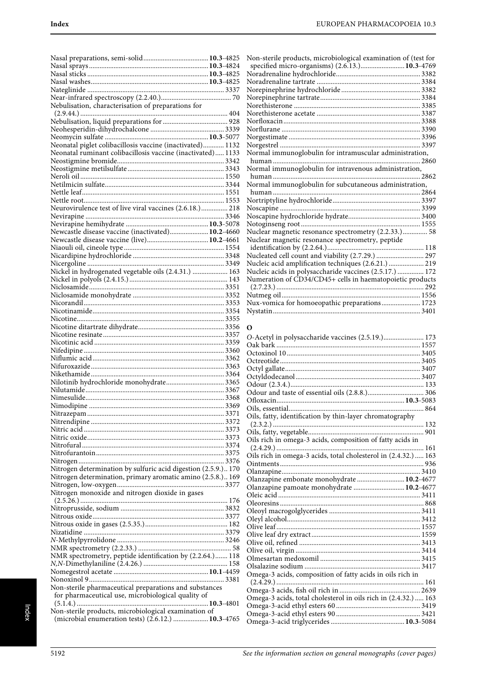|                                                                | Non-sterile products, microbiological examination of (test for                                           |  |
|----------------------------------------------------------------|----------------------------------------------------------------------------------------------------------|--|
|                                                                | specified micro-organisms) (2.6.13.) 10.3-4769                                                           |  |
|                                                                |                                                                                                          |  |
|                                                                |                                                                                                          |  |
|                                                                |                                                                                                          |  |
| Nebulisation, characterisation of preparations for             |                                                                                                          |  |
|                                                                |                                                                                                          |  |
|                                                                |                                                                                                          |  |
|                                                                |                                                                                                          |  |
| Neonatal piglet colibacillosis vaccine (inactivated) 1132      |                                                                                                          |  |
| Neonatal ruminant colibacillosis vaccine (inactivated) 1133    | Normal immunoglobulin for intramuscular administration,                                                  |  |
|                                                                |                                                                                                          |  |
|                                                                | Normal immunoglobulin for intravenous administration,                                                    |  |
|                                                                |                                                                                                          |  |
|                                                                | Normal immunoglobulin for subcutaneous administration,                                                   |  |
|                                                                |                                                                                                          |  |
|                                                                |                                                                                                          |  |
| Neurovirulence test of live viral vaccines (2.6.18.) 218       |                                                                                                          |  |
|                                                                |                                                                                                          |  |
| Newcastle disease vaccine (inactivated) 10.2-4660              |                                                                                                          |  |
|                                                                | Nuclear magnetic resonance spectrometry (2.2.33.) 58<br>Nuclear magnetic resonance spectrometry, peptide |  |
|                                                                |                                                                                                          |  |
|                                                                | Nucleated cell count and viability (2.7.29.)  297                                                        |  |
|                                                                | Nucleic acid amplification techniques (2.6.21.)  219                                                     |  |
| Nickel in hydrogenated vegetable oils (2.4.31.)  163           | Nucleic acids in polysaccharide vaccines (2.5.17.)  172                                                  |  |
|                                                                | Numeration of CD34/CD45+ cells in haematopoietic products                                                |  |
|                                                                |                                                                                                          |  |
|                                                                |                                                                                                          |  |
|                                                                | Nux-vomica for homoeopathic preparations 1723                                                            |  |
|                                                                |                                                                                                          |  |
|                                                                |                                                                                                          |  |
|                                                                | 0                                                                                                        |  |
|                                                                | O-Acetyl in polysaccharide vaccines (2.5.19.) 173                                                        |  |
|                                                                |                                                                                                          |  |
|                                                                |                                                                                                          |  |
|                                                                |                                                                                                          |  |
|                                                                |                                                                                                          |  |
| Nilotinib hydrochloride monohydrate 3365                       |                                                                                                          |  |
|                                                                |                                                                                                          |  |
|                                                                |                                                                                                          |  |
|                                                                |                                                                                                          |  |
|                                                                | Oils, fatty, identification by thin-layer chromatography                                                 |  |
|                                                                |                                                                                                          |  |
|                                                                | Oils rich in omega-3 acids, composition of fatty acids in                                                |  |
|                                                                |                                                                                                          |  |
|                                                                | Oils rich in omega-3 acids, total cholesterol in (2.4.32.) 163                                           |  |
|                                                                |                                                                                                          |  |
| Nitrogen determination by sulfuric acid digestion (2.5.9.) 170 |                                                                                                          |  |
| Nitrogen determination, primary aromatic amino (2.5.8.) 169    | Olanzapine embonate monohydrate  10.2-4677                                                               |  |
| Nitrogen monoxide and nitrogen dioxide in gases                | Olanzapine pamoate monohydrate  10.2-4677                                                                |  |
|                                                                |                                                                                                          |  |
|                                                                |                                                                                                          |  |
|                                                                |                                                                                                          |  |
|                                                                |                                                                                                          |  |
|                                                                |                                                                                                          |  |
|                                                                |                                                                                                          |  |
|                                                                |                                                                                                          |  |
| NMR spectrometry, peptide identification by (2.2.64.) 118      |                                                                                                          |  |
|                                                                |                                                                                                          |  |
|                                                                | Omega-3 acids, composition of fatty acids in oils rich in                                                |  |
| Non-sterile pharmaceutical preparations and substances         |                                                                                                          |  |
| for pharmaceutical use, microbiological quality of             | Omega-3 acids, total cholesterol in oils rich in (2.4.32.)  163                                          |  |
|                                                                |                                                                                                          |  |
| Non-sterile products, microbiological examination of           |                                                                                                          |  |
| (microbial enumeration tests) (2.6.12.)  10.3-4765             |                                                                                                          |  |

| Non-sterile products, microbiological examination of (test for |  |
|----------------------------------------------------------------|--|
| specified micro-organisms) (2.6.13.) 10.3-4769                 |  |
|                                                                |  |
|                                                                |  |
|                                                                |  |
|                                                                |  |
|                                                                |  |
|                                                                |  |
|                                                                |  |
|                                                                |  |
|                                                                |  |
|                                                                |  |
| Normal immunoglobulin for intramuscular administration,        |  |
|                                                                |  |
| Normal immunoglobulin for intravenous administration,          |  |
|                                                                |  |
| Normal immunoglobulin for subcutaneous administration,         |  |
| human                                                          |  |
|                                                                |  |
|                                                                |  |
|                                                                |  |
|                                                                |  |
| Nuclear magnetic resonance spectrometry (2.2.33.) 58           |  |
| Nuclear magnetic resonance spectrometry, peptide               |  |
|                                                                |  |
| Nucleated cell count and viability (2.7.29.)  297              |  |
| Nucleic acid amplification techniques (2.6.21.)  219           |  |
| Nucleic acids in polysaccharide vaccines (2.5.17.)  172        |  |
| Numeration of CD34/CD45+ cells in haematopoietic products      |  |
|                                                                |  |
|                                                                |  |
| Nux-vomica for homoeopathic preparations 1723                  |  |

# **O**

| O-Acetyl in polysaccharide vaccines (2.5.19.) 173               |  |
|-----------------------------------------------------------------|--|
|                                                                 |  |
|                                                                 |  |
|                                                                 |  |
|                                                                 |  |
|                                                                 |  |
|                                                                 |  |
|                                                                 |  |
|                                                                 |  |
|                                                                 |  |
| Oils, fatty, identification by thin-layer chromatography        |  |
|                                                                 |  |
|                                                                 |  |
| Oils rich in omega-3 acids, composition of fatty acids in       |  |
| 161                                                             |  |
| Oils rich in omega-3 acids, total cholesterol in (2.4.32.)  163 |  |
|                                                                 |  |
|                                                                 |  |
| Olanzapine embonate monohydrate  10.2-4677                      |  |
| Olanzapine pamoate monohydrate  10.2-4677                       |  |
|                                                                 |  |
|                                                                 |  |
|                                                                 |  |
|                                                                 |  |
|                                                                 |  |
|                                                                 |  |
|                                                                 |  |
|                                                                 |  |
|                                                                 |  |
|                                                                 |  |
| Omega-3 acids, composition of fatty acids in oils rich in       |  |
|                                                                 |  |
|                                                                 |  |
| Omega-3 acids, total cholesterol in oils rich in (2.4.32.)  163 |  |
|                                                                 |  |
|                                                                 |  |
|                                                                 |  |
|                                                                 |  |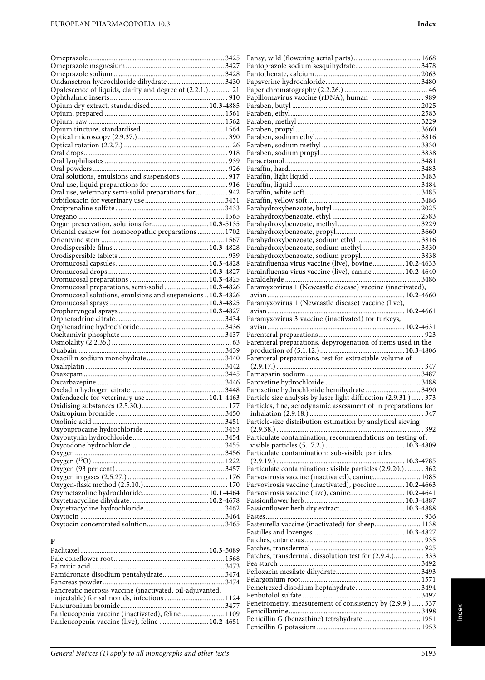Patches, transdermal, dissolution test for (2.9.4.)................. 333 Pea starch................................................................................. 3492 Pefloxacin mesilate dihydrate................................................ 3493 Pelargonium root.................................................................... 1571 Pemetrexed disodium heptahydrate..................................... 3494 Penbutolol sulfate ................................................................... 3497 Penetrometry, measurement of consistency by (2.9.9.)....... 337 Penicillamine........................................................................... 3498 Penicillin G (benzathine) tetrahydrate................................. 1951 Penicillin G potassium ........................................................... 1953

| Opalescence of liquids, clarity and degree of (2.2.1.) 21  |                                                                  |  |
|------------------------------------------------------------|------------------------------------------------------------------|--|
|                                                            | Papillomavirus vaccine (rDNA), human  989                        |  |
| Opium dry extract, standardised 10.3-4885                  |                                                                  |  |
|                                                            |                                                                  |  |
|                                                            |                                                                  |  |
|                                                            |                                                                  |  |
|                                                            |                                                                  |  |
|                                                            |                                                                  |  |
|                                                            |                                                                  |  |
|                                                            |                                                                  |  |
|                                                            |                                                                  |  |
| Oral solutions, emulsions and suspensions 917              |                                                                  |  |
|                                                            |                                                                  |  |
| Oral use, veterinary semi-solid preparations for  942      |                                                                  |  |
|                                                            |                                                                  |  |
|                                                            |                                                                  |  |
|                                                            |                                                                  |  |
| Organ preservation, solutions for  10.3-5135               |                                                                  |  |
| Oriental cashew for homoeopathic preparations  1702        |                                                                  |  |
|                                                            |                                                                  |  |
|                                                            |                                                                  |  |
|                                                            |                                                                  |  |
|                                                            | Parainfluenza virus vaccine (live), bovine  10.2-4633            |  |
|                                                            |                                                                  |  |
|                                                            | Parainfluenza virus vaccine (live), canine  10.2-4640            |  |
|                                                            |                                                                  |  |
| Oromucosal preparations, semi-solid 10.3-4826              | Paramyxovirus 1 (Newcastle disease) vaccine (inactivated),       |  |
| Oromucosal solutions, emulsions and suspensions  10.3-4826 |                                                                  |  |
|                                                            | Paramyxovirus 1 (Newcastle disease) vaccine (live),              |  |
|                                                            |                                                                  |  |
|                                                            | Paramyxovirus 3 vaccine (inactivated) for turkeys,               |  |
|                                                            |                                                                  |  |
|                                                            |                                                                  |  |
|                                                            | Parenteral preparations, depyrogenation of items used in the     |  |
|                                                            |                                                                  |  |
|                                                            | Parenteral preparations, test for extractable volume of          |  |
|                                                            |                                                                  |  |
|                                                            |                                                                  |  |
|                                                            |                                                                  |  |
|                                                            | Paroxetine hydrochloride hemihydrate  3490                       |  |
|                                                            | Particle size analysis by laser light diffraction (2.9.31.)  373 |  |
|                                                            | Particles, fine, aerodynamic assessment of in preparations for   |  |
|                                                            |                                                                  |  |
|                                                            | Particle-size distribution estimation by analytical sieving      |  |
|                                                            |                                                                  |  |
|                                                            | Particulate contamination, recommendations on testing of:        |  |
|                                                            |                                                                  |  |
|                                                            | Particulate contamination: sub-visible particles                 |  |
|                                                            |                                                                  |  |
|                                                            | Particulate contamination: visible particles (2.9.20.) 362       |  |
|                                                            | Parvovirosis vaccine (inactivated), canine 1085                  |  |
|                                                            | Parvovirosis vaccine (inactivated), porcine 10.2-4663            |  |
|                                                            | Parvovirosis vaccine (live), canine 10.2-4641                    |  |
|                                                            |                                                                  |  |
|                                                            |                                                                  |  |
|                                                            |                                                                  |  |
|                                                            | Pasteurella vaccine (inactivated) for sheep 1138                 |  |
|                                                            |                                                                  |  |
| P                                                          |                                                                  |  |
|                                                            |                                                                  |  |

| Pancreatic necrosis vaccine (inactivated, oil-adjuvanted, |  |
|-----------------------------------------------------------|--|
|                                                           |  |
|                                                           |  |
| Panleucopenia vaccine (inactivated), feline  1109         |  |
| Panleucopenia vaccine (live), feline  10.2-4651           |  |
|                                                           |  |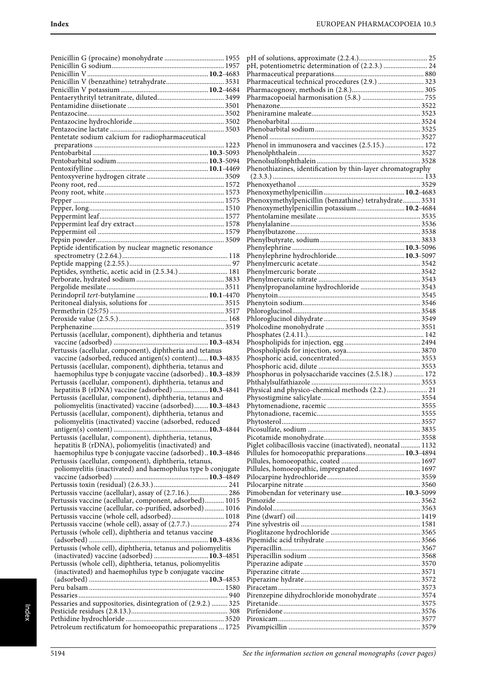| Penicillin G (procaine) monohydrate  1955                                                                            |
|----------------------------------------------------------------------------------------------------------------------|
|                                                                                                                      |
|                                                                                                                      |
|                                                                                                                      |
|                                                                                                                      |
|                                                                                                                      |
|                                                                                                                      |
|                                                                                                                      |
|                                                                                                                      |
| Pentetate sodium calcium for radiopharmaceutical                                                                     |
|                                                                                                                      |
|                                                                                                                      |
|                                                                                                                      |
|                                                                                                                      |
|                                                                                                                      |
|                                                                                                                      |
|                                                                                                                      |
|                                                                                                                      |
|                                                                                                                      |
|                                                                                                                      |
|                                                                                                                      |
|                                                                                                                      |
| Peptide identification by nuclear magnetic resonance                                                                 |
|                                                                                                                      |
|                                                                                                                      |
| Peptides, synthetic, acetic acid in (2.5.34.)  181                                                                   |
|                                                                                                                      |
|                                                                                                                      |
|                                                                                                                      |
|                                                                                                                      |
|                                                                                                                      |
|                                                                                                                      |
|                                                                                                                      |
| Pertussis (acellular, component), diphtheria and tetanus                                                             |
|                                                                                                                      |
|                                                                                                                      |
| Pertussis (acellular, component), diphtheria and tetanus                                                             |
| vaccine (adsorbed, reduced antigen(s) content) 10.3-4835                                                             |
| Pertussis (acellular, component), diphtheria, tetanus and                                                            |
| haemophilus type b conjugate vaccine (adsorbed)10.3-4839                                                             |
| Pertussis (acellular, component), diphtheria, tetanus and                                                            |
| hepatitis B (rDNA) vaccine (adsorbed)  10.3-4841<br>Pertussis (acellular, component), diphtheria, tetanus and        |
| poliomyelitis (inactivated) vaccine (adsorbed) 10.3-4843                                                             |
| Pertussis (acellular, component), diphtheria, tetanus and                                                            |
| poliomyelitis (inactivated) vaccine (adsorbed, reduced                                                               |
|                                                                                                                      |
| Pertussis (acellular, component), diphtheria, tetanus,                                                               |
| hepatitis B (rDNA), poliomyelitis (inactivated) and                                                                  |
| haemophilus type b conjugate vaccine (adsorbed)10.3-4846                                                             |
| Pertussis (acellular, component), diphtheria, tetanus,                                                               |
| poliomyelitis (inactivated) and haemophilus type b conjugate                                                         |
|                                                                                                                      |
|                                                                                                                      |
| Pertussis vaccine (acellular), assay of (2.7.16.) 286                                                                |
| Pertussis vaccine (acellular, component, adsorbed) 1015<br>Pertussis vaccine (acellular, co-purified, adsorbed) 1016 |
| Pertussis vaccine (whole cell, adsorbed) 1018                                                                        |
| Pertussis vaccine (whole cell), assay of (2.7.7.)  274                                                               |
| Pertussis (whole cell), diphtheria and tetanus vaccine                                                               |
|                                                                                                                      |
| Pertussis (whole cell), diphtheria, tetanus and poliomyelitis                                                        |
| (inactivated) vaccine (adsorbed)  10.3-4851                                                                          |
| Pertussis (whole cell), diphtheria, tetanus, poliomyelitis                                                           |
| (inactivated) and haemophilus type b conjugate vaccine                                                               |
|                                                                                                                      |
|                                                                                                                      |
|                                                                                                                      |
| Pessaries and suppositories, disintegration of (2.9.2.)  325                                                         |
| Petroleum rectificatum for homoeopathic preparations  1725                                                           |

| pH, potentiometric determination of (2.2.3.)  24            |  |
|-------------------------------------------------------------|--|
|                                                             |  |
| Pharmaceutical technical procedures (2.9.)  323             |  |
|                                                             |  |
|                                                             |  |
|                                                             |  |
|                                                             |  |
|                                                             |  |
|                                                             |  |
| Phenol in immunosera and vaccines (2.5.15.)  172            |  |
|                                                             |  |
|                                                             |  |
| Phenothiazines, identification by thin-layer chromatography |  |
|                                                             |  |
|                                                             |  |
|                                                             |  |
| Phenoxymethylpenicillin (benzathine) tetrahydrate 3531      |  |
| Phenoxymethylpenicillin potassium  10.2-4684                |  |
|                                                             |  |
|                                                             |  |
|                                                             |  |
|                                                             |  |
|                                                             |  |
|                                                             |  |
|                                                             |  |
|                                                             |  |
|                                                             |  |
|                                                             |  |
|                                                             |  |
|                                                             |  |
|                                                             |  |
|                                                             |  |
|                                                             |  |
|                                                             |  |
|                                                             |  |
|                                                             |  |
|                                                             |  |
| Phosphorus in polysaccharide vaccines (2.5.18.)  172        |  |
|                                                             |  |
| Physical and physico-chemical methods (2.2.)  21            |  |
|                                                             |  |
|                                                             |  |
|                                                             |  |
|                                                             |  |
|                                                             |  |
| Piglet colibacillosis vaccine (inactivated), neonatal  1132 |  |
| Pillules for homoeopathic preparations 10.3-4894            |  |
|                                                             |  |
|                                                             |  |
|                                                             |  |
|                                                             |  |
|                                                             |  |
|                                                             |  |
|                                                             |  |
|                                                             |  |
|                                                             |  |
|                                                             |  |
|                                                             |  |
|                                                             |  |
|                                                             |  |
|                                                             |  |
|                                                             |  |
|                                                             |  |
|                                                             |  |
| Pirenzepine dihydrochloride monohydrate  3574               |  |
|                                                             |  |
|                                                             |  |
|                                                             |  |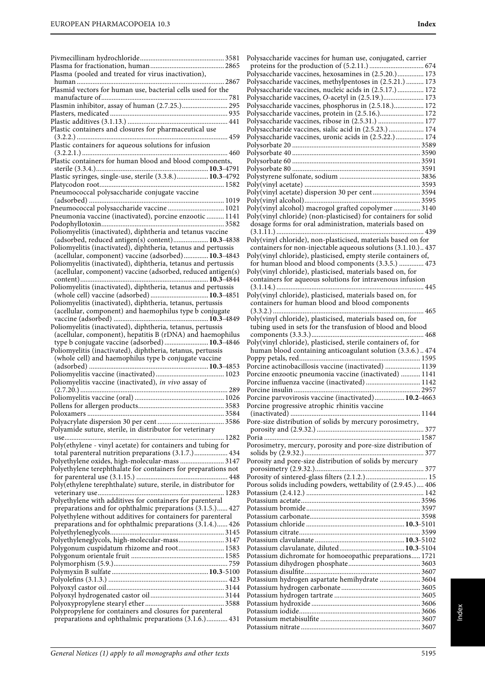|                                                                                                                           | Polysaccharide vaccines for human use, conjugated, carrier                                                                  |
|---------------------------------------------------------------------------------------------------------------------------|-----------------------------------------------------------------------------------------------------------------------------|
|                                                                                                                           |                                                                                                                             |
| Plasma (pooled and treated for virus inactivation),                                                                       | Polysaccharide vaccines, hexosamines in (2.5.20.) 173                                                                       |
|                                                                                                                           | Polysaccharide vaccines, methylpentoses in (2.5.21.)  173                                                                   |
| Plasmid vectors for human use, bacterial cells used for the                                                               | Polysaccharide vaccines, nucleic acids in (2.5.17.) 172                                                                     |
| Plasmin inhibitor, assay of human (2.7.25.) 295                                                                           | Polysaccharide vaccines, O-acetyl in (2.5.19.) 173<br>Polysaccharide vaccines, phosphorus in (2.5.18.) 172                  |
|                                                                                                                           | Polysaccharide vaccines, protein in (2.5.16.) 172                                                                           |
|                                                                                                                           | Polysaccharide vaccines, ribose in (2.5.31.)  177                                                                           |
| Plastic containers and closures for pharmaceutical use                                                                    | Polysaccharide vaccines, sialic acid in (2.5.23.)  174                                                                      |
|                                                                                                                           | Polysaccharide vaccines, uronic acids in (2.5.22.) 174                                                                      |
| Plastic containers for aqueous solutions for infusion                                                                     |                                                                                                                             |
| Plastic containers for human blood and blood components,                                                                  |                                                                                                                             |
|                                                                                                                           |                                                                                                                             |
| Plastic syringes, single-use, sterile (3.3.8.) 10.3-4792                                                                  |                                                                                                                             |
|                                                                                                                           |                                                                                                                             |
| Pneumococcal polysaccharide conjugate vaccine                                                                             | Poly(vinyl acetate) dispersion 30 per cent 3594                                                                             |
|                                                                                                                           |                                                                                                                             |
| Pneumococcal polysaccharide vaccine  1021<br>Pneumonia vaccine (inactivated), porcine enzootic  1141                      | Poly(vinyl alcohol) macrogol grafted copolymer  3140                                                                        |
|                                                                                                                           | Poly(vinyl chloride) (non-plasticised) for containers for solid<br>dosage forms for oral administration, materials based on |
| Poliomyelitis (inactivated), diphtheria and tetanus vaccine                                                               |                                                                                                                             |
| (adsorbed, reduced antigen(s) content) 10.3-4838                                                                          | Poly(vinyl chloride), non-plasticised, materials based on for                                                               |
| Poliomyelitis (inactivated), diphtheria, tetanus and pertussis                                                            | containers for non-injectable aqueous solutions (3.1.10.) 437                                                               |
| (acellular, component) vaccine (adsorbed) 10.3-4843                                                                       | Poly(vinyl chloride), plasticised, empty sterile containers of,                                                             |
| Poliomyelitis (inactivated), diphtheria, tetanus and pertussis                                                            | for human blood and blood components (3.3.5.)  473                                                                          |
| (acellular, component) vaccine (adsorbed, reduced antigen(s)                                                              | Poly(vinyl chloride), plasticised, materials based on, for<br>containers for aqueous solutions for intravenous infusion     |
| Poliomyelitis (inactivated), diphtheria, tetanus and pertussis                                                            |                                                                                                                             |
| (whole cell) vaccine (adsorbed)  10.3-4851                                                                                | Poly(vinyl chloride), plasticised, materials based on, for                                                                  |
| Poliomyelitis (inactivated), diphtheria, tetanus, pertussis                                                               | containers for human blood and blood components                                                                             |
| (acellular, component) and haemophilus type b conjugate                                                                   |                                                                                                                             |
|                                                                                                                           | Poly(vinyl chloride), plasticised, materials based on, for                                                                  |
| Poliomyelitis (inactivated), diphtheria, tetanus, pertussis<br>(acellular, component), hepatitis B (rDNA) and haemophilus | tubing used in sets for the transfusion of blood and blood                                                                  |
| type b conjugate vaccine (adsorbed) 10.3-4846                                                                             | Poly(vinyl chloride), plasticised, sterile containers of, for                                                               |
| Poliomyelitis (inactivated), diphtheria, tetanus, pertussis                                                               | human blood containing anticoagulant solution (3.3.6.) 474                                                                  |
| (whole cell) and haemophilus type b conjugate vaccine                                                                     |                                                                                                                             |
|                                                                                                                           | Porcine actinobacillosis vaccine (inactivated)  1139                                                                        |
|                                                                                                                           | Porcine enzootic pneumonia vaccine (inactivated)  1141                                                                      |
| Poliomyelitis vaccine (inactivated), in vivo assay of                                                                     | Porcine influenza vaccine (inactivated)  1142                                                                               |
|                                                                                                                           | Porcine parvovirosis vaccine (inactivated) 10.2-4663                                                                        |
|                                                                                                                           | Porcine progressive atrophic rhinitis vaccine                                                                               |
|                                                                                                                           |                                                                                                                             |
|                                                                                                                           | Pore-size distribution of solids by mercury porosimetry,                                                                    |
| Polyamide suture, sterile, in distributor for veterinary                                                                  |                                                                                                                             |
|                                                                                                                           |                                                                                                                             |
| Poly(ethylene - vinyl acetate) for containers and tubing for<br>total parenteral nutrition preparations (3.1.7.) 434      | Porosimetry, mercury, porosity and pore-size distribution of                                                                |
| Polyethylene oxides, high-molecular-mass  3147                                                                            | Porosity and pore-size distribution of solids by mercury                                                                    |
| Polyethylene terephthalate for containers for preparations not                                                            |                                                                                                                             |
|                                                                                                                           |                                                                                                                             |
| Poly(ethylene terephthalate) suture, sterile, in distributor for                                                          | Porous solids including powders, wettability of (2.9.45.) 406                                                               |
|                                                                                                                           |                                                                                                                             |
| Polyethylene with additives for containers for parenteral                                                                 |                                                                                                                             |
| preparations and for ophthalmic preparations (3.1.5.) 427<br>Polyethylene without additives for containers for parenteral |                                                                                                                             |
| preparations and for ophthalmic preparations (3.1.4.) 426                                                                 |                                                                                                                             |
|                                                                                                                           |                                                                                                                             |
| Polyethyleneglycols, high-molecular-mass 3147                                                                             |                                                                                                                             |
| Polygonum cuspidatum rhizome and root 1583                                                                                |                                                                                                                             |
|                                                                                                                           | Potassium dichromate for homoeopathic preparations 1721                                                                     |
|                                                                                                                           |                                                                                                                             |
|                                                                                                                           | Potassium hydrogen aspartate hemihydrate  3604                                                                              |
|                                                                                                                           |                                                                                                                             |
|                                                                                                                           |                                                                                                                             |
|                                                                                                                           |                                                                                                                             |
| Polypropylene for containers and closures for parenteral                                                                  |                                                                                                                             |
| preparations and ophthalmic preparations (3.1.6.) 431                                                                     |                                                                                                                             |
|                                                                                                                           |                                                                                                                             |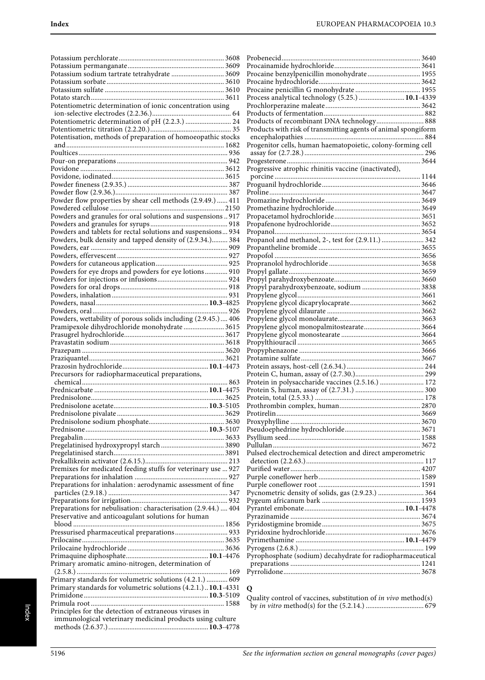| Potentiometric determination of ionic concentration using      |  |
|----------------------------------------------------------------|--|
|                                                                |  |
|                                                                |  |
|                                                                |  |
|                                                                |  |
| Potentisation, methods of preparation of homoeopathic stocks   |  |
|                                                                |  |
|                                                                |  |
|                                                                |  |
|                                                                |  |
|                                                                |  |
|                                                                |  |
|                                                                |  |
|                                                                |  |
| Powder flow properties by shear cell methods (2.9.49.)  411    |  |
|                                                                |  |
| Powders and granules for oral solutions and suspensions  917   |  |
|                                                                |  |
| Powders and tablets for rectal solutions and suspensions 934   |  |
| Powders, bulk density and tapped density of (2.9.34.) 384      |  |
|                                                                |  |
|                                                                |  |
|                                                                |  |
|                                                                |  |
| Powders for eye drops and powders for eye lotions 910          |  |
|                                                                |  |
|                                                                |  |
|                                                                |  |
|                                                                |  |
|                                                                |  |
| Powders, wettability of porous solids including (2.9.45.) 406  |  |
| Pramipexole dihydrochloride monohydrate  3615                  |  |
|                                                                |  |
|                                                                |  |
|                                                                |  |
|                                                                |  |
|                                                                |  |
|                                                                |  |
| Precursors for radiopharmaceutical preparations,               |  |
|                                                                |  |
|                                                                |  |
|                                                                |  |
| Prednisolone acetate                                           |  |
|                                                                |  |
|                                                                |  |
|                                                                |  |
|                                                                |  |
|                                                                |  |
|                                                                |  |
|                                                                |  |
|                                                                |  |
| Premixes for medicated feeding stuffs for veterinary use  927  |  |
|                                                                |  |
| Preparations for inhalation: aerodynamic assessment of fine    |  |
|                                                                |  |
|                                                                |  |
| Preparations for nebulisation: characterisation (2.9.44.)  404 |  |
|                                                                |  |
| Preservative and anticoagulant solutions for human             |  |
|                                                                |  |
| Pressurised pharmaceutical preparations 933                    |  |
|                                                                |  |
|                                                                |  |
|                                                                |  |
| Primary aromatic amino-nitrogen, determination of              |  |
|                                                                |  |
| Primary standards for volumetric solutions (4.2.1.)  609       |  |
| Primary standards for volumetric solutions (4.2.1.) 10.1-4331  |  |
|                                                                |  |
|                                                                |  |
|                                                                |  |
| Principles for the detection of extraneous viruses in          |  |
|                                                                |  |
| immunological veterinary medicinal products using culture      |  |

| Procaine benzylpenicillin monohydrate 1955                     |  |
|----------------------------------------------------------------|--|
|                                                                |  |
| Process analytical technology (5.25.)  10.1-4339               |  |
|                                                                |  |
|                                                                |  |
| Products of recombinant DNA technology 888                     |  |
| Products with risk of transmitting agents of animal spongiform |  |
|                                                                |  |
| Progenitor cells, human haematopoietic, colony-forming cell    |  |
|                                                                |  |
|                                                                |  |
| Progressive atrophic rhinitis vaccine (inactivated),           |  |
|                                                                |  |
| Proline                                                        |  |
|                                                                |  |
|                                                                |  |
|                                                                |  |
|                                                                |  |
|                                                                |  |
| Propanol and methanol, 2-, test for (2.9.11.)  342             |  |
|                                                                |  |
|                                                                |  |
|                                                                |  |
|                                                                |  |
| Propyl parahydroxybenzoate, sodium  3838                       |  |
|                                                                |  |
|                                                                |  |
|                                                                |  |
|                                                                |  |
|                                                                |  |
|                                                                |  |
|                                                                |  |
|                                                                |  |
|                                                                |  |
|                                                                |  |
|                                                                |  |
|                                                                |  |
| Protein in polysaccharide vaccines (2.5.16.)  172              |  |
|                                                                |  |
|                                                                |  |
|                                                                |  |
|                                                                |  |
|                                                                |  |
|                                                                |  |
|                                                                |  |
| Pulsed electrochemical detection and direct amperometric       |  |
|                                                                |  |
|                                                                |  |
|                                                                |  |
|                                                                |  |
| Pycnometric density of solids, gas (2.9.23.)  364              |  |
|                                                                |  |
|                                                                |  |
|                                                                |  |
|                                                                |  |
|                                                                |  |
|                                                                |  |
| Pyrophosphate (sodium) decahydrate for radiopharmaceutical     |  |
|                                                                |  |

## **Q**

Quality control of vaccines, substitution of in vivo method(s) by in vitro method(s) for the (5.2.14.) ................................. 679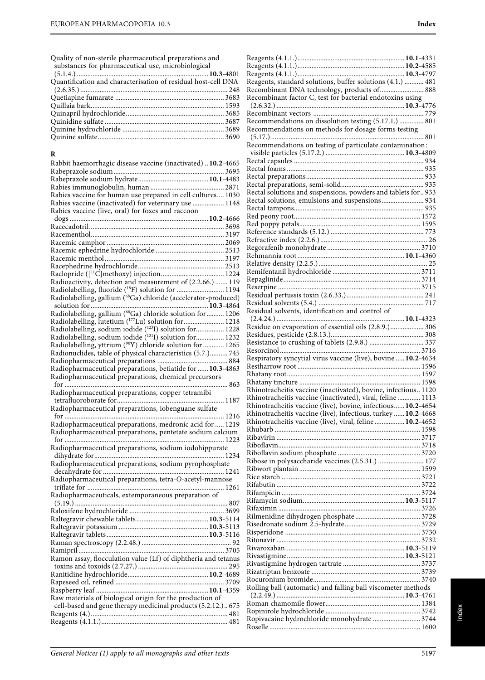Quality of non-sterile pharmaceutical preparations and substances for pharmaceutical use, microbiological

(5.1.4.) ...........................................................................**10.3**-4801 Quantification and characterisation of residual host-cell DNA (2.6.35.) .................................................................................... 248 Quetiapine fumarate .............................................................. 3683 Quillaia bark............................................................................ 1593 Quinapril hydrochloride........................................................ 3685 Quinidine sulfate .................................................................... 3687 Quinine hydrochloride .......................................................... 3689 Quinine sulfate........................................................................ 3690

Rabbit haemorrhagic disease vaccine (inactivated) ..**10.2**-4665 Rabeprazole sodium............................................................... 3695 Rabeprazole sodium hydrate........................................**10.1**-4483 Rabies immunoglobulin, human .......................................... 2871 Rabies vaccine for human use prepared in cell cultures.... 1030

**R**

| Rabies vaccine (inactivated) for veterinary use  1148          |
|----------------------------------------------------------------|
| Rabies vaccine (live, oral) for foxes and raccoon              |
|                                                                |
|                                                                |
|                                                                |
|                                                                |
|                                                                |
|                                                                |
|                                                                |
|                                                                |
| Radioactivity, detection and measurement of (2.2.66.)  119     |
| Radiolabelling, fluoride (18F) solution for  1194              |
| Radiolabelling, gallium (68Ga) chloride (accelerator-produced) |
|                                                                |
|                                                                |
| Radiolabelling, lutetium (177Lu) solution for  1218            |
| Radiolabelling, sodium iodide (1231) solution for 1228         |
| Radiolabelling, sodium iodide (131I) solution for 1232         |
| Radiolabelling, yttrium (90Y) chloride solution for  1265      |
| Radionuclides, table of physical characteristics (5.7.) 745    |
|                                                                |
| Radiopharmaceutical preparations, betiatide for  10.3-4863     |
| Radiopharmaceutical preparations, chemical precursors          |
|                                                                |
| Radiopharmaceutical preparations, copper tetramibi             |
| Radiopharmaceutical preparations, iobenguane sulfate           |
|                                                                |
| Radiopharmaceutical preparations, medronic acid for  1219      |
| Radiopharmaceutical preparations, pentetate sodium calcium     |
|                                                                |
| Radiopharmaceutical preparations, sodium iodohippurate         |
|                                                                |
| Radiopharmaceutical preparations, sodium pyrophosphate         |
|                                                                |
| Radiopharmaceutical preparations, tetra-O-acetyl-mannose       |
|                                                                |
| Radiopharmaceuticals, extemporaneous preparation of            |
|                                                                |
|                                                                |
|                                                                |
|                                                                |
|                                                                |
|                                                                |
|                                                                |
|                                                                |
|                                                                |
|                                                                |
|                                                                |
|                                                                |
| Raw materials of biological origin for the production of       |
| cell-based and gene therapy medicinal products (5.2.12.) 675   |
|                                                                |
|                                                                |

| Reagents, standard solutions, buffer solutions (4.1.)  481                                                                |  |
|---------------------------------------------------------------------------------------------------------------------------|--|
| Recombinant DNA technology, products of  888                                                                              |  |
| Recombinant factor C, test for bacterial endotoxins using                                                                 |  |
|                                                                                                                           |  |
| Recommendations on dissolution testing (5.17.1.)  801                                                                     |  |
| Recommendations on methods for dosage forms testing                                                                       |  |
|                                                                                                                           |  |
| Recommendations on testing of particulate contamination:                                                                  |  |
|                                                                                                                           |  |
|                                                                                                                           |  |
|                                                                                                                           |  |
|                                                                                                                           |  |
| Rectal solutions and suspensions, powders and tablets for 933                                                             |  |
| Rectal solutions, emulsions and suspensions 934                                                                           |  |
|                                                                                                                           |  |
|                                                                                                                           |  |
|                                                                                                                           |  |
|                                                                                                                           |  |
|                                                                                                                           |  |
|                                                                                                                           |  |
|                                                                                                                           |  |
|                                                                                                                           |  |
|                                                                                                                           |  |
|                                                                                                                           |  |
| Residual solvents, identification and control of                                                                          |  |
|                                                                                                                           |  |
| Residue on evaporation of essential oils (2.8.9.) 306                                                                     |  |
|                                                                                                                           |  |
|                                                                                                                           |  |
| Respiratory syncytial virus vaccine (live), bovine  10.2-4634                                                             |  |
|                                                                                                                           |  |
|                                                                                                                           |  |
| Rhinotracheitis vaccine (inactivated), bovine, infectious 1120                                                            |  |
| Rhinotracheitis vaccine (inactivated), viral, feline  1113                                                                |  |
| Rhinotracheitis vaccine (live), bovine, infectious 10.2-4654                                                              |  |
| Rhinotracheitis vaccine (live), infectious, turkey  10.2-4668<br>Rhinotracheitis vaccine (live), viral, feline  10.2-4652 |  |
|                                                                                                                           |  |
|                                                                                                                           |  |
|                                                                                                                           |  |
|                                                                                                                           |  |
| Ribose in polysaccharide vaccines (2.5.31.)  177                                                                          |  |
|                                                                                                                           |  |
|                                                                                                                           |  |
|                                                                                                                           |  |
|                                                                                                                           |  |
|                                                                                                                           |  |
|                                                                                                                           |  |
|                                                                                                                           |  |
|                                                                                                                           |  |
|                                                                                                                           |  |
|                                                                                                                           |  |
|                                                                                                                           |  |
|                                                                                                                           |  |
| Rolling ball (automatic) and falling ball viscometer methods                                                              |  |
|                                                                                                                           |  |
|                                                                                                                           |  |

Ropivacaine hydrochloride monohydrate ........................... 3744 Roselle ...................................................................................... 1600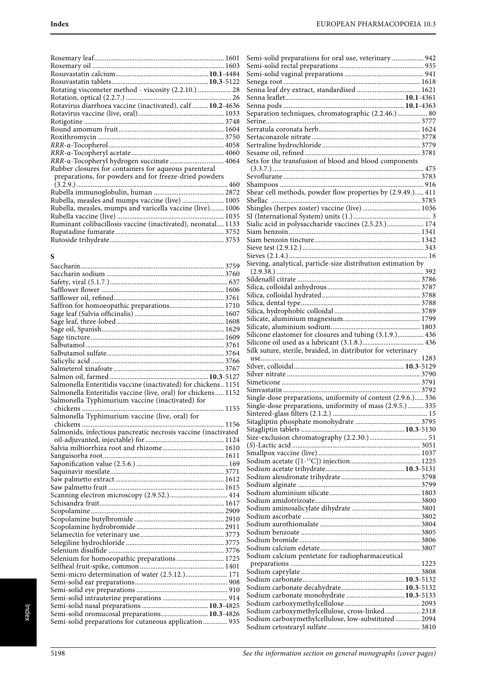| Rotating viscometer method - viscosity (2.2.10.)  28       |  |
|------------------------------------------------------------|--|
|                                                            |  |
| Rotavirus diarrhoea vaccine (inactivated), calf  10.2-4636 |  |
|                                                            |  |
|                                                            |  |
|                                                            |  |
|                                                            |  |
|                                                            |  |
|                                                            |  |
| RRR-a-Tocopheryl hydrogen succinate 4064                   |  |
| Rubber closures for containers for aqueous parenteral      |  |
| preparations, for powders and for freeze-dried powders     |  |
|                                                            |  |
|                                                            |  |
| Rubella, measles and mumps vaccine (live) 1005             |  |
| Rubella, measles, mumps and varicella vaccine (live) 1006  |  |
|                                                            |  |
|                                                            |  |

| Ruminant colibacillosis vaccine (inactivated), neonatal 1133 |  |
|--------------------------------------------------------------|--|
|                                                              |  |
|                                                              |  |
|                                                              |  |

# **S**

| Saffron for homoeopathic preparations 1710                     |
|----------------------------------------------------------------|
|                                                                |
|                                                                |
|                                                                |
|                                                                |
|                                                                |
|                                                                |
|                                                                |
|                                                                |
|                                                                |
| Salmonella Enteritidis vaccine (inactivated) for chickens 1151 |
| Salmonella Enteritidis vaccine (live, oral) for chickens 1152  |
| Salmonella Typhimurium vaccine (inactivated) for               |
|                                                                |
| Salmonella Typhimurium vaccine (live, oral) for                |
|                                                                |
| Salmonids, infectious pancreatic necrosis vaccine (inactivated |
|                                                                |
| Salvia miltiorrhiza root and rhizome 1610                      |
|                                                                |
|                                                                |
|                                                                |
|                                                                |
|                                                                |
|                                                                |
|                                                                |
|                                                                |
|                                                                |
|                                                                |
|                                                                |
|                                                                |
|                                                                |
| Selenium for homoeopathic preparations 1725                    |
|                                                                |
| Semi-micro determination of water (2.5.12.) 171                |
|                                                                |
|                                                                |
|                                                                |
|                                                                |
| Semi-solid oromucosal preparations 10.3-4826                   |
| Semi-solid preparations for cutaneous application 935          |

| Semi-solid preparations for oral use, veterinary  942         |
|---------------------------------------------------------------|
|                                                               |
|                                                               |
|                                                               |
|                                                               |
|                                                               |
| Separation techniques, chromatographic (2.2.46.) 80           |
|                                                               |
|                                                               |
|                                                               |
|                                                               |
| Sets for the transfusion of blood and blood components        |
|                                                               |
|                                                               |
|                                                               |
| Shear cell methods, powder flow properties by (2.9.49.) 411   |
| --------<br>Shingles (herpes zoster) vaccine (live)  1036     |
|                                                               |
| Sialic acid in polysaccharide vaccines (2.5.23.) 174          |
|                                                               |
|                                                               |
|                                                               |
|                                                               |
| Sieving, analytical, particle-size distribution estimation by |
|                                                               |
|                                                               |
|                                                               |
|                                                               |
|                                                               |
|                                                               |
|                                                               |
|                                                               |
| Silicone elastomer for closures and tubing (3.1.9.) 436       |
|                                                               |
| Silk suture, sterile, braided, in distributor for veterinary  |
|                                                               |
|                                                               |
|                                                               |
|                                                               |
| Single-dose preparations, uniformity of content (2.9.6.) 336  |
| Single-dose preparations, uniformity of mass (2.9.5.)  335    |
|                                                               |
|                                                               |
|                                                               |
|                                                               |
|                                                               |
|                                                               |
|                                                               |
|                                                               |
|                                                               |
|                                                               |
|                                                               |
|                                                               |
|                                                               |
|                                                               |
|                                                               |
|                                                               |
| Sodium calcium pentetate for radiopharmaceutical              |
|                                                               |
|                                                               |
|                                                               |
| Sodium carbonate monohydrate  10.3-5133                       |
|                                                               |
| Sodium carboxymethylcellulose, cross-linked 2318              |
| Sodium carboxymethylcellulose, low-substituted  2094          |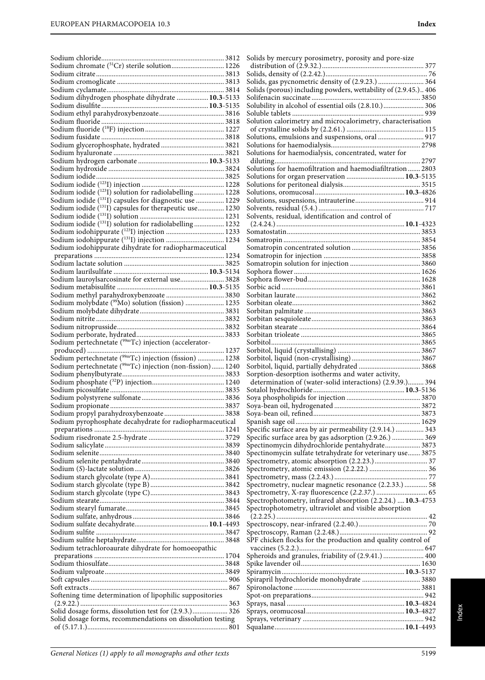|                                                                        | Solids by mercury porosimetry, porosity and pore-size                                                                |  |
|------------------------------------------------------------------------|----------------------------------------------------------------------------------------------------------------------|--|
| Sodium chromate (51Cr) sterile solution 1226                           |                                                                                                                      |  |
|                                                                        |                                                                                                                      |  |
|                                                                        | Solids, gas pycnometric density of (2.9.23.)  364<br>Solids (porous) including powders, wettability of (2.9.45.) 406 |  |
| Sodium dihydrogen phosphate dihydrate  10.3-5133                       |                                                                                                                      |  |
|                                                                        | Solubility in alcohol of essential oils (2.8.10.) 306                                                                |  |
|                                                                        |                                                                                                                      |  |
|                                                                        | Solution calorimetry and microcalorimetry, characterisation                                                          |  |
|                                                                        |                                                                                                                      |  |
|                                                                        | Solutions, emulsions and suspensions, oral  917                                                                      |  |
|                                                                        |                                                                                                                      |  |
|                                                                        | Solutions for haemodialysis, concentrated, water for                                                                 |  |
|                                                                        |                                                                                                                      |  |
|                                                                        | Solutions for haemofiltration and haemodiafiltration  2803<br>Solutions for organ preservation  10.3-5135            |  |
|                                                                        |                                                                                                                      |  |
| Sodium iodide ( <sup>123</sup> I) solution for radiolabelling 1228     |                                                                                                                      |  |
| Sodium iodide (131I) capsules for diagnostic use  1229                 |                                                                                                                      |  |
| Sodium iodide (131) capsules for therapeutic use 1230                  |                                                                                                                      |  |
|                                                                        | Solvents, residual, identification and control of                                                                    |  |
| Sodium iodide (131) solution for radiolabelling 1232                   |                                                                                                                      |  |
|                                                                        |                                                                                                                      |  |
|                                                                        |                                                                                                                      |  |
| Sodium iodohippurate dihydrate for radiopharmaceutical                 |                                                                                                                      |  |
|                                                                        |                                                                                                                      |  |
|                                                                        |                                                                                                                      |  |
| Sodium lauroylsarcosinate for external use 3828                        |                                                                                                                      |  |
|                                                                        |                                                                                                                      |  |
|                                                                        |                                                                                                                      |  |
| Sodium molybdate ( <sup>99</sup> Mo) solution (fission)  1235          |                                                                                                                      |  |
|                                                                        |                                                                                                                      |  |
|                                                                        |                                                                                                                      |  |
|                                                                        |                                                                                                                      |  |
|                                                                        |                                                                                                                      |  |
| Sodium pertechnetate (99mTc) injection (accelerator-                   |                                                                                                                      |  |
|                                                                        |                                                                                                                      |  |
| Sodium pertechnetate ( <sup>99m</sup> Tc) injection (fission)  1238    |                                                                                                                      |  |
| Sodium pertechnetate ( <sup>99m</sup> Tc) injection (non-fission) 1240 | Sorption-desorption isotherms and water activity,                                                                    |  |
|                                                                        | determination of (water-solid interactions) (2.9.39.) 394                                                            |  |
|                                                                        |                                                                                                                      |  |
|                                                                        |                                                                                                                      |  |
|                                                                        |                                                                                                                      |  |
|                                                                        |                                                                                                                      |  |
| Sodium pyrophosphate decahydrate for radiopharmaceutical               |                                                                                                                      |  |
|                                                                        | Specific surface area by air permeability (2.9.14.)  343                                                             |  |
|                                                                        | Specific surface area by gas adsorption (2.9.26.)  369                                                               |  |
|                                                                        | Spectinomycin dihydrochloride pentahydrate 3873                                                                      |  |
|                                                                        | Spectinomycin sulfate tetrahydrate for veterinary use 3875                                                           |  |
|                                                                        |                                                                                                                      |  |
|                                                                        |                                                                                                                      |  |
|                                                                        | Spectrometry, nuclear magnetic resonance (2.2.33.)  58                                                               |  |
|                                                                        |                                                                                                                      |  |
|                                                                        | Spectrophotometry, infrared absorption (2.2.24.)  10.3-4753                                                          |  |
|                                                                        | Spectrophotometry, ultraviolet and visible absorption                                                                |  |
|                                                                        |                                                                                                                      |  |
|                                                                        |                                                                                                                      |  |
|                                                                        |                                                                                                                      |  |
|                                                                        | SPF chicken flocks for the production and quality control of                                                         |  |
| Sodium tetrachloroaurate dihydrate for homoeopathic                    |                                                                                                                      |  |
|                                                                        | Spheroids and granules, friability of (2.9.41.)  400                                                                 |  |
|                                                                        |                                                                                                                      |  |
|                                                                        |                                                                                                                      |  |
|                                                                        |                                                                                                                      |  |
| Softening time determination of lipophilic suppositories               |                                                                                                                      |  |
|                                                                        |                                                                                                                      |  |
| Solid dosage forms, dissolution test for (2.9.3.) 326                  |                                                                                                                      |  |
| Solid dosage forms, recommendations on dissolution testing             |                                                                                                                      |  |
|                                                                        |                                                                                                                      |  |
|                                                                        |                                                                                                                      |  |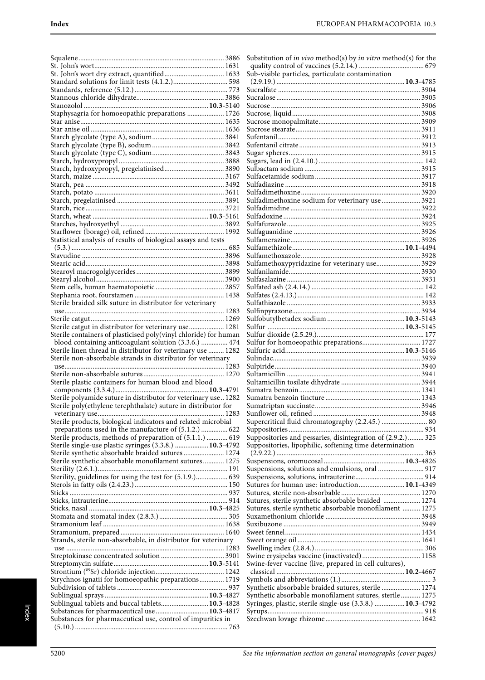| St. John's wort dry extract, quantified 1633                                                                              |  |
|---------------------------------------------------------------------------------------------------------------------------|--|
|                                                                                                                           |  |
|                                                                                                                           |  |
|                                                                                                                           |  |
|                                                                                                                           |  |
| Staphysagria for homoeopathic preparations  1726                                                                          |  |
|                                                                                                                           |  |
|                                                                                                                           |  |
|                                                                                                                           |  |
|                                                                                                                           |  |
|                                                                                                                           |  |
| Starch, hydroxypropyl, pregelatinised 3890                                                                                |  |
|                                                                                                                           |  |
|                                                                                                                           |  |
|                                                                                                                           |  |
|                                                                                                                           |  |
|                                                                                                                           |  |
|                                                                                                                           |  |
|                                                                                                                           |  |
|                                                                                                                           |  |
| Statistical analysis of results of biological assays and tests                                                            |  |
|                                                                                                                           |  |
|                                                                                                                           |  |
|                                                                                                                           |  |
|                                                                                                                           |  |
|                                                                                                                           |  |
|                                                                                                                           |  |
|                                                                                                                           |  |
| Sterile braided silk suture in distributor for veterinary                                                                 |  |
|                                                                                                                           |  |
|                                                                                                                           |  |
| Sterile catgut in distributor for veterinary use 1281                                                                     |  |
| Sterile containers of plasticised poly(vinyl chloride) for human<br>blood containing anticoagulant solution (3.3.6.)  474 |  |
| Sterile linen thread in distributor for veterinary use  1282                                                              |  |
|                                                                                                                           |  |
|                                                                                                                           |  |
| Sterile non-absorbable strands in distributor for veterinary                                                              |  |
|                                                                                                                           |  |
|                                                                                                                           |  |
| Sterile plastic containers for human blood and blood                                                                      |  |
|                                                                                                                           |  |
| Sterile polyamide suture in distributor for veterinary use 1282                                                           |  |
| Sterile poly(ethylene terephthalate) suture in distributor for                                                            |  |
| Sterile products, biological indicators and related microbial                                                             |  |
| preparations used in the manufacture of (5.1.2.)  622                                                                     |  |
| Sterile products, methods of preparation of (5.1.1.)  619                                                                 |  |
| Sterile single-use plastic syringes (3.3.8.)  10.3-4792                                                                   |  |
| Sterile synthetic absorbable braided sutures  1274                                                                        |  |
| Sterile synthetic absorbable monofilament sutures 1275                                                                    |  |
|                                                                                                                           |  |
| Sterility, guidelines for using the test for (5.1.9.) 639                                                                 |  |
|                                                                                                                           |  |
|                                                                                                                           |  |
|                                                                                                                           |  |
|                                                                                                                           |  |
|                                                                                                                           |  |
|                                                                                                                           |  |
|                                                                                                                           |  |
| Strands, sterile non-absorbable, in distributor for veterinary                                                            |  |
|                                                                                                                           |  |
|                                                                                                                           |  |
|                                                                                                                           |  |
| Strychnos ignatii for homoeopathic preparations 1719                                                                      |  |
|                                                                                                                           |  |
|                                                                                                                           |  |
| Sublingual tablets and buccal tablets 10.3-4828                                                                           |  |
| Substances for pharmaceutical use  10.3-4817                                                                              |  |
| Substances for pharmaceutical use, control of impurities in                                                               |  |

| Substitution of in vivo method(s) by in vitro method(s) for the |  |
|-----------------------------------------------------------------|--|
|                                                                 |  |
|                                                                 |  |
|                                                                 |  |
|                                                                 |  |
|                                                                 |  |
|                                                                 |  |
|                                                                 |  |
|                                                                 |  |
|                                                                 |  |
|                                                                 |  |
|                                                                 |  |
|                                                                 |  |
|                                                                 |  |
| Sulfadimethoxine sodium for veterinary use  3921                |  |
|                                                                 |  |
|                                                                 |  |
|                                                                 |  |
|                                                                 |  |
|                                                                 |  |
|                                                                 |  |
| Sulfamethoxypyridazine for veterinary use 3929                  |  |
|                                                                 |  |
|                                                                 |  |
|                                                                 |  |
|                                                                 |  |
|                                                                 |  |
|                                                                 |  |
|                                                                 |  |
| Sulfur for homoeopathic preparations 1727                       |  |
|                                                                 |  |
|                                                                 |  |
|                                                                 |  |
|                                                                 |  |
|                                                                 |  |
|                                                                 |  |
|                                                                 |  |
| Supercritical fluid chromatography (2.2.45.)  80                |  |
|                                                                 |  |
| Suppositories and pessaries, disintegration of (2.9.2.) 325     |  |
| Suppositories, lipophilic, softening time determination         |  |
|                                                                 |  |
| Suspensions, solutions and emulsions, oral  917                 |  |
|                                                                 |  |
| Sutures for human use: introduction 10.1-4349                   |  |
|                                                                 |  |
| Sutures, sterile synthetic absorbable braided  1274             |  |
| Sutures, sterile synthetic absorbable monofilament  1275        |  |
|                                                                 |  |
|                                                                 |  |
|                                                                 |  |
| Swine erysipelas vaccine (inactivated) 1158                     |  |
| Swine-fever vaccine (live, prepared in cell cultures),          |  |
|                                                                 |  |
| Synthetic absorbable braided sutures, sterile  1274             |  |
| Synthetic absorbable monofilament sutures, sterile 1275         |  |
| Syringes, plastic, sterile single-use (3.3.8.)  10.3-4792       |  |
|                                                                 |  |
|                                                                 |  |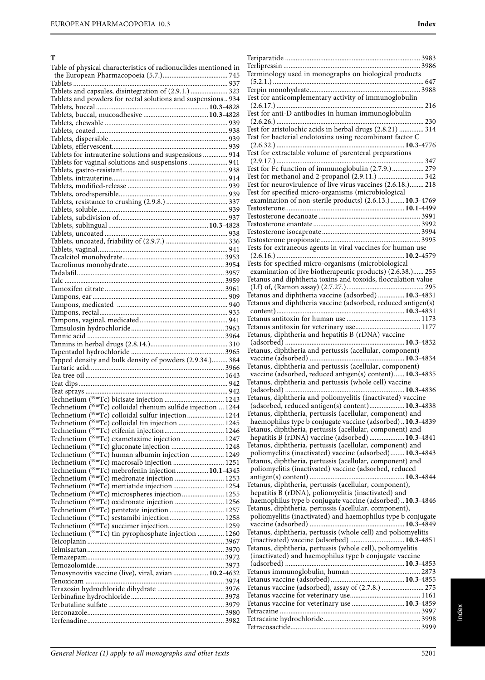# **T**

| Table of physical characteristics of radionuclides mentioned in                                                            |  |
|----------------------------------------------------------------------------------------------------------------------------|--|
|                                                                                                                            |  |
|                                                                                                                            |  |
| Tablets and capsules, disintegration of (2.9.1.)  323<br>Tablets and powders for rectal solutions and suspensions 934      |  |
|                                                                                                                            |  |
|                                                                                                                            |  |
|                                                                                                                            |  |
|                                                                                                                            |  |
|                                                                                                                            |  |
|                                                                                                                            |  |
| Tablets for intrauterine solutions and suspensions  914<br>Tablets for vaginal solutions and suspensions  941              |  |
|                                                                                                                            |  |
|                                                                                                                            |  |
|                                                                                                                            |  |
|                                                                                                                            |  |
|                                                                                                                            |  |
|                                                                                                                            |  |
|                                                                                                                            |  |
|                                                                                                                            |  |
|                                                                                                                            |  |
|                                                                                                                            |  |
|                                                                                                                            |  |
|                                                                                                                            |  |
|                                                                                                                            |  |
|                                                                                                                            |  |
|                                                                                                                            |  |
|                                                                                                                            |  |
|                                                                                                                            |  |
|                                                                                                                            |  |
|                                                                                                                            |  |
|                                                                                                                            |  |
|                                                                                                                            |  |
| Tapped density and bulk density of powders (2.9.34.) 384                                                                   |  |
|                                                                                                                            |  |
|                                                                                                                            |  |
|                                                                                                                            |  |
|                                                                                                                            |  |
| Technetium $\binom{99 \text{m}}{2}$ colloidal rhenium sulfide injection  1244                                              |  |
| Technetium ( <sup>99m</sup> Tc) colloidal sulfur injection 1244                                                            |  |
| Technetium ( <sup>99m</sup> Tc) colloidal tin injection  1245                                                              |  |
|                                                                                                                            |  |
| Technetium ( <sup>99m</sup> Tc) exametazime injection  1247                                                                |  |
| Technetium ( <sup>99m</sup> Tc) gluconate injection  1248<br>Technetium ( <sup>99m</sup> Tc) human albumin injection  1249 |  |
| Technetium ( <sup>99m</sup> Tc) macrosalb injection  1251                                                                  |  |
| Technetium ( <sup>99m</sup> Tc) mebrofenin injection 10.1-4345                                                             |  |
| Technetium ( <sup>99m</sup> Tc) medronate injection  1253                                                                  |  |
| Technetium ( <sup>99m</sup> Tc) mertiatide injection  1254                                                                 |  |
| Technetium ( <sup>99m</sup> Tc) microspheres injection 1255                                                                |  |
| Technetium ( <sup>99m</sup> Tc) oxidronate injection  1256                                                                 |  |
| Technetium ( <sup>99m</sup> Tc) pentetate injection  1257<br>Technetium ( <sup>99m</sup> Tc) sestamibi injection 1258      |  |
|                                                                                                                            |  |
| Technetium ( <sup>99m</sup> Tc) tin pyrophosphate injection  1260                                                          |  |
|                                                                                                                            |  |
|                                                                                                                            |  |
|                                                                                                                            |  |
| Tenosynovitis vaccine (live), viral, avian  10.2-4632                                                                      |  |
|                                                                                                                            |  |
|                                                                                                                            |  |
|                                                                                                                            |  |
|                                                                                                                            |  |
|                                                                                                                            |  |
|                                                                                                                            |  |
|                                                                                                                            |  |

| Terminology used in monographs on biological products                                                           |  |
|-----------------------------------------------------------------------------------------------------------------|--|
|                                                                                                                 |  |
|                                                                                                                 |  |
| Test for anticomplementary activity of immunoglobulin                                                           |  |
|                                                                                                                 |  |
| Test for anti-D antibodies in human immunoglobulin                                                              |  |
|                                                                                                                 |  |
| Test for aristolochic acids in herbal drugs (2.8.21)  314                                                       |  |
| Test for bacterial endotoxins using recombinant factor C                                                        |  |
|                                                                                                                 |  |
| Test for extractable volume of parenteral preparations                                                          |  |
| Test for Fc function of immunoglobulin (2.7.9.) 279                                                             |  |
|                                                                                                                 |  |
| Test for methanol and 2-propanol (2.9.11.)  342<br>Test for neurovirulence of live virus vaccines (2.6.18.) 218 |  |
| Test for specified micro-organisms (microbiological                                                             |  |
| examination of non-sterile products) (2.6.13.) 10.3-4769                                                        |  |
|                                                                                                                 |  |
|                                                                                                                 |  |
|                                                                                                                 |  |
|                                                                                                                 |  |
|                                                                                                                 |  |
| Tests for extraneous agents in viral vaccines for human use                                                     |  |
|                                                                                                                 |  |
| Tests for specified micro-organisms (microbiological                                                            |  |
| examination of live biotherapeutic products) (2.6.38.) 255                                                      |  |
| Tetanus and diphtheria toxins and toxoids, flocculation value                                                   |  |
|                                                                                                                 |  |
| Tetanus and diphtheria vaccine (adsorbed)  10.3-4831                                                            |  |
| Tetanus and diphtheria vaccine (adsorbed, reduced antigen(s)                                                    |  |
|                                                                                                                 |  |
|                                                                                                                 |  |
|                                                                                                                 |  |
| Tetanus, diphtheria and hepatitis B (rDNA) vaccine                                                              |  |
|                                                                                                                 |  |
| Tetanus, diphtheria and pertussis (acellular, component)                                                        |  |
|                                                                                                                 |  |
| Tetanus, diphtheria and pertussis (acellular, component)                                                        |  |
| vaccine (adsorbed, reduced antigen(s) content) 10.3-4835                                                        |  |
| Tetanus, diphtheria and pertussis (whole cell) vaccine                                                          |  |
| Tetanus, diphtheria and poliomyelitis (inactivated) vaccine                                                     |  |
|                                                                                                                 |  |
| (adsorbed, reduced antigen(s) content) 10.3-4838<br>Tetanus, diphtheria, pertussis (acellular, component) and   |  |
| haemophilus type b conjugate vaccine (adsorbed)10.3-4839                                                        |  |
| Tetanus, diphtheria, pertussis (acellular, component) and                                                       |  |
| hepatitis B (rDNA) vaccine (adsorbed)  10.3-4841                                                                |  |
| Tetanus, diphtheria, pertussis (acellular, component) and                                                       |  |
| poliomyelitis (inactivated) vaccine (adsorbed) 10.3-4843                                                        |  |
| Tetanus, diphtheria, pertussis (acellular, component) and                                                       |  |
| poliomyelitis (inactivated) vaccine (adsorbed, reduced                                                          |  |
|                                                                                                                 |  |
| Tetanus, diphtheria, pertussis (acellular, component),                                                          |  |
| hepatitis B (rDNA), poliomyelitis (inactivated) and                                                             |  |
| haemophilus type b conjugate vaccine (adsorbed)10.3-4846                                                        |  |
|                                                                                                                 |  |
|                                                                                                                 |  |
| Tetanus, diphtheria, pertussis (acellular, component),                                                          |  |
| poliomyelitis (inactivated) and haemophilus type b conjugate                                                    |  |
|                                                                                                                 |  |
| Tetanus, diphtheria, pertussis (whole cell) and poliomyelitis<br>(inactivated) vaccine (adsorbed)  10.3-4851    |  |
| Tetanus, diphtheria, pertussis (whole cell), poliomyelitis                                                      |  |
| (inactivated) and haemophilus type b conjugate vaccine                                                          |  |
|                                                                                                                 |  |
|                                                                                                                 |  |
|                                                                                                                 |  |
| Tetanus vaccine (adsorbed), assay of (2.7.8.)  275                                                              |  |
|                                                                                                                 |  |
| Tetanus vaccine for veterinary use  10.3-4859                                                                   |  |
|                                                                                                                 |  |
|                                                                                                                 |  |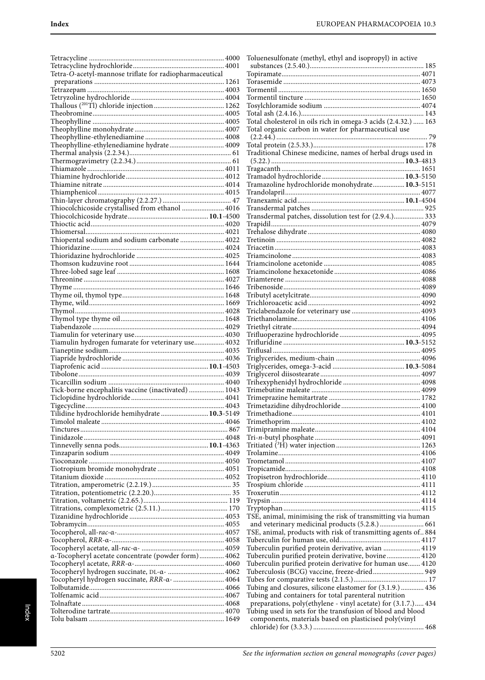Tetracycline ............................................................................. 4000 Tetracycline hydrochloride.................................................... 4001 Tetra-O-acetyl-mannose triflate for radiopharmaceutical preparations .......................................................................... 1261 Tetrazepam .............................................................................. 4003 Tetryzoline hydrochloride ..................................................... 4004 Thallous (201Tl) chloride injection ........................................ 1262 Theobromine........................................................................... 4005 Theophylline ........................................................................... 4005 Theophylline monohydrate ................................................... 4007 Theophylline-ethylenediamine ............................................. 4008 Theophylline-ethylenediamine hydrate ............................... 4009 Thermal analysis (2.2.34.).......................................................... 61 Thermogravimetry (2.2.34.)...................................................... 61 Thiamazole .............................................................................. 4011 Thiamine hydrochloride........................................................ 4012 Thiamine nitrate ..................................................................... 4014 Thiamphenicol ........................................................................ 4015 Thin-layer chromatography (2.2.27.) ....................................... 47 Thiocolchicoside crystallised from ethanol ........................ 4016 Thiocolchicoside hydrate..............................................**10.1**-4500 Thioctic acid............................................................................ 4020 Thiomersal............................................................................... 4021 Thiopental sodium and sodium carbonate ......................... 4022 Thioridazine ............................................................................ 4024 Thioridazine hydrochloride .................................................. 4025 Thomson kudzuvine root ...................................................... 1644 Three-lobed sage leaf ............................................................. 1608 Threonine ................................................................................ 4027 Thyme ...................................................................................... 1646 Thyme oil, thymol type.......................................................... 1648 Thyme, wild............................................................................. 1669 Thymol..................................................................................... 4028 Thymol type thyme oil........................................................... 1648 Tiabendazole ........................................................................... 4029 Tiamulin for veterinary use................................................... 4030 Tiamulin hydrogen fumarate for veterinary use................. 4032 Tianeptine sodium.................................................................. 4035 Tiapride hydrochloride .......................................................... 4036 Tiaprofenic acid .............................................................**10.1**-4503 Tibolone................................................................................... 4039 Ticarcillin sodium .................................................................. 4040 Tick-borne encephalitis vaccine (inactivated) .................... 1043 Ticlopidine hydrochloride ..................................................... 4041 Tigecycline............................................................................... 4043 Tilidine hydrochloride hemihydrate ...........................**10.3**-5149 Timolol maleate ...................................................................... 4046 Tinctures .................................................................................... 867 Tinidazole ................................................................................ 4048 Tinnevelly senna pods...................................................**10.1**-4363 Tinzaparin sodium ................................................................. 4049 Tioconazole ............................................................................. 4050 Tiotropium bromide monohydrate ...................................... 4051 Titanium dioxide .................................................................... 4052 Titration, amperometric (2.2.19.)............................................. 35 Titration, potentiometric (2.2.20.)............................................ 35 Titration, voltametric (2.2.65.)................................................ 119 Titrations, complexometric (2.5.11.)...................................... 170 Tizanidine hydrochloride ...................................................... 4053 Tobramycin.............................................................................. 4055 Tocopherol, all-rac-α-............................................................. 4057 Tocopherol, RRR-α-................................................................ 4058 Tocopheryl acetate, all-rac-α- ............................................... 4059 α-Tocopheryl acetate concentrate (powder form).............. 4062 Tocopheryl acetate, RRR-α-................................................... 4060 Tocopheryl hydrogen succinate, DL-α- ................................ 4062 Tocopheryl hydrogen succinate, RRR-α- ............................. 4064 Tolbutamide............................................................................. 4066 Tolfenamic acid....................................................................... 4067 Tolnaftate ................................................................................. 4068 Tolterodine tartrate................................................................. 4070 Tolu balsam ............................................................................. 1649

| Toluenesulfonate (methyl, ethyl and isopropyl) in active       |  |
|----------------------------------------------------------------|--|
|                                                                |  |
|                                                                |  |
|                                                                |  |
|                                                                |  |
|                                                                |  |
|                                                                |  |
|                                                                |  |
|                                                                |  |
| Total cholesterol in oils rich in omega-3 acids (2.4.32.)  163 |  |
| Total organic carbon in water for pharmaceutical use           |  |
|                                                                |  |
|                                                                |  |
| Traditional Chinese medicine, names of herbal drugs used in    |  |
|                                                                |  |
|                                                                |  |
|                                                                |  |
|                                                                |  |
| Tramazoline hydrochloride monohydrate 10.3-5151                |  |
|                                                                |  |
|                                                                |  |
|                                                                |  |
| Transdermal patches, dissolution test for (2.9.4.) 333         |  |
|                                                                |  |
|                                                                |  |
|                                                                |  |
|                                                                |  |
|                                                                |  |
|                                                                |  |
|                                                                |  |
|                                                                |  |
|                                                                |  |
|                                                                |  |
|                                                                |  |
|                                                                |  |
|                                                                |  |
|                                                                |  |
|                                                                |  |
|                                                                |  |
|                                                                |  |
|                                                                |  |
|                                                                |  |
|                                                                |  |
|                                                                |  |
|                                                                |  |
|                                                                |  |
|                                                                |  |
|                                                                |  |
|                                                                |  |
|                                                                |  |
|                                                                |  |
|                                                                |  |
|                                                                |  |
|                                                                |  |
|                                                                |  |
|                                                                |  |
|                                                                |  |
|                                                                |  |
|                                                                |  |
|                                                                |  |
|                                                                |  |
|                                                                |  |
|                                                                |  |
|                                                                |  |
| TSE, animal, minimising the risk of transmitting via human     |  |
| and veterinary medicinal products (5.2.8.)  661                |  |
| TSE, animal, products with risk of transmitting agents of 884  |  |
|                                                                |  |
|                                                                |  |
|                                                                |  |
| Tuberculin purified protein derivative, avian  4119            |  |
| Tuberculin purified protein derivative, bovine 4120            |  |
| Tuberculin purified protein derivative for human use 4120      |  |
| Tuberculosis (BCG) vaccine, freeze-dried 949                   |  |
|                                                                |  |
| Tubing and closures, silicone elastomer for (3.1.9.)  436      |  |
| Tubing and containers for total parenteral nutrition           |  |
| preparations, poly(ethylene - vinyl acetate) for (3.1.7.) 434  |  |
| Tubing used in sets for the transfusion of blood and blood     |  |
| components, materials based on plasticised poly(vinyl          |  |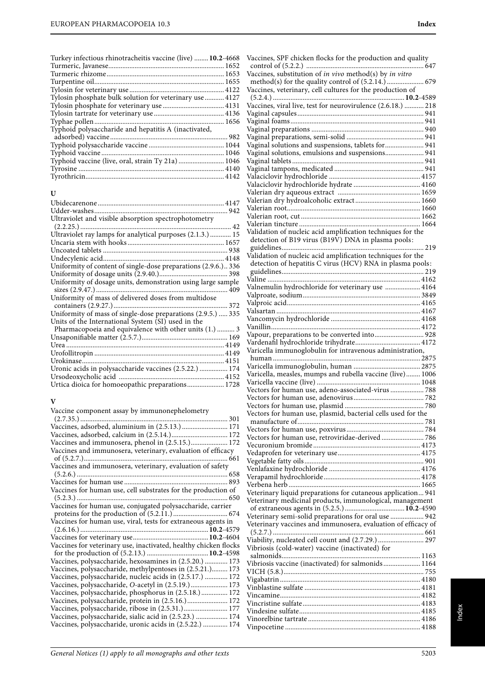| Turkey infectious rhinotracheitis vaccine (live)  10.2-4668 |  |
|-------------------------------------------------------------|--|
|                                                             |  |
|                                                             |  |
|                                                             |  |
|                                                             |  |
| Tylosin phosphate bulk solution for veterinary use  4127    |  |
|                                                             |  |
|                                                             |  |
|                                                             |  |
| Typhoid polysaccharide and hepatitis A (inactivated,        |  |
|                                                             |  |
|                                                             |  |
|                                                             |  |
| Typhoid vaccine (live, oral, strain Ty 21a)  1046           |  |
|                                                             |  |
|                                                             |  |
|                                                             |  |

## **U**

| Ultraviolet and visible absorption spectrophotometry           |
|----------------------------------------------------------------|
|                                                                |
| Ultraviolet ray lamps for analytical purposes (2.1.3.)  15     |
|                                                                |
|                                                                |
|                                                                |
| Uniformity of content of single-dose preparations (2.9.6.) 336 |
|                                                                |
| Uniformity of dosage units, demonstration using large sample   |
| Uniformity of mass of delivered doses from multidose           |
| Uniformity of mass of single-dose preparations (2.9.5.)  335   |
| Units of the International System (SI) used in the             |
| Pharmacopoeia and equivalence with other units (1.)  3         |
|                                                                |
|                                                                |
|                                                                |
|                                                                |
| Uronic acids in polysaccharide vaccines (2.5.22.)  174         |
|                                                                |
| Urtica dioica for homoeopathic preparations 1728               |

## **V**

| General Notices (1) apply to all monographs and other texts | 5203 |
|-------------------------------------------------------------|------|

|                                                              | Index |
|--------------------------------------------------------------|-------|
|                                                              |       |
| Vaccines, SPF chicken flocks for the production and quality  |       |
| Vaccines, substitution of in vivo method(s) by in vitro      |       |
| Vaccines, veterinary, cell cultures for the production of    |       |
| Vaccines, viral live, test for neurovirulence (2.6.18.)  218 |       |
|                                                              |       |
|                                                              |       |
|                                                              |       |
| Vaginal solutions and suspensions, tablets for 941           |       |
| Vaginal solutions, emulsions and suspensions 941             |       |
|                                                              |       |
|                                                              |       |
|                                                              |       |
| Valerian dry aqueous extract to the total 1650               |       |
|                                                              |       |

| Vaginal solutions and suspensions, tablets for  941           |
|---------------------------------------------------------------|
| Vaginal solutions, emulsions and suspensions 941              |
|                                                               |
|                                                               |
|                                                               |
|                                                               |
|                                                               |
|                                                               |
|                                                               |
|                                                               |
|                                                               |
| Validation of nucleic acid amplification techniques for the   |
| detection of B19 virus (B19V) DNA in plasma pools:            |
|                                                               |
| Validation of nucleic acid amplification techniques for the   |
| detection of hepatitis C virus (HCV) RNA in plasma pools:     |
|                                                               |
|                                                               |
| Valnemulin hydrochloride for veterinary use  4164             |
|                                                               |
|                                                               |
|                                                               |
|                                                               |
|                                                               |
|                                                               |
| Vapour, preparations to be converted into 928                 |
|                                                               |
| Varicella immunoglobulin for intravenous administration,      |
|                                                               |
|                                                               |
| Varicella, measles, mumps and rubella vaccine (live) 1006     |
|                                                               |
| Vectors for human use, adeno-associated-virus  788            |
|                                                               |
|                                                               |
|                                                               |
| Vectors for human use, plasmid, bacterial cells used for the  |
|                                                               |
|                                                               |
| Vectors for human use, retroviridae-derived 786               |
|                                                               |
|                                                               |
|                                                               |
|                                                               |
|                                                               |
|                                                               |
| Veterinary liquid preparations for cutaneous application 941  |
| Veterinary medicinal products, immunological, management      |
|                                                               |
| Veterinary semi-solid preparations for oral use  942          |
|                                                               |
| Veterinary vaccines and immunosera, evaluation of efficacy of |
|                                                               |
| Viability, nucleated cell count and (2.7.29.)  297            |
| Vibriosis (cold-water) vaccine (inactivated) for              |
|                                                               |
| Vibriosis vaccine (inactivated) for salmonids  1164           |
|                                                               |
|                                                               |
|                                                               |
|                                                               |
|                                                               |
|                                                               |
|                                                               |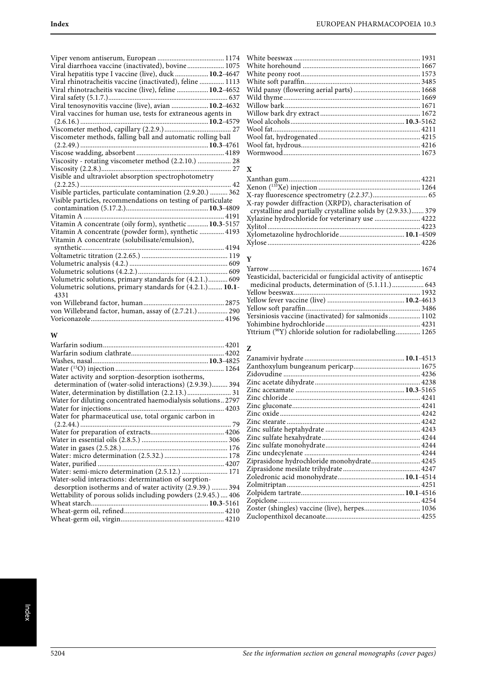| Viral diarrhoea vaccine (inactivated), bovine 1075                 |  |
|--------------------------------------------------------------------|--|
| Viral hepatitis type I vaccine (live), duck  10.2-4647             |  |
| Viral rhinotracheitis vaccine (inactivated), feline  1113          |  |
| Viral rhinotracheitis vaccine (live), feline  10.2-4652            |  |
|                                                                    |  |
| Viral tenosynovitis vaccine (live), avian  10.2-4632               |  |
| Viral vaccines for human use, tests for extraneous agents in       |  |
|                                                                    |  |
|                                                                    |  |
| Viscometer methods, falling ball and automatic rolling ball        |  |
|                                                                    |  |
|                                                                    |  |
| Viscosity - rotating viscometer method (2.2.10.)  28               |  |
|                                                                    |  |
| Visible and ultraviolet absorption spectrophotometry               |  |
|                                                                    |  |
| Visible particles, particulate contamination (2.9.20.)  362        |  |
| Visible particles, recommendations on testing of particulate       |  |
|                                                                    |  |
|                                                                    |  |
| Vitamin A concentrate (oily form), synthetic  10.3-5157            |  |
| Vitamin A concentrate (powder form), synthetic  4193               |  |
| Vitamin A concentrate (solubilisate/emulsion),                     |  |
| synthetic                                                          |  |
|                                                                    |  |
|                                                                    |  |
|                                                                    |  |
| Volumetric solutions, primary standards for (4.2.1.) 609           |  |
| Volumetric solutions, primary standards for (4.2.1.) 10.1-<br>4331 |  |
|                                                                    |  |
| von Willebrand factor, human, assay of (2.7.21.) 290               |  |
|                                                                    |  |
|                                                                    |  |

# **W**

| Water activity and sorption-desorption isotherms,            |
|--------------------------------------------------------------|
| determination of (water-solid interactions) (2.9.39.) 394    |
|                                                              |
| Water for diluting concentrated haemodialysis solutions 2797 |
|                                                              |
| Water for pharmaceutical use, total organic carbon in        |
|                                                              |
|                                                              |
|                                                              |
|                                                              |
|                                                              |
|                                                              |
|                                                              |
| Water-solid interactions: determination of sorption-         |
| desorption isotherms and of water activity (2.9.39.)  394    |
| Wettability of porous solids including powders (2.9.45.) 406 |
|                                                              |
|                                                              |
|                                                              |

# **X**

| X-ray powder diffraction (XRPD), characterisation of          |  |
|---------------------------------------------------------------|--|
| crystalline and partially crystalline solids by (2.9.33.) 379 |  |
| Xylazine hydrochloride for veterinary use  4222               |  |
|                                                               |  |
|                                                               |  |
|                                                               |  |
|                                                               |  |

# **Y**

| Yeasticidal, bactericidal or fungicidal activity of antiseptic |  |
|----------------------------------------------------------------|--|
|                                                                |  |
|                                                                |  |
|                                                                |  |
|                                                                |  |
| Yersiniosis vaccine (inactivated) for salmonids 1102           |  |
|                                                                |  |
| Yttrium (90Y) chloride solution for radiolabelling 1265        |  |

## **Z**

| Ziprasidone hydrochloride monohydrate 4245    |  |
|-----------------------------------------------|--|
|                                               |  |
|                                               |  |
|                                               |  |
|                                               |  |
|                                               |  |
| Zoster (shingles) vaccine (live), herpes 1036 |  |
|                                               |  |
|                                               |  |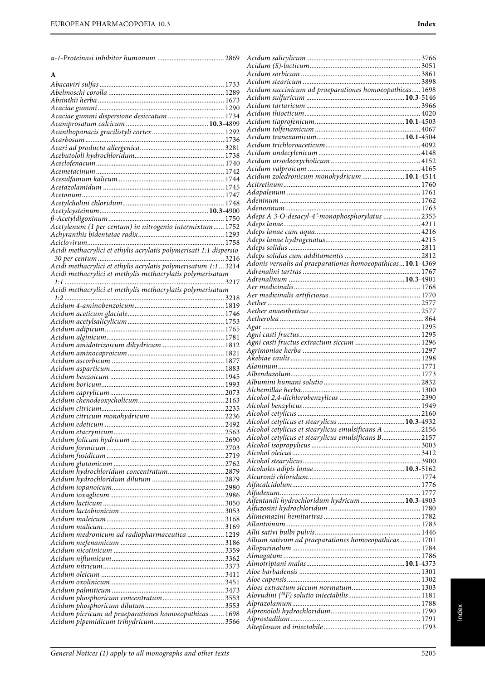|                                                                    | Acid<br>Acid   |
|--------------------------------------------------------------------|----------------|
| A                                                                  | Acid           |
|                                                                    | Acid           |
|                                                                    | Acid           |
|                                                                    | Acid<br>Acid   |
| Acaciae gummi dispersione desiccatum  1734                         | Acid           |
|                                                                    | Acid           |
|                                                                    | Acid           |
|                                                                    | Acid           |
|                                                                    | Acid           |
|                                                                    | Acid<br>Acid   |
|                                                                    | Acid           |
|                                                                    | Acitr          |
|                                                                    | Adat           |
|                                                                    | Ader           |
|                                                                    | Ader<br>Adep   |
|                                                                    | Adep           |
| Acetylenum (1 per centum) in nitrogenio intermixtum 1752           | Adep           |
|                                                                    | Adep           |
| Acidi methacrylici et ethylis acrylatis polymerisati 1:1 dispersio | Adep           |
|                                                                    | Adep<br>Ador   |
| Acidi methacrylici et ethylis acrylatis polymerisatum 1:13214      | A dre          |
| Acidi methacrylici et methylis methacrylatis polymerisatum         | Adre           |
| Acidi methacrylici et methylis methacrylatis polymerisatum         | Aer 1          |
|                                                                    | Aer i          |
|                                                                    | Aeth<br>Aeth   |
|                                                                    | Aeth           |
|                                                                    | Agar           |
|                                                                    | Agni           |
| Acidum amidotrizoicum dihydricum  1812                             | Agni           |
|                                                                    | Agrii<br>Akeb  |
|                                                                    | Alan           |
|                                                                    | Albei          |
|                                                                    | Albu           |
|                                                                    | Alch           |
|                                                                    | Alcol          |
|                                                                    | Alcol<br>Alcol |
|                                                                    | Alcol          |
|                                                                    | Alcol          |
|                                                                    | Alcol          |
|                                                                    | Alcol          |
|                                                                    | Alcol<br>Alcol |
|                                                                    | Alcol          |
| Acidum hydrochloridum concentratum 2879                            | Alcu           |
|                                                                    | Alfac          |
|                                                                    | Alfac          |
|                                                                    | Alfer<br>Alfuz |
|                                                                    | Alim           |
|                                                                    | Allar          |
| Acidum medronicum ad radiopharmaceutica  1219                      | Allii          |
|                                                                    | Alliu          |
|                                                                    | Allot          |
|                                                                    | Almo<br>Almo   |
|                                                                    | Aloe           |
|                                                                    | Aloe           |
|                                                                    | Aloe:          |
|                                                                    | $A$ lov        |
|                                                                    | Alpre<br>Alpre |
| Acidum picricum ad praeparationes homoeopathicas  1698             | Alpro          |
|                                                                    | Altep          |

| Acidum succinicum ad praeparationes homoeopathicas 1698    |  |
|------------------------------------------------------------|--|
|                                                            |  |
|                                                            |  |
|                                                            |  |
|                                                            |  |
|                                                            |  |
|                                                            |  |
|                                                            |  |
|                                                            |  |
|                                                            |  |
|                                                            |  |
| Acidum zoledronicum monohydricum  10.1-4514                |  |
|                                                            |  |
|                                                            |  |
|                                                            |  |
|                                                            |  |
|                                                            |  |
| Adeps A 3-O-desacyl-4'-monophosphorylatus  2355            |  |
|                                                            |  |
|                                                            |  |
|                                                            |  |
|                                                            |  |
|                                                            |  |
| Adonis vernalis ad praeparationes homoeopathicas 10.1-4369 |  |
|                                                            |  |
|                                                            |  |
|                                                            |  |
|                                                            |  |
|                                                            |  |
|                                                            |  |
|                                                            |  |
|                                                            |  |
|                                                            |  |
|                                                            |  |
|                                                            |  |
|                                                            |  |
|                                                            |  |
|                                                            |  |
|                                                            |  |
|                                                            |  |
|                                                            |  |
|                                                            |  |
|                                                            |  |
|                                                            |  |
|                                                            |  |
|                                                            |  |
|                                                            |  |
| Alcohol cetylicus et stearylicus emulsificans A  2156      |  |
| Alcohol cetylicus et stearylicus emulsificans B 2157       |  |
|                                                            |  |
|                                                            |  |
|                                                            |  |
|                                                            |  |
|                                                            |  |
|                                                            |  |
|                                                            |  |
|                                                            |  |
| Alfentanili hydrochloridum hydricum 10.3-4903              |  |
|                                                            |  |
|                                                            |  |
|                                                            |  |
|                                                            |  |
|                                                            |  |
|                                                            |  |
|                                                            |  |
| Allium sativum ad praeparationes homoeopathicas 1701       |  |
|                                                            |  |
|                                                            |  |
|                                                            |  |
|                                                            |  |
|                                                            |  |
|                                                            |  |
|                                                            |  |
|                                                            |  |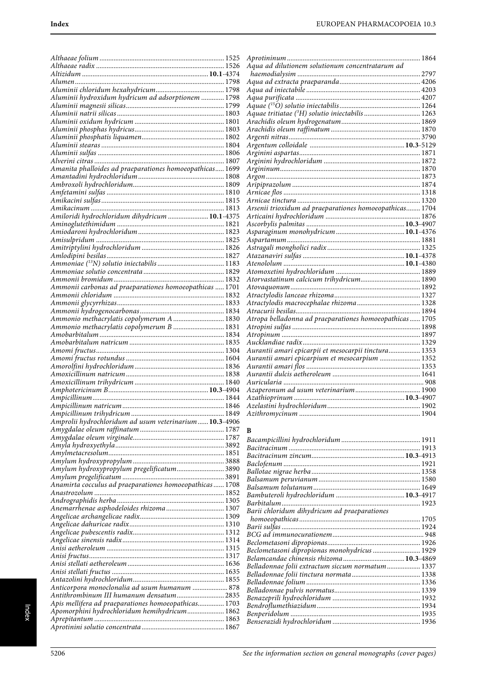| Aluminii hydroxidum hydricum ad adsorptionem  1798                                     |  |
|----------------------------------------------------------------------------------------|--|
|                                                                                        |  |
|                                                                                        |  |
|                                                                                        |  |
|                                                                                        |  |
|                                                                                        |  |
|                                                                                        |  |
|                                                                                        |  |
| Amanita phalloides ad praeparationes homoeopathicas 1699                               |  |
|                                                                                        |  |
|                                                                                        |  |
|                                                                                        |  |
|                                                                                        |  |
|                                                                                        |  |
|                                                                                        |  |
|                                                                                        |  |
|                                                                                        |  |
|                                                                                        |  |
|                                                                                        |  |
|                                                                                        |  |
|                                                                                        |  |
| Ammonii carbonas ad praeparationes homoeopathicas  1701                                |  |
|                                                                                        |  |
|                                                                                        |  |
|                                                                                        |  |
| Ammonio methacrylatis copolymerum A  1830<br>Ammonio methacrylatis copolymerum B  1831 |  |
|                                                                                        |  |
|                                                                                        |  |
|                                                                                        |  |
|                                                                                        |  |
|                                                                                        |  |
|                                                                                        |  |
|                                                                                        |  |
|                                                                                        |  |
|                                                                                        |  |
|                                                                                        |  |
|                                                                                        |  |
| Amprolii hydrochloridum ad usum veterinarium 10.3-4906                                 |  |
|                                                                                        |  |
|                                                                                        |  |
|                                                                                        |  |
|                                                                                        |  |
| Amylum hydroxypropylum pregelificatum 3890                                             |  |
|                                                                                        |  |
|                                                                                        |  |
|                                                                                        |  |
|                                                                                        |  |
| Anemarrhenae asphodeloides rhizoma 1307                                                |  |
|                                                                                        |  |
|                                                                                        |  |
|                                                                                        |  |
|                                                                                        |  |
|                                                                                        |  |
|                                                                                        |  |
|                                                                                        |  |
| Anticorpora monoclonalia ad usum humanum  878                                          |  |
| Antithrombinum III humanum densatum 2835                                               |  |
| Apis mellifera ad praeparationes homoeopathicas 1703                                   |  |
| Apomorphini hydrochloridum hemihydricum 1862                                           |  |
|                                                                                        |  |

| Aquae tritiatae (3H) solutio iniectabilis  1263         |  |
|---------------------------------------------------------|--|
|                                                         |  |
|                                                         |  |
|                                                         |  |
|                                                         |  |
|                                                         |  |
|                                                         |  |
|                                                         |  |
|                                                         |  |
|                                                         |  |
|                                                         |  |
|                                                         |  |
| Arsenii trioxidum ad praeparationes homoeopathicas 1704 |  |
|                                                         |  |
|                                                         |  |
|                                                         |  |
|                                                         |  |
|                                                         |  |
|                                                         |  |
|                                                         |  |
|                                                         |  |
| Atorvastatinum calcicum trihydricum 1890                |  |
|                                                         |  |
|                                                         |  |
|                                                         |  |
|                                                         |  |
|                                                         |  |
|                                                         |  |
|                                                         |  |
|                                                         |  |
| Aurantii amari epicarpii et mesocarpii tinctura 1353    |  |
| Aurantii amari epicarpium et mesocarpium  1352          |  |
|                                                         |  |
|                                                         |  |
|                                                         |  |
|                                                         |  |
|                                                         |  |
|                                                         |  |
|                                                         |  |
|                                                         |  |

#### **B**

| Barii chloridum dihydricum ad praeparationes     |  |
|--------------------------------------------------|--|
|                                                  |  |
|                                                  |  |
|                                                  |  |
|                                                  |  |
| Beclometasoni dipropionas monohydricus  1929     |  |
|                                                  |  |
| Belladonnae folii extractum siccum normatum 1337 |  |
|                                                  |  |
|                                                  |  |
|                                                  |  |
|                                                  |  |
|                                                  |  |
|                                                  |  |
|                                                  |  |
|                                                  |  |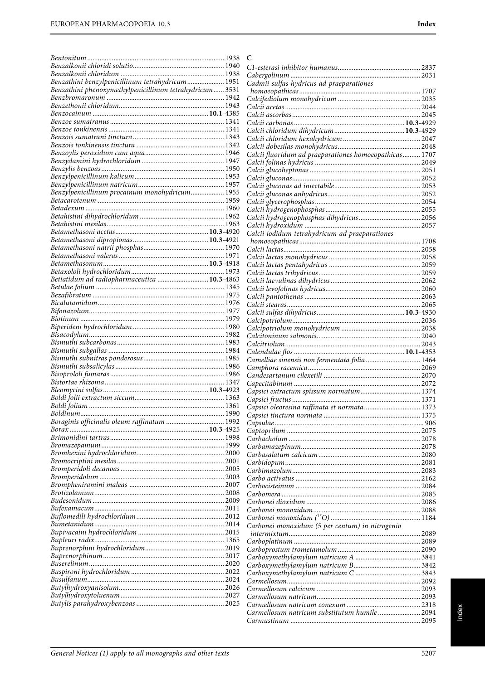|                                                         | C                                                      |  |
|---------------------------------------------------------|--------------------------------------------------------|--|
|                                                         |                                                        |  |
|                                                         |                                                        |  |
| Benzathini benzylpenicillinum tetrahydricum 1951        | Cadmii sulfas hydricus ad praeparationes               |  |
| Benzathini phenoxymethylpenicillinum tetrahydricum 3531 |                                                        |  |
|                                                         |                                                        |  |
|                                                         |                                                        |  |
|                                                         |                                                        |  |
|                                                         |                                                        |  |
|                                                         |                                                        |  |
|                                                         |                                                        |  |
|                                                         | Calcii fluoridum ad praeparationes homoeopathicas 1707 |  |
|                                                         |                                                        |  |
|                                                         |                                                        |  |
|                                                         |                                                        |  |
|                                                         |                                                        |  |
| Benzylpenicillinum procainum monohydricum 1955          |                                                        |  |
|                                                         |                                                        |  |
|                                                         |                                                        |  |
|                                                         |                                                        |  |
|                                                         | Calcii iodidum tetrahydricum ad praeparationes         |  |
|                                                         |                                                        |  |
|                                                         |                                                        |  |
|                                                         |                                                        |  |
|                                                         |                                                        |  |
|                                                         |                                                        |  |
| Betiatidum ad radiopharmaceutica  10.3-4863             |                                                        |  |
|                                                         |                                                        |  |
|                                                         |                                                        |  |
|                                                         |                                                        |  |
|                                                         |                                                        |  |
|                                                         |                                                        |  |
|                                                         |                                                        |  |
|                                                         |                                                        |  |
|                                                         |                                                        |  |
|                                                         | Camelliae sinensis non fermentata folia  1464          |  |
|                                                         |                                                        |  |
|                                                         |                                                        |  |
|                                                         |                                                        |  |
|                                                         |                                                        |  |
|                                                         | Capsici oleoresina raffinata et normata 1373           |  |
|                                                         |                                                        |  |
| Boraginis officinalis oleum raffinatum  1992            |                                                        |  |
|                                                         |                                                        |  |
|                                                         |                                                        |  |
|                                                         |                                                        |  |
|                                                         |                                                        |  |
|                                                         |                                                        |  |
|                                                         |                                                        |  |
|                                                         |                                                        |  |
|                                                         |                                                        |  |
|                                                         |                                                        |  |
|                                                         |                                                        |  |
|                                                         |                                                        |  |
|                                                         | Carbonei monoxidum (5 per centum) in nitrogenio        |  |
|                                                         |                                                        |  |
|                                                         |                                                        |  |
|                                                         |                                                        |  |
|                                                         |                                                        |  |
|                                                         |                                                        |  |
|                                                         |                                                        |  |
|                                                         |                                                        |  |
|                                                         |                                                        |  |
|                                                         |                                                        |  |
|                                                         |                                                        |  |
|                                                         |                                                        |  |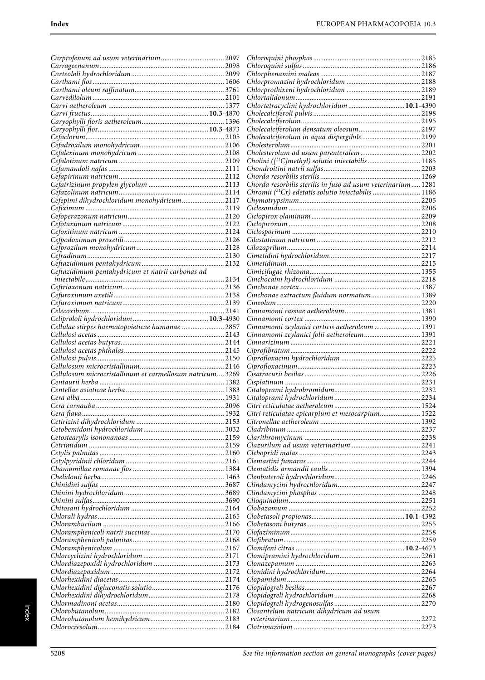|                                                           | Chlortetracyclini hydrochloridum  10.1-4390                  |  |
|-----------------------------------------------------------|--------------------------------------------------------------|--|
|                                                           |                                                              |  |
|                                                           |                                                              |  |
|                                                           |                                                              |  |
|                                                           | Cholecalciferolum in aqua dispergibile 2199                  |  |
|                                                           |                                                              |  |
|                                                           |                                                              |  |
|                                                           |                                                              |  |
|                                                           |                                                              |  |
|                                                           |                                                              |  |
|                                                           | Chorda resorbilis sterilis in fuso ad usum veterinarium 1281 |  |
|                                                           |                                                              |  |
| Cefepimi dihydrochloridum monohydricum 2117               |                                                              |  |
|                                                           |                                                              |  |
|                                                           |                                                              |  |
|                                                           |                                                              |  |
|                                                           |                                                              |  |
|                                                           |                                                              |  |
|                                                           |                                                              |  |
|                                                           |                                                              |  |
| Ceftazidimum pentahydricum et natrii carbonas ad          |                                                              |  |
|                                                           |                                                              |  |
|                                                           |                                                              |  |
|                                                           | Cinchonae extractum fluidum normatum 1389                    |  |
|                                                           |                                                              |  |
|                                                           |                                                              |  |
|                                                           |                                                              |  |
| Cellulae stirpes haematopoieticae humanae  2857           | Cinnamomi zeylanici corticis aetheroleum  1391               |  |
|                                                           | Cinnamomi zeylanici folii aetheroleum 1391                   |  |
|                                                           |                                                              |  |
|                                                           |                                                              |  |
|                                                           |                                                              |  |
|                                                           |                                                              |  |
| Cellulosum microcristallinum et carmellosum natricum 3269 |                                                              |  |
|                                                           |                                                              |  |
|                                                           |                                                              |  |
|                                                           |                                                              |  |
|                                                           | Citri reticulatae epicarpium et mesocarpium 1522             |  |
|                                                           |                                                              |  |
|                                                           |                                                              |  |
|                                                           |                                                              |  |
|                                                           |                                                              |  |
|                                                           |                                                              |  |
|                                                           |                                                              |  |
|                                                           |                                                              |  |
|                                                           |                                                              |  |
|                                                           |                                                              |  |
|                                                           |                                                              |  |
|                                                           |                                                              |  |
|                                                           |                                                              |  |
|                                                           |                                                              |  |
|                                                           |                                                              |  |
|                                                           |                                                              |  |
|                                                           |                                                              |  |
|                                                           |                                                              |  |
|                                                           |                                                              |  |
|                                                           |                                                              |  |
|                                                           |                                                              |  |
|                                                           |                                                              |  |
|                                                           |                                                              |  |
|                                                           |                                                              |  |
|                                                           | Closantelum natricum dihydricum ad usum                      |  |
|                                                           |                                                              |  |
|                                                           |                                                              |  |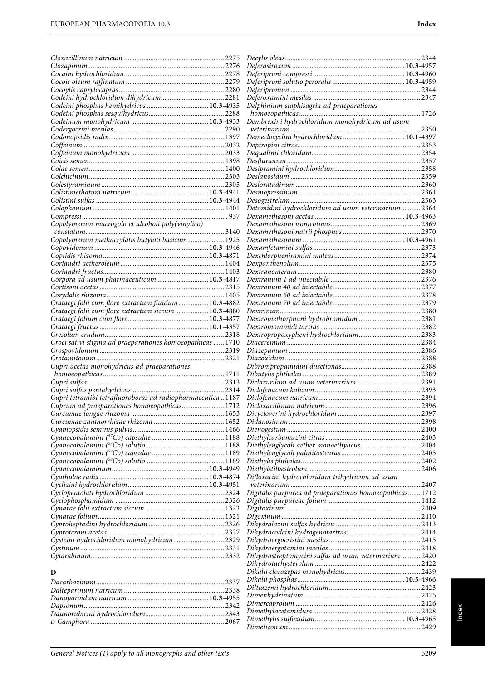| Codeini phosphas hemihydricus  10.3-4935                   |      | Delphinium staphisagria ad praeparationes                |  |
|------------------------------------------------------------|------|----------------------------------------------------------|--|
|                                                            |      |                                                          |  |
|                                                            |      | Dembrexini hydrochloridum monohydricum ad usum           |  |
|                                                            |      | Demeclocyclini hydrochloridum  10.1-4397                 |  |
|                                                            |      |                                                          |  |
|                                                            |      |                                                          |  |
|                                                            |      |                                                          |  |
|                                                            |      |                                                          |  |
|                                                            |      |                                                          |  |
|                                                            |      |                                                          |  |
|                                                            |      |                                                          |  |
|                                                            |      |                                                          |  |
|                                                            |      | Detomidini hydrochloridum ad usum veterinarium 2364      |  |
|                                                            |      |                                                          |  |
| Copolymerum macrogolo et alcoholi poly(vinylico)           |      |                                                          |  |
|                                                            |      |                                                          |  |
| Copolymerum methacrylatis butylati basicum 1925            |      |                                                          |  |
|                                                            |      |                                                          |  |
|                                                            |      |                                                          |  |
|                                                            |      |                                                          |  |
| Corpora ad usum pharmaceuticum  10.3-4817                  |      |                                                          |  |
|                                                            |      |                                                          |  |
|                                                            |      |                                                          |  |
| Crataegi folii cum flore extractum fluidum  10.3-4882      |      |                                                          |  |
| Crataegi folii cum flore extractum siccum  10.3-4880       |      |                                                          |  |
|                                                            |      |                                                          |  |
|                                                            |      |                                                          |  |
|                                                            |      |                                                          |  |
| Croci sativi stigma ad praeparationes homoeopathicas  1710 |      |                                                          |  |
|                                                            |      |                                                          |  |
| Cupri acetas monohydricus ad praeparationes                |      |                                                          |  |
|                                                            |      |                                                          |  |
|                                                            |      |                                                          |  |
|                                                            |      |                                                          |  |
| Cupri tetramibi tetrafluoroboras ad radiopharmaceutica1187 |      |                                                          |  |
| Cuprum ad praeparationes homoeopathicas 1712               |      |                                                          |  |
|                                                            |      |                                                          |  |
|                                                            |      |                                                          |  |
|                                                            |      |                                                          |  |
|                                                            |      |                                                          |  |
|                                                            |      |                                                          |  |
|                                                            |      |                                                          |  |
|                                                            |      |                                                          |  |
|                                                            |      | Difloxacini hydrochloridum trihydricum ad usum           |  |
|                                                            |      |                                                          |  |
|                                                            |      | Digitalis purpurea ad praeparationes homoeopathicas 1712 |  |
|                                                            |      |                                                          |  |
|                                                            |      |                                                          |  |
|                                                            |      |                                                          |  |
|                                                            |      |                                                          |  |
|                                                            |      |                                                          |  |
| Cysteini hydrochloridum monohydricum 2329                  |      |                                                          |  |
|                                                            |      |                                                          |  |
|                                                            |      | Dihydrostreptomycini sulfas ad usum veterinarium 2420    |  |
|                                                            |      |                                                          |  |
| D                                                          |      |                                                          |  |
|                                                            |      |                                                          |  |
|                                                            |      |                                                          |  |
|                                                            |      |                                                          |  |
|                                                            |      |                                                          |  |
| D-Camphora                                                 | 2067 |                                                          |  |

D-Camphora ............................................................................ 2067

Dimethylis sulfoxidum...................................................**10.3**-4965 Dimeticonum........................................................................... 2429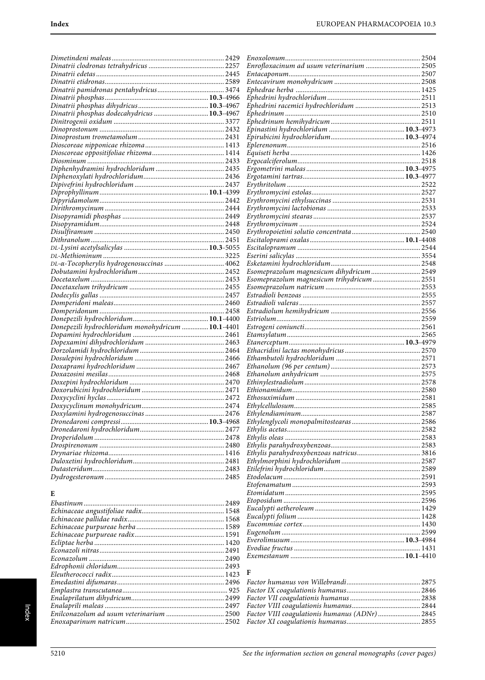|                                                   |      | Enrofloxacinum ad usum veterinarium  2505  |  |
|---------------------------------------------------|------|--------------------------------------------|--|
|                                                   |      |                                            |  |
|                                                   |      |                                            |  |
|                                                   |      |                                            |  |
|                                                   |      |                                            |  |
|                                                   |      |                                            |  |
| Dinatrii phosphas dodecahydricus  10.3-4967       |      |                                            |  |
|                                                   |      |                                            |  |
|                                                   |      |                                            |  |
|                                                   |      |                                            |  |
|                                                   |      |                                            |  |
|                                                   |      |                                            |  |
|                                                   |      |                                            |  |
|                                                   |      |                                            |  |
|                                                   |      |                                            |  |
|                                                   |      |                                            |  |
|                                                   |      |                                            |  |
|                                                   |      |                                            |  |
|                                                   |      |                                            |  |
|                                                   |      |                                            |  |
|                                                   |      |                                            |  |
|                                                   |      |                                            |  |
|                                                   |      |                                            |  |
|                                                   |      |                                            |  |
|                                                   |      |                                            |  |
|                                                   |      |                                            |  |
|                                                   |      | Esomeprazolum magnesicum dihydricum 2549   |  |
|                                                   |      | Esomeprazolum magnesicum trihydricum  2551 |  |
|                                                   |      |                                            |  |
|                                                   |      |                                            |  |
|                                                   |      |                                            |  |
|                                                   |      |                                            |  |
|                                                   |      |                                            |  |
| Donepezili hydrochloridum monohydricum  10.1-4401 |      |                                            |  |
|                                                   |      |                                            |  |
|                                                   |      |                                            |  |
|                                                   |      |                                            |  |
|                                                   |      |                                            |  |
|                                                   |      |                                            |  |
|                                                   |      |                                            |  |
|                                                   |      |                                            |  |
|                                                   |      |                                            |  |
|                                                   |      |                                            |  |
|                                                   |      |                                            |  |
|                                                   |      |                                            |  |
|                                                   |      |                                            |  |
|                                                   |      |                                            |  |
|                                                   |      |                                            |  |
|                                                   |      |                                            |  |
|                                                   |      |                                            |  |
|                                                   |      |                                            |  |
|                                                   |      |                                            |  |
|                                                   |      |                                            |  |
|                                                   |      |                                            |  |
| E                                                 |      |                                            |  |
|                                                   |      |                                            |  |
|                                                   |      |                                            |  |
|                                                   |      |                                            |  |
|                                                   |      |                                            |  |
|                                                   |      |                                            |  |
|                                                   |      |                                            |  |
|                                                   |      |                                            |  |
| $E_{\text{COMO}Z}$                                | 2490 |                                            |  |

# $\mathbf F$

 $\label{prop:1} Edrophonii\ chloridum............\nonumber\\ Eleutheroococi\ radix............\nonumber\\$ 

| Factor VIII coagulationis humanus (ADNr)  2845 |
|------------------------------------------------|
|                                                |
|                                                |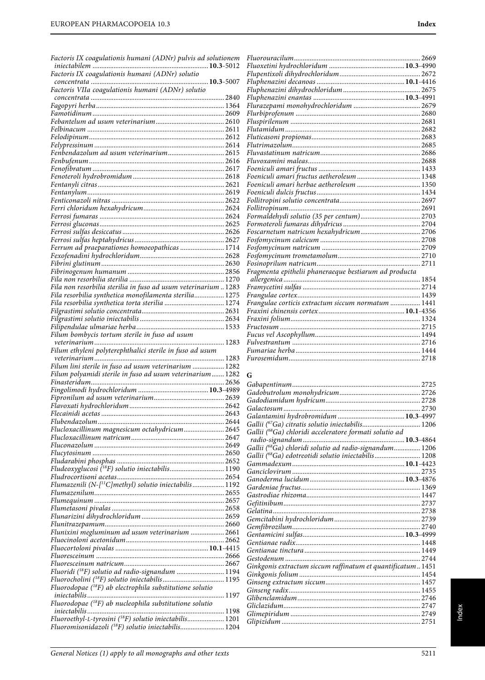| Factoris IX coagulationis humani (ADNr) pulvis ad solutionem                                                                           |  |
|----------------------------------------------------------------------------------------------------------------------------------------|--|
|                                                                                                                                        |  |
|                                                                                                                                        |  |
| Factoris VIIa coagulationis humani (ADNr) solutio                                                                                      |  |
|                                                                                                                                        |  |
|                                                                                                                                        |  |
|                                                                                                                                        |  |
|                                                                                                                                        |  |
|                                                                                                                                        |  |
|                                                                                                                                        |  |
|                                                                                                                                        |  |
|                                                                                                                                        |  |
|                                                                                                                                        |  |
|                                                                                                                                        |  |
|                                                                                                                                        |  |
|                                                                                                                                        |  |
|                                                                                                                                        |  |
|                                                                                                                                        |  |
|                                                                                                                                        |  |
|                                                                                                                                        |  |
|                                                                                                                                        |  |
|                                                                                                                                        |  |
|                                                                                                                                        |  |
|                                                                                                                                        |  |
|                                                                                                                                        |  |
| Fila non resorbilia sterilia in fuso ad usum veterinarium  1283<br>Fila resorbilia synthetica monofilamenta sterilia 1275              |  |
| Fila resorbilia synthetica torta sterilia  1274                                                                                        |  |
|                                                                                                                                        |  |
|                                                                                                                                        |  |
|                                                                                                                                        |  |
| Filum bombycis tortum sterile in fuso ad usum                                                                                          |  |
| Filum ethyleni polyterephthalici sterile in fuso ad usum                                                                               |  |
|                                                                                                                                        |  |
|                                                                                                                                        |  |
|                                                                                                                                        |  |
| Filum lini sterile in fuso ad usum veterinarium  1282<br>Filum polyamidi sterile in fuso ad usum veterinarium 1282                     |  |
|                                                                                                                                        |  |
|                                                                                                                                        |  |
|                                                                                                                                        |  |
|                                                                                                                                        |  |
|                                                                                                                                        |  |
| Flucloxacillinum magnesicum octahydricum 2645                                                                                          |  |
|                                                                                                                                        |  |
|                                                                                                                                        |  |
|                                                                                                                                        |  |
|                                                                                                                                        |  |
| Fludeoxyglucosi ( <sup>18</sup> F) solutio iniectabilis 1190                                                                           |  |
| Flumazenili (N-[ <sup>11</sup> C]methyl) solutio iniectabilis 1192                                                                     |  |
|                                                                                                                                        |  |
|                                                                                                                                        |  |
|                                                                                                                                        |  |
|                                                                                                                                        |  |
| Flunixini megluminum ad usum veterinarium  2661                                                                                        |  |
|                                                                                                                                        |  |
|                                                                                                                                        |  |
|                                                                                                                                        |  |
|                                                                                                                                        |  |
| Fluoridi ( <sup>18</sup> F) solutio ad radio-signandum  1194                                                                           |  |
| Fluorodopae $(^{18}F)$ ab electrophila substitutione solutio                                                                           |  |
|                                                                                                                                        |  |
| Fluorodopae $(^{18}F)$ ab nucleophila substitutione solutio                                                                            |  |
|                                                                                                                                        |  |
| Fluoroethyl-L-tyrosini ( <sup>18</sup> F) solutio iniectabilis 1201<br>Fluoromisonidazoli ( <sup>18</sup> F) solutio iniectabilis 1204 |  |

| Foscarnetum natricum hexahydricum 2706                |  |
|-------------------------------------------------------|--|
|                                                       |  |
|                                                       |  |
|                                                       |  |
|                                                       |  |
| Fragmenta epithelii phaneraeque bestiarum ad producta |  |
|                                                       |  |
|                                                       |  |
|                                                       |  |
| Frangulae corticis extractum siccum normatum  1441    |  |
|                                                       |  |
|                                                       |  |
|                                                       |  |
|                                                       |  |
|                                                       |  |
|                                                       |  |
|                                                       |  |
|                                                       |  |

## **G**

| Gallii (68Ga) chloridi acceleratore formati solutio ad              |  |
|---------------------------------------------------------------------|--|
|                                                                     |  |
| Gallii ( <sup>68</sup> Ga) chloridi solutio ad radio-signandum 1206 |  |
| Gallii (68Ga) edotreotidi solutio iniectabilis 1208                 |  |
|                                                                     |  |
|                                                                     |  |
|                                                                     |  |
|                                                                     |  |
|                                                                     |  |
|                                                                     |  |
|                                                                     |  |
|                                                                     |  |
|                                                                     |  |
|                                                                     |  |
|                                                                     |  |
|                                                                     |  |
|                                                                     |  |
| Ginkgonis extractum siccum raffinatum et quantificatum 1451         |  |
|                                                                     |  |
|                                                                     |  |
|                                                                     |  |
|                                                                     |  |
|                                                                     |  |
|                                                                     |  |
|                                                                     |  |
|                                                                     |  |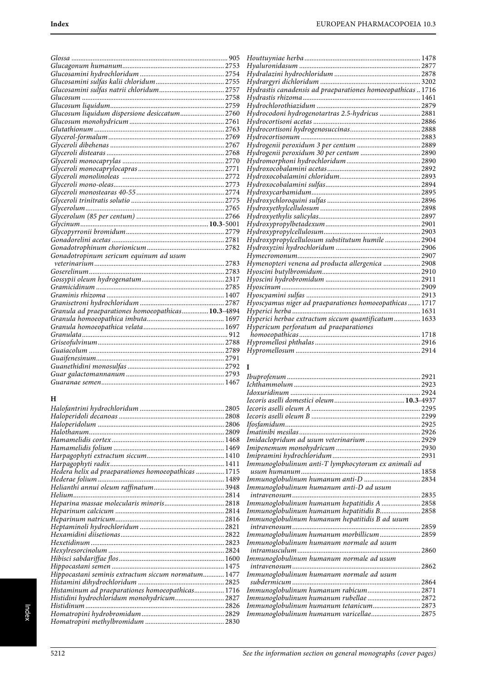| Glucosum liquidum dispersione desiccatum 2760 |  |
|-----------------------------------------------|--|
|                                               |  |
|                                               |  |
|                                               |  |
|                                               |  |
|                                               |  |
|                                               |  |
|                                               |  |
|                                               |  |
|                                               |  |
|                                               |  |
|                                               |  |
|                                               |  |
|                                               |  |
|                                               |  |
|                                               |  |
|                                               |  |
|                                               |  |
| Gonadotropinum sericum equinum ad usum        |  |
|                                               |  |
|                                               |  |
|                                               |  |
|                                               |  |
|                                               |  |
|                                               |  |
|                                               |  |
|                                               |  |
|                                               |  |
|                                               |  |
|                                               |  |
|                                               |  |
|                                               |  |
|                                               |  |
|                                               |  |
|                                               |  |
|                                               |  |

# **H**

| Hippocastani seminis extractum siccum normatum 1477 |  |
|-----------------------------------------------------|--|
|                                                     |  |
| Histaminum ad praeparationes homoeopathicas 1716    |  |
| Histidini hydrochloridum monohydricum 2827          |  |
|                                                     |  |
|                                                     |  |
|                                                     |  |
|                                                     |  |

Index

| Hydrastis canadensis ad praeparationes homoeopathicas1716 |  |
|-----------------------------------------------------------|--|
|                                                           |  |
|                                                           |  |
|                                                           |  |
|                                                           |  |
|                                                           |  |
|                                                           |  |
|                                                           |  |
| Hydrogenii peroxidum 30 per centum  2890                  |  |
|                                                           |  |
|                                                           |  |
|                                                           |  |
|                                                           |  |
|                                                           |  |
|                                                           |  |
|                                                           |  |
|                                                           |  |
|                                                           |  |
|                                                           |  |
| Hydroxypropylcellulosum substitutum humile  2904          |  |
|                                                           |  |
|                                                           |  |
| Hymenopteri venena ad producta allergenica  2908          |  |
|                                                           |  |
|                                                           |  |
|                                                           |  |
|                                                           |  |
| Hyoscyamus niger ad praeparationes homoeopathicas  1717   |  |
|                                                           |  |
| Hyperici herbae extractum siccum quantificatum 1633       |  |
| Hypericum perforatum ad praeparationes                    |  |
|                                                           |  |
|                                                           |  |
|                                                           |  |
|                                                           |  |

# **I**

| Imidaclopridum ad usum veterinarium  2929           |  |
|-----------------------------------------------------|--|
|                                                     |  |
|                                                     |  |
| Immunoglobulinum anti-T lymphocytorum ex animali ad |  |
|                                                     |  |
|                                                     |  |
| Immunoglobulinum humanum anti-D ad usum             |  |
| intravenosum<br>2835                                |  |
| Immunoglobulinum humanum hepatitidis A  2858        |  |
| Immunoglobulinum humanum hepatitidis B 2858         |  |
| Immunoglobulinum humanum hepatitidis B ad usum      |  |
|                                                     |  |
| Immunoglobulinum humanum morbillicum 2859           |  |
| Immunoglobulinum humanum normale ad usum            |  |
|                                                     |  |
| Immunoglobulinum humanum normale ad usum            |  |
|                                                     |  |
| Immunoglobulinum humanum normale ad usum            |  |
| subdermicum                                         |  |
| Immunoglobulinum humanum rabicum 2871               |  |
| Immunoglobulinum humanum rubellae  2872             |  |
| Immunoglobulinum humanum tetanicum 2873             |  |
| Immunoglobulinum humanum varicellae 2875            |  |
|                                                     |  |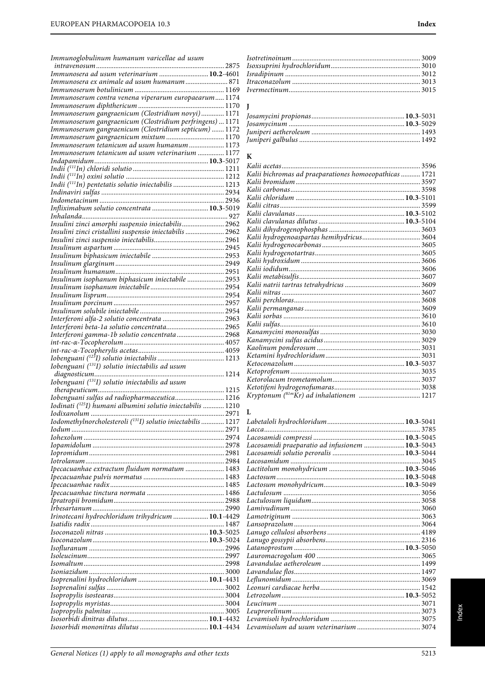| Immunosera ad usum veterinarium  10.2-4601                              |
|-------------------------------------------------------------------------|
| Immunosera ex animale ad usum humanum 871                               |
|                                                                         |
| Immunoserum contra venena viperarum europaearum 1174                    |
| Immunoserum gangraenicum (Clostridium novyi) 1171                       |
| Immunoserum gangraenicum (Clostridium perfringens)  1171                |
| Immunoserum gangraenicum (Clostridium septicum)  1172                   |
| Immunoserum gangraenicum mixtum  1170                                   |
| Immunoserum tetanicum ad usum humanum  1173                             |
| Immunoserum tetanicum ad usum veterinarium  1177                        |
|                                                                         |
|                                                                         |
|                                                                         |
| Indii (111In) pentetatis solutio iniectabilis  1213                     |
|                                                                         |
| Infliximabum solutio concentrata  10.3-5019                             |
|                                                                         |
| Insulini zinci amorphi suspensio iniectabilis 2962                      |
| Insulini zinci cristallini suspensio iniectabilis  2962                 |
|                                                                         |
|                                                                         |
|                                                                         |
|                                                                         |
| Insulinum isophanum biphasicum iniectabile  2953                        |
|                                                                         |
|                                                                         |
|                                                                         |
|                                                                         |
|                                                                         |
|                                                                         |
| Interferoni gamma-1b solutio concentrata 2968                           |
|                                                                         |
|                                                                         |
|                                                                         |
|                                                                         |
| Iobenguani ( <sup>131</sup> I) solutio iniectabilis ad usum             |
|                                                                         |
| Iobenguani ( <sup>131</sup> I) solutio iniectabilis ad usum             |
| Iobenguani sulfas ad radiopharmaceutica 1216                            |
| Iodinati ( <sup>125</sup> I) humani albumini solutio iniectabilis  1210 |
|                                                                         |
| Iodomethylnorcholesteroli ( <sup>131</sup> I) solutio iniectabilis 1217 |
|                                                                         |
|                                                                         |
|                                                                         |
|                                                                         |
|                                                                         |
| Ipecacuanhae extractum fluidum normatum  1483                           |
|                                                                         |
|                                                                         |
|                                                                         |
|                                                                         |
| Irinotecani hydrochloridum trihydricum  10.1-4429                       |
|                                                                         |
|                                                                         |
|                                                                         |
|                                                                         |
|                                                                         |
|                                                                         |
|                                                                         |
|                                                                         |
|                                                                         |
|                                                                         |
|                                                                         |
|                                                                         |

# **J**

# **K**

| Kalii acetas                                           |      |
|--------------------------------------------------------|------|
| Kalii bichromas ad praeparationes homoeopathicas  1721 |      |
|                                                        |      |
|                                                        |      |
|                                                        |      |
|                                                        | 3599 |
|                                                        |      |
|                                                        |      |
|                                                        |      |
| Kalii hydrogenoaspartas hemihydricus 3604              |      |
|                                                        |      |
|                                                        |      |
|                                                        |      |
|                                                        |      |
|                                                        |      |
|                                                        |      |
|                                                        |      |
|                                                        |      |
|                                                        |      |
|                                                        |      |
|                                                        |      |
|                                                        |      |
|                                                        |      |
|                                                        |      |
|                                                        |      |
|                                                        |      |
|                                                        |      |
|                                                        |      |
|                                                        |      |
|                                                        |      |
|                                                        |      |

# **L**

| Lacosamidi praeparatio ad infusionem  10.3-5043 |  |
|-------------------------------------------------|--|
|                                                 |  |
|                                                 |  |
|                                                 |  |
|                                                 |  |
|                                                 |  |
|                                                 |  |
|                                                 |  |
|                                                 |  |
|                                                 |  |
|                                                 |  |
|                                                 |  |
|                                                 |  |
|                                                 |  |
|                                                 |  |
|                                                 |  |
|                                                 |  |
|                                                 |  |
|                                                 |  |
|                                                 |  |
|                                                 |  |
|                                                 |  |
|                                                 |  |
|                                                 |  |
|                                                 |  |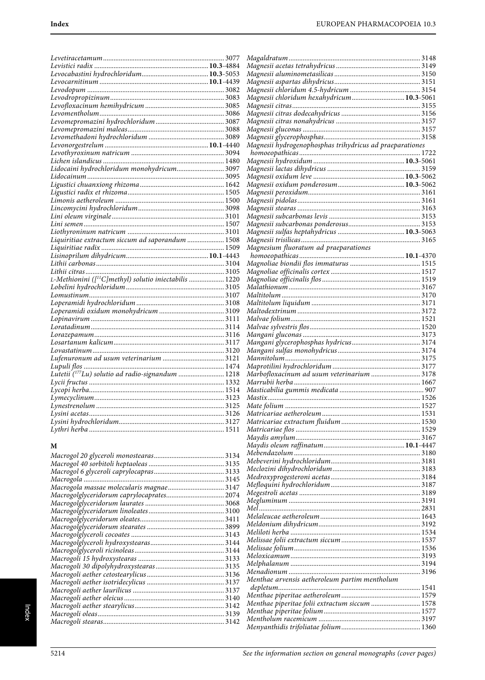Magaldratum........................................................................... 3148

| Eevodopum<br>Levodopum<br>Levodropropizinum<br>2008<br>Levomentholum<br>2005<br>Levomentholum<br>2006 |  |
|-------------------------------------------------------------------------------------------------------|--|
|                                                                                                       |  |
|                                                                                                       |  |
|                                                                                                       |  |
|                                                                                                       |  |
|                                                                                                       |  |
|                                                                                                       |  |
|                                                                                                       |  |
|                                                                                                       |  |
|                                                                                                       |  |
|                                                                                                       |  |
|                                                                                                       |  |
|                                                                                                       |  |
|                                                                                                       |  |
|                                                                                                       |  |
|                                                                                                       |  |
|                                                                                                       |  |
|                                                                                                       |  |
|                                                                                                       |  |
|                                                                                                       |  |
|                                                                                                       |  |
|                                                                                                       |  |
|                                                                                                       |  |
| L-Methionini ([ <sup>11</sup> C]methyl) solutio iniectabilis  1220                                    |  |
|                                                                                                       |  |
|                                                                                                       |  |
|                                                                                                       |  |
|                                                                                                       |  |
|                                                                                                       |  |
|                                                                                                       |  |
|                                                                                                       |  |
|                                                                                                       |  |
|                                                                                                       |  |
|                                                                                                       |  |
|                                                                                                       |  |
|                                                                                                       |  |
|                                                                                                       |  |
|                                                                                                       |  |
|                                                                                                       |  |
|                                                                                                       |  |
|                                                                                                       |  |
|                                                                                                       |  |

## **M**

| Macrogola massae molecularis magnae 3147  |  |
|-------------------------------------------|--|
| Macrogolglyceridorum caprylocaprates 2074 |  |
|                                           |  |
|                                           |  |
|                                           |  |
|                                           |  |
|                                           |  |
|                                           |  |
|                                           |  |
|                                           |  |
|                                           |  |
|                                           |  |
|                                           |  |
|                                           |  |
|                                           |  |
|                                           |  |
|                                           |  |
|                                           |  |
|                                           |  |

| Magnesii chloridum hexahydricum 10.3-5061                |  |
|----------------------------------------------------------|--|
|                                                          |  |
|                                                          |  |
|                                                          |  |
|                                                          |  |
|                                                          |  |
| Magnesii hydrogenophosphas trihydricus ad praeparationes |  |
|                                                          |  |
|                                                          |  |
|                                                          |  |
|                                                          |  |
|                                                          |  |
|                                                          |  |
|                                                          |  |
|                                                          |  |
|                                                          |  |
|                                                          |  |
|                                                          |  |
|                                                          |  |
|                                                          |  |
|                                                          |  |
| Magnesium fluoratum ad praeparationes                    |  |
|                                                          |  |
|                                                          |  |
|                                                          |  |
|                                                          |  |
|                                                          |  |
|                                                          |  |
|                                                          |  |
|                                                          |  |
|                                                          |  |
|                                                          |  |
|                                                          |  |
|                                                          |  |
|                                                          |  |
|                                                          |  |
|                                                          |  |
|                                                          |  |
|                                                          |  |
|                                                          |  |
|                                                          |  |
| Marbofloxacinum ad usum veterinarium 3178                |  |
|                                                          |  |
|                                                          |  |
|                                                          |  |
|                                                          |  |
|                                                          |  |
|                                                          |  |
|                                                          |  |
|                                                          |  |
|                                                          |  |
|                                                          |  |
|                                                          |  |
|                                                          |  |
|                                                          |  |
|                                                          |  |
|                                                          |  |
|                                                          |  |
|                                                          |  |
|                                                          |  |
|                                                          |  |
|                                                          |  |
|                                                          |  |
|                                                          |  |
|                                                          |  |
|                                                          |  |
|                                                          |  |
|                                                          |  |
|                                                          |  |
|                                                          |  |
|                                                          |  |
| Menthae arvensis aetheroleum partim mentholum            |  |
|                                                          |  |
|                                                          |  |
| Menthae piperitae folii extractum siccum  1578           |  |
|                                                          |  |
|                                                          |  |
|                                                          |  |
|                                                          |  |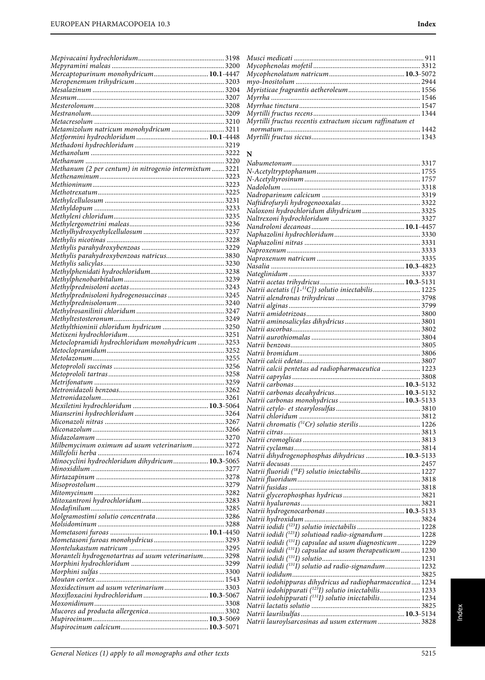| Mercaptopurinum monohydricum10.1-4447<br>Metamizolum natricum monohydricum  3211<br>Methanum (2 per centum) in nitrogenio intermixtum  3221<br>Methylprednisoloni hydrogenosuccinas<br>Methylprednisoloni hydrogenosuccinas<br>Methylprednisolonum<br>240 Methylrosanilinii chloridum<br>Methylthioninii chloridum hydricum  3250<br>Milbemycinum oximum ad usum veterinarium 3272<br>Minocyclini hydrochloridum dihydricum 10.3-5065<br>Moranteli hydrogenotartras ad usum veterinarium 3298 |  |
|-----------------------------------------------------------------------------------------------------------------------------------------------------------------------------------------------------------------------------------------------------------------------------------------------------------------------------------------------------------------------------------------------------------------------------------------------------------------------------------------------|--|
|                                                                                                                                                                                                                                                                                                                                                                                                                                                                                               |  |
|                                                                                                                                                                                                                                                                                                                                                                                                                                                                                               |  |
|                                                                                                                                                                                                                                                                                                                                                                                                                                                                                               |  |
|                                                                                                                                                                                                                                                                                                                                                                                                                                                                                               |  |
|                                                                                                                                                                                                                                                                                                                                                                                                                                                                                               |  |
|                                                                                                                                                                                                                                                                                                                                                                                                                                                                                               |  |
|                                                                                                                                                                                                                                                                                                                                                                                                                                                                                               |  |
|                                                                                                                                                                                                                                                                                                                                                                                                                                                                                               |  |
|                                                                                                                                                                                                                                                                                                                                                                                                                                                                                               |  |
|                                                                                                                                                                                                                                                                                                                                                                                                                                                                                               |  |
|                                                                                                                                                                                                                                                                                                                                                                                                                                                                                               |  |
|                                                                                                                                                                                                                                                                                                                                                                                                                                                                                               |  |
|                                                                                                                                                                                                                                                                                                                                                                                                                                                                                               |  |
|                                                                                                                                                                                                                                                                                                                                                                                                                                                                                               |  |
|                                                                                                                                                                                                                                                                                                                                                                                                                                                                                               |  |
|                                                                                                                                                                                                                                                                                                                                                                                                                                                                                               |  |
|                                                                                                                                                                                                                                                                                                                                                                                                                                                                                               |  |
|                                                                                                                                                                                                                                                                                                                                                                                                                                                                                               |  |
|                                                                                                                                                                                                                                                                                                                                                                                                                                                                                               |  |
|                                                                                                                                                                                                                                                                                                                                                                                                                                                                                               |  |
|                                                                                                                                                                                                                                                                                                                                                                                                                                                                                               |  |
|                                                                                                                                                                                                                                                                                                                                                                                                                                                                                               |  |
|                                                                                                                                                                                                                                                                                                                                                                                                                                                                                               |  |
|                                                                                                                                                                                                                                                                                                                                                                                                                                                                                               |  |
|                                                                                                                                                                                                                                                                                                                                                                                                                                                                                               |  |
|                                                                                                                                                                                                                                                                                                                                                                                                                                                                                               |  |
|                                                                                                                                                                                                                                                                                                                                                                                                                                                                                               |  |
|                                                                                                                                                                                                                                                                                                                                                                                                                                                                                               |  |
|                                                                                                                                                                                                                                                                                                                                                                                                                                                                                               |  |
|                                                                                                                                                                                                                                                                                                                                                                                                                                                                                               |  |
|                                                                                                                                                                                                                                                                                                                                                                                                                                                                                               |  |
|                                                                                                                                                                                                                                                                                                                                                                                                                                                                                               |  |
|                                                                                                                                                                                                                                                                                                                                                                                                                                                                                               |  |
|                                                                                                                                                                                                                                                                                                                                                                                                                                                                                               |  |
|                                                                                                                                                                                                                                                                                                                                                                                                                                                                                               |  |
|                                                                                                                                                                                                                                                                                                                                                                                                                                                                                               |  |
|                                                                                                                                                                                                                                                                                                                                                                                                                                                                                               |  |
|                                                                                                                                                                                                                                                                                                                                                                                                                                                                                               |  |
|                                                                                                                                                                                                                                                                                                                                                                                                                                                                                               |  |
|                                                                                                                                                                                                                                                                                                                                                                                                                                                                                               |  |
|                                                                                                                                                                                                                                                                                                                                                                                                                                                                                               |  |
|                                                                                                                                                                                                                                                                                                                                                                                                                                                                                               |  |
|                                                                                                                                                                                                                                                                                                                                                                                                                                                                                               |  |
|                                                                                                                                                                                                                                                                                                                                                                                                                                                                                               |  |
|                                                                                                                                                                                                                                                                                                                                                                                                                                                                                               |  |
|                                                                                                                                                                                                                                                                                                                                                                                                                                                                                               |  |
|                                                                                                                                                                                                                                                                                                                                                                                                                                                                                               |  |
|                                                                                                                                                                                                                                                                                                                                                                                                                                                                                               |  |
|                                                                                                                                                                                                                                                                                                                                                                                                                                                                                               |  |
|                                                                                                                                                                                                                                                                                                                                                                                                                                                                                               |  |
|                                                                                                                                                                                                                                                                                                                                                                                                                                                                                               |  |
|                                                                                                                                                                                                                                                                                                                                                                                                                                                                                               |  |
|                                                                                                                                                                                                                                                                                                                                                                                                                                                                                               |  |
|                                                                                                                                                                                                                                                                                                                                                                                                                                                                                               |  |
|                                                                                                                                                                                                                                                                                                                                                                                                                                                                                               |  |
|                                                                                                                                                                                                                                                                                                                                                                                                                                                                                               |  |
|                                                                                                                                                                                                                                                                                                                                                                                                                                                                                               |  |
|                                                                                                                                                                                                                                                                                                                                                                                                                                                                                               |  |
|                                                                                                                                                                                                                                                                                                                                                                                                                                                                                               |  |
|                                                                                                                                                                                                                                                                                                                                                                                                                                                                                               |  |
|                                                                                                                                                                                                                                                                                                                                                                                                                                                                                               |  |
|                                                                                                                                                                                                                                                                                                                                                                                                                                                                                               |  |

| Myrtilli fructus recentis extractum siccum raffinatum et |  |
|----------------------------------------------------------|--|
|                                                          |  |
|                                                          |  |
|                                                          |  |

## **N**

| Naloxoni hydrochloridum dihydricum  3325                             |  |
|----------------------------------------------------------------------|--|
|                                                                      |  |
|                                                                      |  |
|                                                                      |  |
|                                                                      |  |
|                                                                      |  |
|                                                                      |  |
|                                                                      |  |
|                                                                      |  |
|                                                                      |  |
|                                                                      |  |
|                                                                      |  |
|                                                                      |  |
|                                                                      |  |
|                                                                      |  |
|                                                                      |  |
|                                                                      |  |
|                                                                      |  |
|                                                                      |  |
|                                                                      |  |
| Natrii calcii pentetas ad radiopharmaceutica  1223                   |  |
|                                                                      |  |
|                                                                      |  |
|                                                                      |  |
|                                                                      |  |
|                                                                      |  |
|                                                                      |  |
|                                                                      |  |
|                                                                      |  |
|                                                                      |  |
|                                                                      |  |
|                                                                      |  |
|                                                                      |  |
| Natrii dihydrogenophosphas dihydricus  10.3-5133                     |  |
|                                                                      |  |
|                                                                      |  |
|                                                                      |  |
|                                                                      |  |
|                                                                      |  |
|                                                                      |  |
|                                                                      |  |
|                                                                      |  |
|                                                                      |  |
| Natrii iodidi ( <sup>123</sup> I) solutioad radio-signandum  1228    |  |
| Natrii iodidi ( <sup>131</sup> I) capsulae ad usum diagnosticum 1229 |  |
| Natrii iodidi $(^{131}I)$ capsulae ad usum therapeuticum  1230       |  |
|                                                                      |  |
|                                                                      |  |
|                                                                      |  |
| Natrii iodohippuras dihydricus ad radiopharmaceutica 1234            |  |
| Natrii iodohippurati ( <sup>123</sup> I) solutio iniectabilis 1233   |  |
| Natrii iodohippurati (131I) solutio iniectabilis 1234                |  |
|                                                                      |  |
| Natrii lauroylsarcosinas ad usum externum  3828                      |  |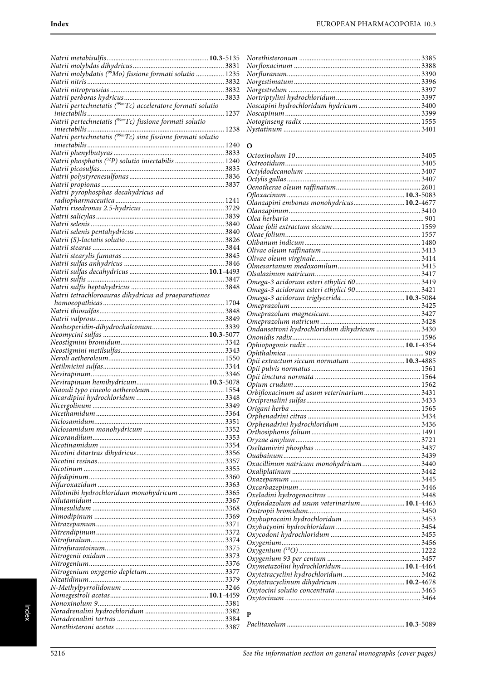| Natrii phosphatis (32P) solutio iniectabilis  1240   |  |
|------------------------------------------------------|--|
|                                                      |  |
|                                                      |  |
|                                                      |  |
| Natrii pyrophosphas decahydricus ad                  |  |
|                                                      |  |
|                                                      |  |
|                                                      |  |
|                                                      |  |
|                                                      |  |
|                                                      |  |
|                                                      |  |
|                                                      |  |
|                                                      |  |
|                                                      |  |
|                                                      |  |
|                                                      |  |
| Natrii tetrachloroauras dihydricus ad praeparationes |  |
|                                                      |  |
|                                                      |  |
|                                                      |  |
|                                                      |  |
|                                                      |  |
|                                                      |  |
|                                                      |  |
|                                                      |  |
|                                                      |  |
|                                                      |  |
|                                                      |  |
|                                                      |  |
|                                                      |  |
|                                                      |  |
|                                                      |  |
|                                                      |  |
|                                                      |  |
|                                                      |  |
|                                                      |  |
|                                                      |  |
|                                                      |  |
|                                                      |  |
|                                                      |  |
|                                                      |  |
| Nilotinibi hydrochloridum monohydricum  3365         |  |
|                                                      |  |
|                                                      |  |
|                                                      |  |
|                                                      |  |
|                                                      |  |
|                                                      |  |
|                                                      |  |
|                                                      |  |
|                                                      |  |
|                                                      |  |
|                                                      |  |
|                                                      |  |
|                                                      |  |
|                                                      |  |
|                                                      |  |
|                                                      |  |
|                                                      |  |

## $\overline{\mathbf{o}}$

| Ondansetroni hydrochloridum dihydricum  3430 |  |
|----------------------------------------------|--|
|                                              |  |
|                                              |  |
|                                              |  |
| Opii extractum siccum normatum  10.3-4885    |  |
|                                              |  |
|                                              |  |
|                                              |  |
| Orbifloxacinum ad usum veterinarium3431      |  |
|                                              |  |
|                                              |  |
|                                              |  |
|                                              |  |
|                                              |  |
|                                              |  |
|                                              |  |
|                                              |  |
| Oxacillinum natricum monohydricum  3440      |  |
|                                              |  |
|                                              |  |
|                                              |  |
|                                              |  |
| Oxfendazolum ad usum veterinarium 10.1-4463  |  |
|                                              |  |
|                                              |  |
|                                              |  |
|                                              |  |
|                                              |  |
|                                              |  |
|                                              |  |
|                                              |  |
|                                              |  |
|                                              |  |
|                                              |  |
|                                              |  |
|                                              |  |
|                                              |  |
| P                                            |  |
|                                              |  |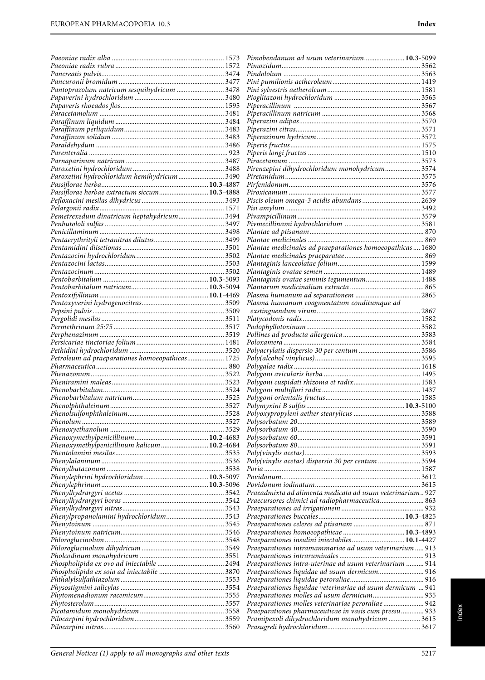|                                                 | Pimobendanum ad usum veterinarium 10.3-5099                                                              |  |
|-------------------------------------------------|----------------------------------------------------------------------------------------------------------|--|
|                                                 |                                                                                                          |  |
|                                                 |                                                                                                          |  |
|                                                 |                                                                                                          |  |
| Pantoprazolum natricum sesquihydricum  3478     |                                                                                                          |  |
|                                                 |                                                                                                          |  |
|                                                 |                                                                                                          |  |
|                                                 |                                                                                                          |  |
|                                                 |                                                                                                          |  |
|                                                 |                                                                                                          |  |
|                                                 |                                                                                                          |  |
|                                                 |                                                                                                          |  |
|                                                 |                                                                                                          |  |
|                                                 | Pirenzepini dihydrochloridum monohydricum 3574                                                           |  |
| Paroxetini hydrochloridum hemihydricum 3490     |                                                                                                          |  |
| Passiflorae herbae extractum siccum 10.3-4888   |                                                                                                          |  |
|                                                 |                                                                                                          |  |
|                                                 |                                                                                                          |  |
| Pemetrexedum dinatricum heptahydricum 3494      |                                                                                                          |  |
|                                                 |                                                                                                          |  |
|                                                 |                                                                                                          |  |
|                                                 |                                                                                                          |  |
|                                                 | Plantae medicinales ad praeparationes homoeopathicas 1680                                                |  |
|                                                 |                                                                                                          |  |
|                                                 |                                                                                                          |  |
|                                                 | Plantaginis ovatae seminis tegumentum 1488                                                               |  |
|                                                 |                                                                                                          |  |
|                                                 |                                                                                                          |  |
|                                                 | Plasma humanum coagmentatum conditumque ad                                                               |  |
|                                                 |                                                                                                          |  |
|                                                 |                                                                                                          |  |
|                                                 |                                                                                                          |  |
|                                                 |                                                                                                          |  |
|                                                 |                                                                                                          |  |
| Petroleum ad praeparationes homoeopathicas 1725 |                                                                                                          |  |
|                                                 |                                                                                                          |  |
|                                                 |                                                                                                          |  |
|                                                 |                                                                                                          |  |
|                                                 |                                                                                                          |  |
|                                                 |                                                                                                          |  |
|                                                 |                                                                                                          |  |
|                                                 |                                                                                                          |  |
|                                                 |                                                                                                          |  |
|                                                 |                                                                                                          |  |
| Phenoxymethylpenicillinum kalicum 10.2-4684     |                                                                                                          |  |
|                                                 |                                                                                                          |  |
|                                                 | Poly(vinylis acetas) dispersio 30 per centum 3594                                                        |  |
|                                                 |                                                                                                          |  |
|                                                 |                                                                                                          |  |
|                                                 |                                                                                                          |  |
|                                                 | Praeadmixta ad alimenta medicata ad usum veterinarium 927                                                |  |
|                                                 | Praecursores chimici ad radiopharmaceutica 863                                                           |  |
|                                                 |                                                                                                          |  |
| Phenylpropanolamini hydrochloridum 3543         |                                                                                                          |  |
|                                                 |                                                                                                          |  |
|                                                 | Praeparationes insulini iniectabiles 10.1-4427                                                           |  |
|                                                 | Praeparationes intramammariae ad usum veterinarium  913                                                  |  |
|                                                 |                                                                                                          |  |
|                                                 | Praeparationes intra-uterinae ad usum veterinarium  914                                                  |  |
|                                                 |                                                                                                          |  |
|                                                 |                                                                                                          |  |
|                                                 | Praeparationes liquidae veterinariae ad usum dermicum  941                                               |  |
|                                                 |                                                                                                          |  |
|                                                 | Praeparationes molles veterinariae peroraliae 942                                                        |  |
|                                                 | Praeparationes pharmaceuticae in vasis cum pressu 933<br>Pramipexoli dihydrochloridum monohydricum  3615 |  |
|                                                 |                                                                                                          |  |
|                                                 |                                                                                                          |  |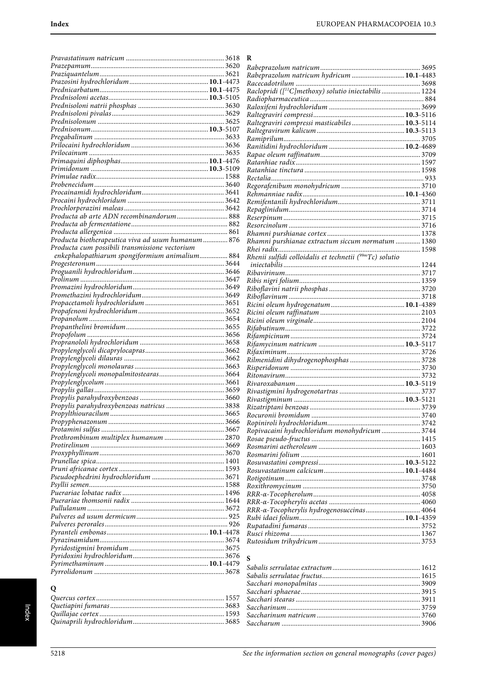|                                                   | R                                                                |
|---------------------------------------------------|------------------------------------------------------------------|
|                                                   |                                                                  |
|                                                   | Rabeprazolum natricum hydricum  10.1-4483                        |
|                                                   |                                                                  |
|                                                   | Raclopridi ([ <sup>11</sup> C]methoxy) solutio iniectabilis 1224 |
|                                                   |                                                                  |
|                                                   |                                                                  |
|                                                   |                                                                  |
|                                                   | Raltegraviri compressi masticabiles 10.3-5114                    |
|                                                   |                                                                  |
|                                                   |                                                                  |
|                                                   |                                                                  |
|                                                   |                                                                  |
|                                                   |                                                                  |
|                                                   |                                                                  |
|                                                   |                                                                  |
|                                                   |                                                                  |
|                                                   |                                                                  |
|                                                   |                                                                  |
|                                                   |                                                                  |
| Producta ab arte ADN recombinandorum 888          |                                                                  |
|                                                   |                                                                  |
|                                                   |                                                                  |
| Producta biotherapeutica viva ad usum humanum 876 | Rhamni purshianae extractum siccum normatum  1380                |
| Producta cum possibili transmissione vectorium    |                                                                  |
| enkephalopathiarum spongiformium animalium 884    | Rhenii sulfidi colloidalis et technetii (99mTc) solutio          |
|                                                   |                                                                  |
|                                                   |                                                                  |
|                                                   |                                                                  |
|                                                   |                                                                  |
|                                                   |                                                                  |
|                                                   |                                                                  |
|                                                   |                                                                  |
|                                                   |                                                                  |
|                                                   |                                                                  |
|                                                   |                                                                  |
|                                                   |                                                                  |
|                                                   |                                                                  |
|                                                   |                                                                  |
|                                                   |                                                                  |
|                                                   |                                                                  |
|                                                   |                                                                  |
|                                                   |                                                                  |
|                                                   |                                                                  |
|                                                   |                                                                  |
|                                                   |                                                                  |
|                                                   | Ropivacaini hydrochloridum monohydricum  3744                    |
|                                                   |                                                                  |
|                                                   |                                                                  |
|                                                   |                                                                  |
|                                                   |                                                                  |
|                                                   |                                                                  |
|                                                   |                                                                  |
|                                                   |                                                                  |
|                                                   |                                                                  |
|                                                   |                                                                  |
|                                                   | RRR-α-Tocopherylis hydrogenosuccinas 4064                        |
|                                                   |                                                                  |
|                                                   |                                                                  |
|                                                   |                                                                  |
|                                                   |                                                                  |
|                                                   |                                                                  |
|                                                   | S                                                                |
|                                                   |                                                                  |
|                                                   |                                                                  |
|                                                   |                                                                  |
| $\Omega$                                          |                                                                  |

| ĸ                                                                 |  |
|-------------------------------------------------------------------|--|
|                                                                   |  |
|                                                                   |  |
|                                                                   |  |
| Raclopridi ([ <sup>11</sup> C]methoxy) solutio iniectabilis  1224 |  |
|                                                                   |  |
|                                                                   |  |
|                                                                   |  |
| Raltegraviri compressi masticabiles 10.3-5114                     |  |
|                                                                   |  |
|                                                                   |  |
|                                                                   |  |
|                                                                   |  |
|                                                                   |  |
|                                                                   |  |
|                                                                   |  |
|                                                                   |  |
|                                                                   |  |
|                                                                   |  |
|                                                                   |  |
|                                                                   |  |
|                                                                   |  |
|                                                                   |  |
|                                                                   |  |
| Rhamni purshianae extractum siccum normatum  1380                 |  |
|                                                                   |  |
|                                                                   |  |
|                                                                   |  |
|                                                                   |  |
|                                                                   |  |
|                                                                   |  |
|                                                                   |  |
|                                                                   |  |
|                                                                   |  |
|                                                                   |  |
|                                                                   |  |
|                                                                   |  |
|                                                                   |  |
|                                                                   |  |
|                                                                   |  |
|                                                                   |  |
|                                                                   |  |
|                                                                   |  |
|                                                                   |  |
|                                                                   |  |
|                                                                   |  |
|                                                                   |  |
|                                                                   |  |
|                                                                   |  |
|                                                                   |  |
| Ropivacaini hydrochloridum monohydricum  3744                     |  |
|                                                                   |  |
|                                                                   |  |
|                                                                   |  |
|                                                                   |  |
|                                                                   |  |
|                                                                   |  |
|                                                                   |  |
|                                                                   |  |
|                                                                   |  |
| RRR-α-Tocopherylis hydrogenosuccinas 4064                         |  |
|                                                                   |  |
|                                                                   |  |
|                                                                   |  |
|                                                                   |  |
|                                                                   |  |
|                                                                   |  |

## $\overline{Q}$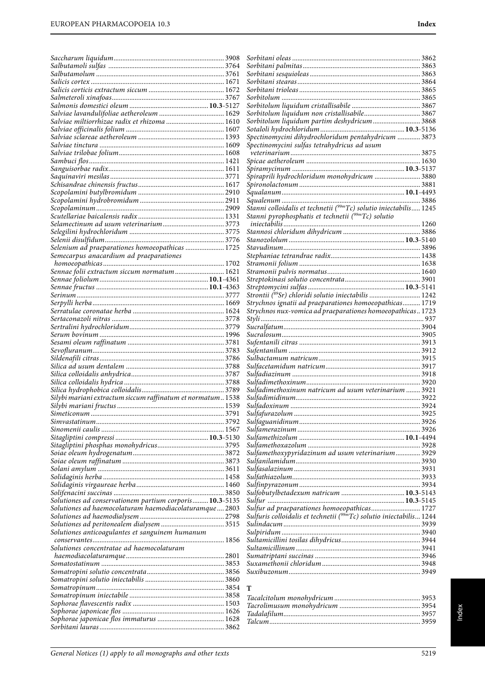| Salviae miltiorrhizae radix et rhizoma  1610<br>Selenium ad praeparationes homoeopathicas  1725<br>Semecarpus anacardium ad praeparationes<br>Sennae folii extractum siccum normatum 1621 | Sorbitolum liquidum partim deshydricum 3868<br>Spectinomycini dihydrochloridum pentahydricum  3873<br>Spectinomycini sulfas tetrahydricus ad usum<br>Spiraprili hydrochloridum monohydricum  3880<br>Stanni colloidalis et technetii (99mTc) solutio iniectabilis 1245<br>Stanni pyrophosphatis et technetii ( <sup>99m</sup> Tc) solutio |  |
|-------------------------------------------------------------------------------------------------------------------------------------------------------------------------------------------|-------------------------------------------------------------------------------------------------------------------------------------------------------------------------------------------------------------------------------------------------------------------------------------------------------------------------------------------|--|
|                                                                                                                                                                                           |                                                                                                                                                                                                                                                                                                                                           |  |
|                                                                                                                                                                                           |                                                                                                                                                                                                                                                                                                                                           |  |
|                                                                                                                                                                                           |                                                                                                                                                                                                                                                                                                                                           |  |
|                                                                                                                                                                                           |                                                                                                                                                                                                                                                                                                                                           |  |
|                                                                                                                                                                                           |                                                                                                                                                                                                                                                                                                                                           |  |
|                                                                                                                                                                                           |                                                                                                                                                                                                                                                                                                                                           |  |
|                                                                                                                                                                                           |                                                                                                                                                                                                                                                                                                                                           |  |
|                                                                                                                                                                                           |                                                                                                                                                                                                                                                                                                                                           |  |
|                                                                                                                                                                                           |                                                                                                                                                                                                                                                                                                                                           |  |
|                                                                                                                                                                                           |                                                                                                                                                                                                                                                                                                                                           |  |
|                                                                                                                                                                                           |                                                                                                                                                                                                                                                                                                                                           |  |
|                                                                                                                                                                                           |                                                                                                                                                                                                                                                                                                                                           |  |
|                                                                                                                                                                                           |                                                                                                                                                                                                                                                                                                                                           |  |
|                                                                                                                                                                                           |                                                                                                                                                                                                                                                                                                                                           |  |
|                                                                                                                                                                                           |                                                                                                                                                                                                                                                                                                                                           |  |
|                                                                                                                                                                                           |                                                                                                                                                                                                                                                                                                                                           |  |
|                                                                                                                                                                                           |                                                                                                                                                                                                                                                                                                                                           |  |
|                                                                                                                                                                                           |                                                                                                                                                                                                                                                                                                                                           |  |
|                                                                                                                                                                                           |                                                                                                                                                                                                                                                                                                                                           |  |
|                                                                                                                                                                                           |                                                                                                                                                                                                                                                                                                                                           |  |
|                                                                                                                                                                                           |                                                                                                                                                                                                                                                                                                                                           |  |
|                                                                                                                                                                                           |                                                                                                                                                                                                                                                                                                                                           |  |
|                                                                                                                                                                                           |                                                                                                                                                                                                                                                                                                                                           |  |
|                                                                                                                                                                                           |                                                                                                                                                                                                                                                                                                                                           |  |
|                                                                                                                                                                                           |                                                                                                                                                                                                                                                                                                                                           |  |
|                                                                                                                                                                                           |                                                                                                                                                                                                                                                                                                                                           |  |
|                                                                                                                                                                                           |                                                                                                                                                                                                                                                                                                                                           |  |
|                                                                                                                                                                                           | Strontii (89Sr) chloridi solutio iniectabilis  1242                                                                                                                                                                                                                                                                                       |  |
|                                                                                                                                                                                           | Strychnos ignatii ad praeparationes homoeopathicas 1719                                                                                                                                                                                                                                                                                   |  |
|                                                                                                                                                                                           | Strychnos nux-vomica ad praeparationes homoeopathicas 1723                                                                                                                                                                                                                                                                                |  |
|                                                                                                                                                                                           |                                                                                                                                                                                                                                                                                                                                           |  |
|                                                                                                                                                                                           |                                                                                                                                                                                                                                                                                                                                           |  |
|                                                                                                                                                                                           |                                                                                                                                                                                                                                                                                                                                           |  |
|                                                                                                                                                                                           |                                                                                                                                                                                                                                                                                                                                           |  |
|                                                                                                                                                                                           |                                                                                                                                                                                                                                                                                                                                           |  |
|                                                                                                                                                                                           |                                                                                                                                                                                                                                                                                                                                           |  |
|                                                                                                                                                                                           |                                                                                                                                                                                                                                                                                                                                           |  |
|                                                                                                                                                                                           |                                                                                                                                                                                                                                                                                                                                           |  |
|                                                                                                                                                                                           | Sulfadimethoxinum natricum ad usum veterinarium  3921                                                                                                                                                                                                                                                                                     |  |
| Silybi mariani extractum siccum raffinatum et normatum 1538                                                                                                                               |                                                                                                                                                                                                                                                                                                                                           |  |
|                                                                                                                                                                                           |                                                                                                                                                                                                                                                                                                                                           |  |
|                                                                                                                                                                                           |                                                                                                                                                                                                                                                                                                                                           |  |
|                                                                                                                                                                                           |                                                                                                                                                                                                                                                                                                                                           |  |
|                                                                                                                                                                                           |                                                                                                                                                                                                                                                                                                                                           |  |
|                                                                                                                                                                                           |                                                                                                                                                                                                                                                                                                                                           |  |
|                                                                                                                                                                                           | Sulfamethoxypyridazinum ad usum veterinarium 3929                                                                                                                                                                                                                                                                                         |  |
|                                                                                                                                                                                           |                                                                                                                                                                                                                                                                                                                                           |  |
|                                                                                                                                                                                           |                                                                                                                                                                                                                                                                                                                                           |  |
|                                                                                                                                                                                           |                                                                                                                                                                                                                                                                                                                                           |  |
|                                                                                                                                                                                           |                                                                                                                                                                                                                                                                                                                                           |  |
|                                                                                                                                                                                           |                                                                                                                                                                                                                                                                                                                                           |  |
| Solutiones ad conservationem partium corporis 10.3-5135                                                                                                                                   |                                                                                                                                                                                                                                                                                                                                           |  |
| Solutiones ad haemocolaturam haemodiacolaturamque  2803                                                                                                                                   |                                                                                                                                                                                                                                                                                                                                           |  |
|                                                                                                                                                                                           | Sulfuris colloidalis et technetii ( <sup>99m</sup> Tc) solutio iniectabilis 1244                                                                                                                                                                                                                                                          |  |
|                                                                                                                                                                                           |                                                                                                                                                                                                                                                                                                                                           |  |
| Solutiones anticoagulantes et sanguinem humanum                                                                                                                                           |                                                                                                                                                                                                                                                                                                                                           |  |
| Solutiones concentratae ad haemocolaturam                                                                                                                                                 |                                                                                                                                                                                                                                                                                                                                           |  |
|                                                                                                                                                                                           |                                                                                                                                                                                                                                                                                                                                           |  |
|                                                                                                                                                                                           |                                                                                                                                                                                                                                                                                                                                           |  |
|                                                                                                                                                                                           |                                                                                                                                                                                                                                                                                                                                           |  |
|                                                                                                                                                                                           |                                                                                                                                                                                                                                                                                                                                           |  |
|                                                                                                                                                                                           | T                                                                                                                                                                                                                                                                                                                                         |  |
|                                                                                                                                                                                           |                                                                                                                                                                                                                                                                                                                                           |  |
|                                                                                                                                                                                           |                                                                                                                                                                                                                                                                                                                                           |  |
|                                                                                                                                                                                           |                                                                                                                                                                                                                                                                                                                                           |  |
|                                                                                                                                                                                           |                                                                                                                                                                                                                                                                                                                                           |  |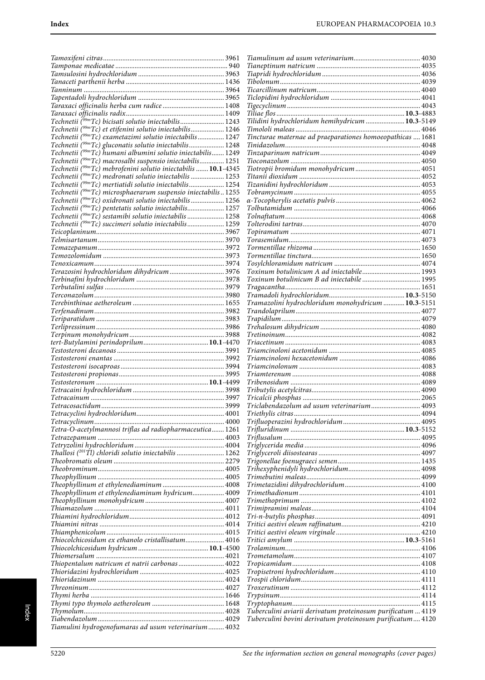| Taraxaci officinalis herba cum radice  1408                                                                                                |      |                                                                                        |  |
|--------------------------------------------------------------------------------------------------------------------------------------------|------|----------------------------------------------------------------------------------------|--|
|                                                                                                                                            |      |                                                                                        |  |
| Technetii (99mTc) bicisati solutio iniectabilis 1243                                                                                       |      | Tilidini hydrochloridum hemihydricum  10.3-5149                                        |  |
| Technetii ( <sup>99m</sup> Tc) et etifenini solutio iniectabilis 1246                                                                      |      |                                                                                        |  |
| Technetii (99mTc) exametazimi solutio iniectabilis 1247<br>Technetii (99mTc) gluconatis solutio iniectabilis 1248                          |      | Tincturae maternae ad praeparationes homoeopathicas  1681                              |  |
| Technetii ( <sup>99m</sup> Tc) humani albumini solutio iniectabilis 1249                                                                   |      |                                                                                        |  |
| Technetii ( <sup>99m</sup> Tc) macrosalbi suspensio iniectabilis 1251                                                                      |      |                                                                                        |  |
| Technetii (99mTc) mebrofenini solutio iniectabilis  10.1-4345                                                                              |      |                                                                                        |  |
| Technetii ( <sup>99m</sup> Tc) medronati solutio iniectabilis  1253                                                                        |      |                                                                                        |  |
| Technetii ( <sup>99m</sup> Tc) mertiatidi solutio iniectabilis 1254                                                                        |      |                                                                                        |  |
| Technetii ( <sup>99m</sup> Tc) microsphaerarum suspensio iniectabilis1255                                                                  |      |                                                                                        |  |
| Technetii ( <sup>99m</sup> Tc) oxidronati solutio iniectabilis 1256<br>Technetii ( <sup>99m</sup> Tc) pentetatis solutio iniectabilis 1257 |      |                                                                                        |  |
| Technetii ( <sup>99m</sup> Tc) sestamibi solutio iniectabilis  1258                                                                        |      |                                                                                        |  |
| Technetii (99mTc) succimeri solutio iniectabilis 1259                                                                                      |      |                                                                                        |  |
|                                                                                                                                            |      |                                                                                        |  |
|                                                                                                                                            |      |                                                                                        |  |
|                                                                                                                                            |      |                                                                                        |  |
|                                                                                                                                            |      |                                                                                        |  |
|                                                                                                                                            |      |                                                                                        |  |
| Terazosini hydrochloridum dihydricum  3976                                                                                                 |      | Toxinum botulinicum A ad iniectabile 1993<br>Toxinum botulinicum B ad iniectabile 1995 |  |
|                                                                                                                                            |      |                                                                                        |  |
|                                                                                                                                            |      |                                                                                        |  |
|                                                                                                                                            |      | Tramazolini hydrochloridum monohydricum  10.3-5151                                     |  |
|                                                                                                                                            |      |                                                                                        |  |
|                                                                                                                                            |      |                                                                                        |  |
|                                                                                                                                            |      |                                                                                        |  |
|                                                                                                                                            |      |                                                                                        |  |
|                                                                                                                                            |      |                                                                                        |  |
|                                                                                                                                            |      |                                                                                        |  |
|                                                                                                                                            |      |                                                                                        |  |
|                                                                                                                                            |      |                                                                                        |  |
|                                                                                                                                            |      |                                                                                        |  |
|                                                                                                                                            |      |                                                                                        |  |
| Tetracosactidum.                                                                                                                           | 3999 |                                                                                        |  |
|                                                                                                                                            |      |                                                                                        |  |
|                                                                                                                                            |      |                                                                                        |  |
| Tetra-O-acetylmannosi triflas ad radiopharmaceutica 1261                                                                                   |      |                                                                                        |  |
|                                                                                                                                            |      |                                                                                        |  |
|                                                                                                                                            |      |                                                                                        |  |
| Thallosi ( <sup>201</sup> Tl) chloridi solutio iniectabilis  1262                                                                          |      |                                                                                        |  |
|                                                                                                                                            |      |                                                                                        |  |
|                                                                                                                                            |      |                                                                                        |  |
|                                                                                                                                            |      |                                                                                        |  |
| Theophyllinum et ethylenediaminum hydricum 4009                                                                                            |      |                                                                                        |  |
|                                                                                                                                            |      |                                                                                        |  |
|                                                                                                                                            |      |                                                                                        |  |
|                                                                                                                                            |      |                                                                                        |  |
|                                                                                                                                            |      |                                                                                        |  |
| Thiocolchicosidum ex ethanolo cristallisatum 4016                                                                                          |      |                                                                                        |  |
|                                                                                                                                            |      |                                                                                        |  |
|                                                                                                                                            |      |                                                                                        |  |
| Thiopentalum natricum et natrii carbonas 4022                                                                                              |      |                                                                                        |  |
|                                                                                                                                            |      |                                                                                        |  |
|                                                                                                                                            |      |                                                                                        |  |
|                                                                                                                                            |      |                                                                                        |  |
|                                                                                                                                            |      |                                                                                        |  |
|                                                                                                                                            |      | Tuberculini aviarii derivatum proteinosum purificatum  4119                            |  |
|                                                                                                                                            |      | Tuberculini bovini derivatum proteinosum purificatum 4120                              |  |
| Tiamulini hydrogenofumaras ad usum veterinarium 4032                                                                                       |      |                                                                                        |  |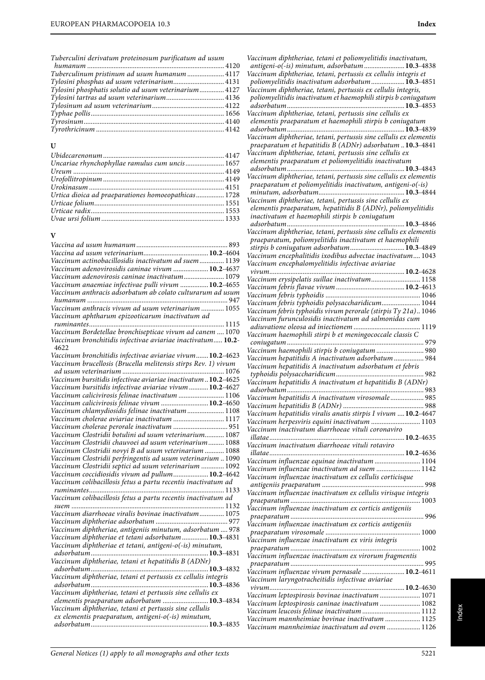| Tuberculinum pristinum ad usum humanum  4117          |  |
|-------------------------------------------------------|--|
| Tylosini phosphas ad usum veterinarium 4131           |  |
| Tylosini phosphatis solutio ad usum veterinarium 4127 |  |
| Tylosini tartras ad usum veterinarium 4136            |  |
|                                                       |  |
|                                                       |  |
|                                                       |  |
|                                                       |  |
|                                                       |  |

# **U**

| Uncariae rhynchophyllae ramulus cum uncis 1657      |  |
|-----------------------------------------------------|--|
|                                                     |  |
|                                                     |  |
|                                                     |  |
| Urtica dioica ad praeparationes homoeopathicas 1728 |  |
|                                                     |  |
|                                                     |  |
|                                                     |  |
|                                                     |  |

# **V**

|                                                                | 893 |
|----------------------------------------------------------------|-----|
|                                                                |     |
| Vaccinum actinobacillosidis inactivatum ad suem 1139           |     |
| Vaccinum adenovirosidis caninae vivum  10.2-4637               |     |
| Vaccinum adenovirosis caninae inactivatum 1079                 |     |
| Vaccinum anaemiae infectivae pulli vivum  10.2-4655            |     |
| Vaccinum anthracis adsorbatum ab colato culturarum ad usum     |     |
|                                                                |     |
| Vaccinum anthracis vivum ad usum veterinarium  1055            |     |
| Vaccinum aphtharum epizooticarum inactivatum ad                |     |
|                                                                |     |
| Vaccinum Bordetellae bronchisepticae vivum ad canem  1070      |     |
| Vaccinum bronchitidis infectivae aviariae inactivatum 10.2-    |     |
| 4622                                                           |     |
| Vaccinum bronchitidis infectivae aviariae vivum 10.2-4623      |     |
| Vaccinum brucellosis (Brucella melitensis stirps Rev. 1) vivum |     |
|                                                                |     |
| Vaccinum bursitidis infectivae aviariae inactivatum10.2-4625   |     |
| Vaccinum bursitidis infectivae aviariae vivum  10.2-4627       |     |
| Vaccinum calicivirosis felinae inactivatum  1106               |     |
| Vaccinum calicivirosis felinae vivum  10.2-4650                |     |
| Vaccinum chlamydiosidis felinae inactivatum  1108              |     |
| Vaccinum cholerae aviariae inactivatum  1117                   |     |
| Vaccinum cholerae perorale inactivatum  951                    |     |
| Vaccinum Clostridii botulini ad usum veterinarium 1087         |     |
| Vaccinum Clostridii chauvoei ad usum veterinarium 1088         |     |
| Vaccinum Clostridii novyi B ad usum veterinarium  1088         |     |
| Vaccinum Clostridii perfringentis ad usum veterinarium  1090   |     |
|                                                                |     |
| Vaccinum Clostridii septici ad usum veterinarium  1092         |     |
| Vaccinum coccidiosidis vivum ad pullum 10.2-4642               |     |
| Vaccinum colibacillosis fetus a partu recentis inactivatum ad  |     |
|                                                                |     |
| Vaccinum colibacillosis fetus a partu recentis inactivatum ad  |     |
|                                                                |     |
| Vaccinum diarrhoeae viralis bovinae inactivatum 1075           |     |
|                                                                |     |
| Vaccinum diphtheriae, antigeniis minutum, adsorbatum  978      |     |
| Vaccinum diphtheriae et tetani adsorbatum  10.3-4831           |     |
| Vaccinum diphtheriae et tetani, antigeni-o(-is) minutum,       |     |
|                                                                |     |
| Vaccinum diphtheriae, tetani et hepatitidis B (ADNr)           |     |
|                                                                |     |
| Vaccinum diphtheriae, tetani et pertussis ex cellulis integris |     |
|                                                                |     |
| Vaccinum diphtheriae, tetani et pertussis sine cellulis ex     |     |
| elementis praeparatum adsorbatum  10.3-4834                    |     |
| Vaccinum diphtheriae, tetani et pertussis sine cellulis        |     |
| ex elementis praeparatum, antigeni-o(-is) minutum,             |     |
|                                                                |     |
|                                                                |     |

| Vaccinum diphtheriae, tetani et poliomyelitidis inactivatum,                                                                 |  |
|------------------------------------------------------------------------------------------------------------------------------|--|
| antigeni-o(-is) minutum, adsorbatum  10.3-4838<br>Vaccinum diphtheriae, tetani, pertussis ex cellulis integris et            |  |
| poliomyelitidis inactivatum adsorbatum 10.3-4851                                                                             |  |
| Vaccinum diphtheriae, tetani, pertussis ex cellulis integris,                                                                |  |
| poliomyelitidis inactivatum et haemophili stirpis b coniugatum                                                               |  |
|                                                                                                                              |  |
| elementis praeparatum et haemophili stirpis b coniugatum                                                                     |  |
|                                                                                                                              |  |
| Vaccinum diphtheriae, tetani, pertussis sine cellulis ex elementis                                                           |  |
| praeparatum et hepatitidis B (ADNr) adsorbatum  10.3-4841<br>Vaccinum diphtheriae, tetani, pertussis sine cellulis ex        |  |
| elementis praeparatum et poliomyelitidis inactivatum                                                                         |  |
|                                                                                                                              |  |
| Vaccinum diphtheriae, tetani, pertussis sine cellulis ex elementis                                                           |  |
| praeparatum et poliomyelitidis inactivatum, antigeni-o(-is)                                                                  |  |
| Vaccinum diphtheriae, tetani, pertussis sine cellulis ex                                                                     |  |
| elementis praeparatum, hepatitidis B (ADNr), poliomyelitidis                                                                 |  |
| inactivatum et haemophili stirpis b coniugatum                                                                               |  |
|                                                                                                                              |  |
| Vaccinum diphtheriae, tetani, pertussis sine cellulis ex elementis<br>praeparatum, poliomyelitidis inactivatum et haemophili |  |
| stirpis b coniugatum adsorbatum 10.3-4849                                                                                    |  |
| Vaccinum encephalitidis ixodibus advectae inactivatum 1043                                                                   |  |
| Vaccinum encephalomyelitidis infectivae aviariae                                                                             |  |
|                                                                                                                              |  |
| Vaccinum erysipelatis suillae inactivatum 1158                                                                               |  |
|                                                                                                                              |  |
| Vaccinum febris typhoidis polysaccharidicum 1044                                                                             |  |
| Vaccinum febris typhoidis vivum perorale (stirpis Ty 21a) 1046                                                               |  |
| Vaccinum furunculosidis inactivatum ad salmonidas cum                                                                        |  |
| Vaccinum haemophili stirpi b et meningococcale classis C                                                                     |  |
|                                                                                                                              |  |
|                                                                                                                              |  |
| Vaccinum haemophili stirpis b coniugatum  980                                                                                |  |
| Vaccinum hepatitidis A inactivatum adsorbatum  984                                                                           |  |
| Vaccinum hepatitidis A inactivatum adsorbatum et febris                                                                      |  |
| Vaccinum hepatitidis A inactivatum et hepatitidis B (ADNr)                                                                   |  |
|                                                                                                                              |  |
| Vaccinum hepatitidis A inactivatum virosomale 985                                                                            |  |
|                                                                                                                              |  |
| Vaccinum hepatitidis viralis anatis stirpis I vivum  10.2-4647                                                               |  |
| Vaccinum herpesviris equini inactivatum  1103<br>Vaccinum inactivatum diarrhoeae vituli coronaviro                           |  |
|                                                                                                                              |  |
| Vaccinum inactivatum diarrhoeae vituli rotaviro                                                                              |  |
| illatae                                                                                                                      |  |
| Vaccinum influenzae equinae inactivatum  1104<br>Vaccinum influenzae inactivatum ad suem  1142                               |  |
| Vaccinum influenzae inactivatum ex cellulis corticisque                                                                      |  |
|                                                                                                                              |  |
| Vaccinum influenzae inactivatum ex cellulis virisque integris                                                                |  |
|                                                                                                                              |  |
| Vaccinum influenzae inactivatum ex corticis antigeniis                                                                       |  |
| Vaccinum influenzae inactivatum ex corticis antigeniis                                                                       |  |
|                                                                                                                              |  |
| Vaccinum influenzae inactivatum ex viris integris                                                                            |  |
| Vaccinum influenzae inactivatum ex virorum fragmentis                                                                        |  |
|                                                                                                                              |  |
| Vaccinum influenzae vivum pernasale  10.2-4611                                                                               |  |
| Vaccinum laryngotracheitidis infectivae aviariae                                                                             |  |
| Vaccinum leptospirosis bovinae inactivatum  1071                                                                             |  |
| Vaccinum leptospirosis caninae inactivatum  1082                                                                             |  |
| Vaccinum leucosis felinae inactivatum  1112                                                                                  |  |
| Vaccinum mannheimiae bovinae inactivatum  1125<br>Vaccinum mannheimiae inactivatum ad ovem  1126                             |  |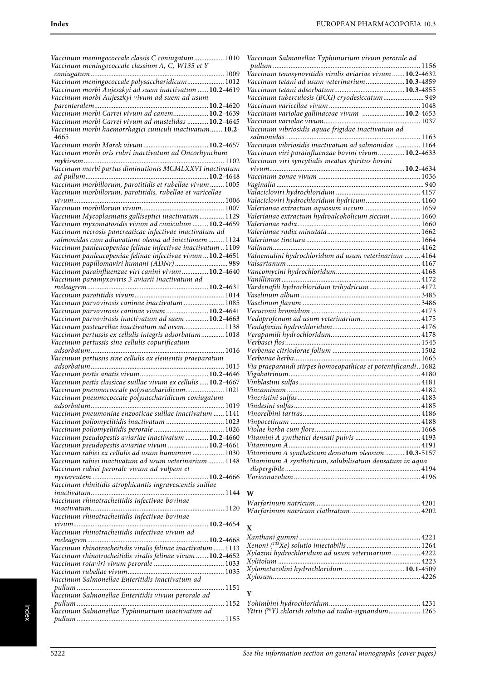| Vaccinum meningococcale classis C coniugatum  1010<br>Vaccinum meningococcale classium A, C, W135 et Y                 |
|------------------------------------------------------------------------------------------------------------------------|
|                                                                                                                        |
| Vaccinum meningococcale polysaccharidicum 1012                                                                         |
| Vaccinum morbi Aujeszkyi ad suem inactivatum  10.2-4619                                                                |
| Vaccinum morbi Aujeszkyi vivum ad suem ad usum                                                                         |
| Vaccinum morbi Carrei vivum ad canem 10.2-4639                                                                         |
| Vaccinum morbi Carrei vivum ad mustelidas  10.2-4645                                                                   |
| Vaccinum morbi haemorrhagici cuniculi inactivatum 10.2-<br>4665                                                        |
|                                                                                                                        |
| Vaccinum morbi oris rubri inactivatum ad Oncorhynchum                                                                  |
| Vaccinum morbi partus diminutionis MCMLXXVI inactivatum                                                                |
|                                                                                                                        |
| Vaccinum morbillorum, parotitidis et rubellae vivum  1005<br>Vaccinum morbillorum, parotitidis, rubellae et varicellae |
|                                                                                                                        |
|                                                                                                                        |
| Vaccinum Mycoplasmatis galliseptici inactivatum 1129                                                                   |
| Vaccinum myxomatosidis vivum ad cuniculum  10.2-4659<br>Vaccinum necrosis pancreaticae infectivae inactivatum ad       |
| salmonidas cum adiuvatione oleosa ad iniectionem  1124                                                                 |
| Vaccinum panleucopeniae felinae infectivae inactivatum1109                                                             |
| Vaccinum panleucopeniae felinae infectivae vivum  10.2-4651                                                            |
| Vaccinum papillomaviri humani (ADNr)  989                                                                              |
| Vaccinum parainfluenzae viri canini vivum  10.2-4640<br>Vaccinum paramyxoviris 3 aviarii inactivatum ad                |
|                                                                                                                        |
|                                                                                                                        |
| Vaccinum parvovirosis caninae inactivatum  1085                                                                        |
| Vaccinum parvovirosis caninae vivum  10.2-4641<br>Vaccinum parvovirosis inactivatum ad suem  10.2-4663                 |
| Vaccinum pasteurellae inactivatum ad ovem 1138                                                                         |
| Vaccinum pertussis ex cellulis integris adsorbatum 1018                                                                |
|                                                                                                                        |
| Vaccinum pertussis sine cellulis copurificatum                                                                         |
| adsorbatum<br>1016                                                                                                     |
| Vaccinum pertussis sine cellulis ex elementis praeparatum                                                              |
|                                                                                                                        |
| Vaccinum pestis classicae suillae vivum ex cellulis  10.2-4667                                                         |
| Vaccinum pneumococcale polysaccharidicum 1021                                                                          |
| Vaccinum pneumococcale polysaccharidicum coniugatum<br>adsorbatum<br>1019                                              |
| Vaccinum pneumoniae enzooticae suillae inactivatum  1141                                                               |
| Vaccinum poliomyelitidis inactivatum  1023                                                                             |
|                                                                                                                        |
| Vaccinum pseudopestis aviariae inactivatum  10.2-4660                                                                  |
| Vaccinum pseudopestis aviariae vivum  10.2-4661<br>Vaccinum rabiei ex cellulis ad usum humanum  1030                   |
| Vaccinum rabiei inactivatum ad usum veterinarium  1148                                                                 |
| Vaccinum rabiei perorale vivum ad vulpem et                                                                            |
|                                                                                                                        |
| Vaccinum rhinitidis atrophicantis ingravescentis suillae                                                               |
| Vaccinum rhinotracheitidis infectivae bovinae                                                                          |
|                                                                                                                        |
| Vaccinum rhinotracheitidis infectivae bovinae                                                                          |
| Vaccinum rhinotracheitidis infectivae vivum ad                                                                         |
|                                                                                                                        |
|                                                                                                                        |
| Vaccinum rhinotracheitidis viralis felinae vivum  10.2-4652                                                            |
|                                                                                                                        |
| Vaccinum Salmonellae Enteritidis inactivatum ad                                                                        |
|                                                                                                                        |
| Vaccinum Salmonellae Enteritidis vivum perorale ad                                                                     |
| Vaccinum Salmonellae Typhimurium inactivatum ad                                                                        |

| Vaccinum Salmonellae Typhimurium vivum perorale ad            |  |
|---------------------------------------------------------------|--|
|                                                               |  |
|                                                               |  |
| Vaccinum tetani ad usum veterinarium 10.3-4859                |  |
|                                                               |  |
| Vaccinum tuberculosis (BCG) cryodesiccatum 949                |  |
|                                                               |  |
| Vaccinum variolae gallinaceae vivum  10.2-4653                |  |
|                                                               |  |
|                                                               |  |
|                                                               |  |
| Vaccinum vibriosidis inactivatum ad salmonidas  1164          |  |
| Vaccinum viri parainfluenzae bovini vivum 10.2-4633           |  |
| Vaccinum viri syncytialis meatus spiritus bovini              |  |
|                                                               |  |
|                                                               |  |
|                                                               |  |
|                                                               |  |
| Valacicloviri hydrochloridum hydricum 4160                    |  |
| Valerianae extractum aquosum siccum  1659                     |  |
| Valerianae extractum hydroalcoholicum siccum  1660            |  |
|                                                               |  |
|                                                               |  |
|                                                               |  |
|                                                               |  |
| Valnemulini hydrochloridum ad usum veterinarium  4164         |  |
|                                                               |  |
|                                                               |  |
|                                                               |  |
| Vardenafili hydrochloridum trihydricum  4172                  |  |
|                                                               |  |
|                                                               |  |
|                                                               |  |
|                                                               |  |
| Vedaprofenum ad usum veterinarium 4175                        |  |
|                                                               |  |
|                                                               |  |
|                                                               |  |
|                                                               |  |
|                                                               |  |
| Via praeparandi stirpes homoeopathicas et potentificandi 1682 |  |
|                                                               |  |
|                                                               |  |
|                                                               |  |
|                                                               |  |
|                                                               |  |
|                                                               |  |
|                                                               |  |
|                                                               |  |
|                                                               |  |
|                                                               |  |
| Vitaminum A syntheticum densatum oleosum  10.3-5157           |  |
| Vitaminum A syntheticum, solubilisatum densatum in aqua       |  |
|                                                               |  |
|                                                               |  |
|                                                               |  |

## **W**

# **X**

| Xylazini hydrochloridum ad usum veterinarium  4222 |  |
|----------------------------------------------------|--|
|                                                    |  |
|                                                    |  |
|                                                    |  |
|                                                    |  |

# **Y**

| Yttrii (90Y) chloridi solutio ad radio-signandum 1265 |  |
|-------------------------------------------------------|--|
|                                                       |  |